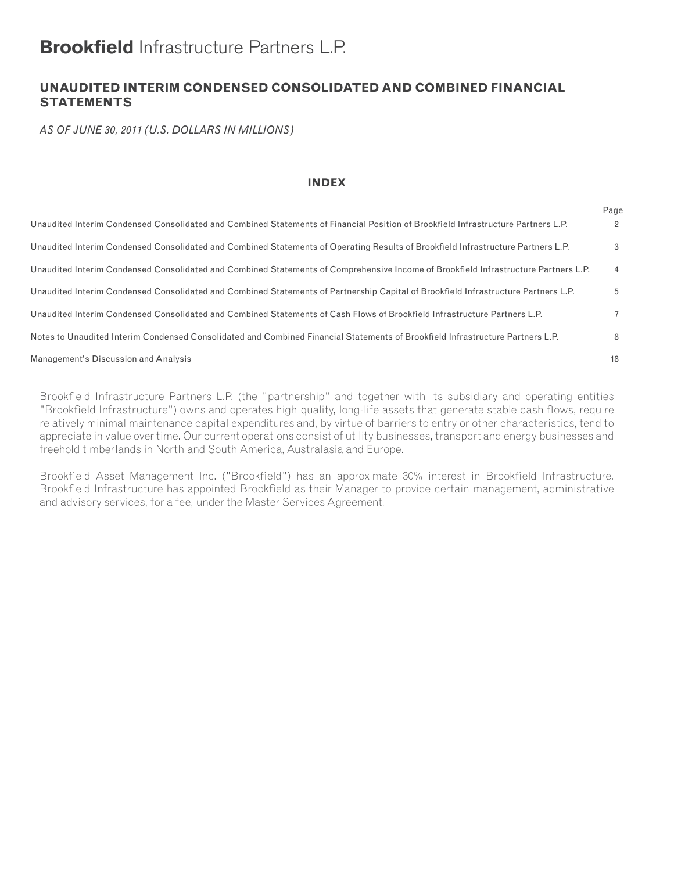# **Brookfield** Infrastructure Partners L.P.

# **UNAUDITED INTERIM CONDENSED CONSOLIDATED AND COMBINED FINANCIAL STATEMENTS**

*AS OF JUNE 30, 2011 (U.S. DOLLARS IN MILLIONS)*

#### **INDEX**

|                                                                                                                                     | Page           |
|-------------------------------------------------------------------------------------------------------------------------------------|----------------|
| Unaudited Interim Condensed Consolidated and Combined Statements of Financial Position of Brookfield Infrastructure Partners L.P.   | 2              |
| Unaudited Interim Condensed Consolidated and Combined Statements of Operating Results of Brookfield Infrastructure Partners L.P.    | 3              |
| Unaudited Interim Condensed Consolidated and Combined Statements of Comprehensive Income of Brookfield Infrastructure Partners L.P. | $\overline{4}$ |
| Unaudited Interim Condensed Consolidated and Combined Statements of Partnership Capital of Brookfield Infrastructure Partners L.P.  | 5              |
| Unaudited Interim Condensed Consolidated and Combined Statements of Cash Flows of Brookfield Infrastructure Partners L.P.           | $7^{\circ}$    |
| Notes to Unaudited Interim Condensed Consolidated and Combined Financial Statements of Brookfield Infrastructure Partners L.P.      | 8              |
| Management's Discussion and Analysis                                                                                                | 18             |

Brookfield Infrastructure Partners L.P. (the "partnership" and together with its subsidiary and operating entities "Brookfield Infrastructure") owns and operates high quality, long-life assets that generate stable cash flows, require relatively minimal maintenance capital expenditures and, by virtue of barriers to entry or other characteristics, tend to appreciate in value over time. Our current operations consist of utility businesses, transport and energy businesses and freehold timberlands in North and South America, Australasia and Europe.

Brookfield Asset Management Inc. ("Brookfield") has an approximate 30% interest in Brookfield Infrastructure. Brookfield Infrastructure has appointed Brookfield as their Manager to provide certain management, administrative and advisory services, for a fee, under the Master Services Agreement.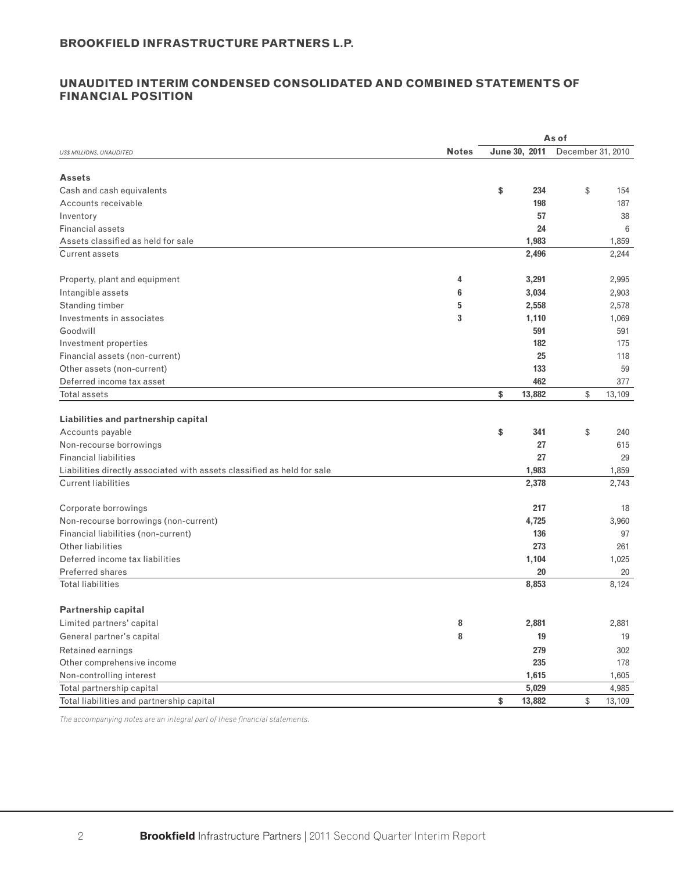#### **UNAUDITED INTERIM CONDENSED CONSOLIDATED AND COMBINED STATEMENTS OF FINANCIAL POSITION**

|                                                                         |              |                | As of             |
|-------------------------------------------------------------------------|--------------|----------------|-------------------|
| <b>US\$ MILLIONS, UNAUDITED</b>                                         | <b>Notes</b> | June 30, 2011  | December 31, 2010 |
|                                                                         |              |                |                   |
| <b>Assets</b>                                                           |              |                |                   |
| Cash and cash equivalents                                               |              | \$<br>234      | \$<br>154         |
| Accounts receivable                                                     |              | 198            | 187               |
| Inventory                                                               |              | 57             | 38                |
| <b>Financial assets</b>                                                 |              | 24             | 6                 |
| Assets classified as held for sale                                      |              | 1,983          | 1,859             |
| <b>Current assets</b>                                                   |              | 2,496          | 2,244             |
| Property, plant and equipment                                           | 4            | 3,291          | 2,995             |
|                                                                         |              |                |                   |
| Intangible assets                                                       | 6<br>5       | 3,034          | 2,903             |
| Standing timber<br>Investments in associates                            | 3            | 2,558<br>1,110 | 2,578             |
| Goodwill                                                                |              | 591            | 1,069<br>591      |
| Investment properties                                                   |              | 182            | 175               |
| Financial assets (non-current)                                          |              | 25             | 118               |
| Other assets (non-current)                                              |              | 133            | 59                |
| Deferred income tax asset                                               |              | 462            | 377               |
| Total assets                                                            |              | 13,882<br>\$   | \$<br>13,109      |
|                                                                         |              |                |                   |
| Liabilities and partnership capital                                     |              |                |                   |
| Accounts payable                                                        |              | \$<br>341      | \$<br>240         |
| Non-recourse borrowings                                                 |              | 27             | 615               |
| <b>Financial liabilities</b>                                            |              | 27             | 29                |
| Liabilities directly associated with assets classified as held for sale |              | 1,983          | 1,859             |
| <b>Current liabilities</b>                                              |              | 2,378          | 2,743             |
|                                                                         |              |                |                   |
| Corporate borrowings                                                    |              | 217            | 18                |
| Non-recourse borrowings (non-current)                                   |              | 4,725          | 3,960             |
| Financial liabilities (non-current)                                     |              | 136            | 97                |
| <b>Other liabilities</b>                                                |              | 273            | 261               |
| Deferred income tax liabilities                                         |              | 1,104          | 1,025             |
| Preferred shares                                                        |              | 20             | 20                |
| <b>Total liabilities</b>                                                |              | 8,853          | 8,124             |
|                                                                         |              |                |                   |
| <b>Partnership capital</b>                                              |              |                |                   |
| Limited partners' capital                                               | 8            | 2,881          | 2,881             |
| General partner's capital                                               | 8            | 19             | 19                |
| Retained earnings                                                       |              | 279            | 302               |
| Other comprehensive income                                              |              | 235            | 178               |
| Non-controlling interest                                                |              | 1,615          | 1,605             |
| Total partnership capital                                               |              | 5,029          | 4,985             |
| Total liabilities and partnership capital                               |              | 13,882<br>\$   | \$<br>13,109      |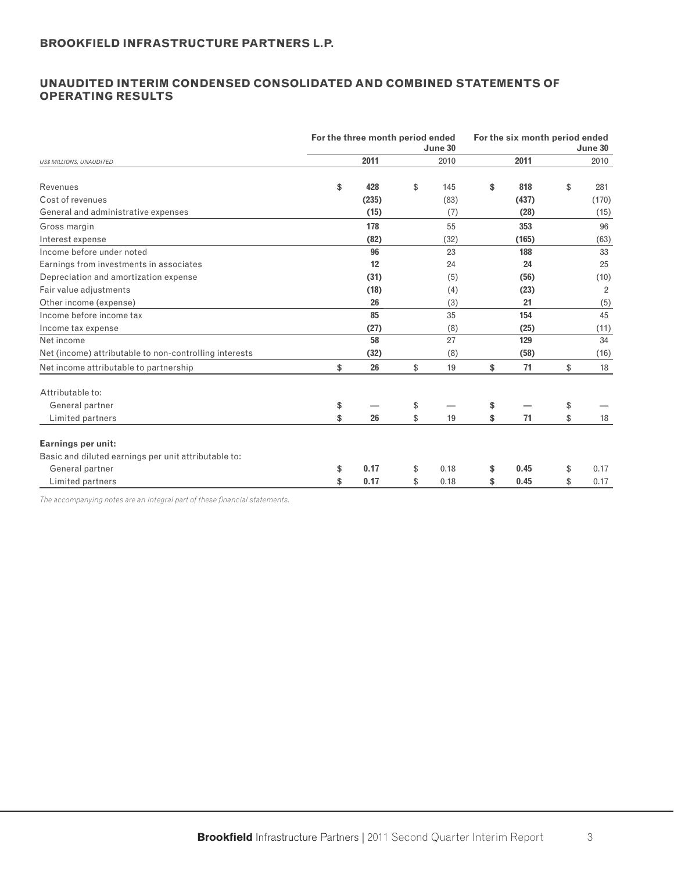## **UNAUDITED INTERIM CONDENSED CONSOLIDATED AND COMBINED STATEMENTS OF OPERATING RESULTS**

|                                                        | For the three month period ended | June 30    | For the six month period ended | June 30    |
|--------------------------------------------------------|----------------------------------|------------|--------------------------------|------------|
| <b>US\$ MILLIONS, UNAUDITED</b>                        | 2011                             | 2010       | 2011                           | 2010       |
| Revenues                                               | \$<br>428                        | \$<br>145  | \$<br>818                      | \$<br>281  |
| Cost of revenues                                       | (235)                            | (83)       | (437)                          | (170)      |
| General and administrative expenses                    | (15)                             | (7)        | (28)                           | (15)       |
| Gross margin                                           | 178                              | 55         | 353                            | 96         |
| Interest expense                                       | (82)                             | (32)       | (165)                          | (63)       |
| Income before under noted                              | 96                               | 23         | 188                            | 33         |
| Earnings from investments in associates                | 12                               | 24         | 24                             | 25         |
| Depreciation and amortization expense                  | (31)                             | (5)        | (56)                           | (10)       |
| Fair value adjustments                                 | (18)                             | (4)        | (23)                           | 2          |
| Other income (expense)                                 | 26                               | (3)        | 21                             | (5)        |
| Income before income tax                               | 85                               | 35         | 154                            | 45         |
| Income tax expense                                     | (27)                             | (8)        | (25)                           | (11)       |
| Net income                                             | 58                               | 27         | 129                            | 34         |
| Net (income) attributable to non-controlling interests | (32)                             | (8)        | (58)                           | (16)       |
| Net income attributable to partnership                 | \$<br>26                         | \$<br>19   | \$<br>71                       | \$<br>18   |
| Attributable to:                                       |                                  |            |                                |            |
| General partner                                        | \$                               | \$         | \$                             | \$         |
| Limited partners                                       | \$<br>26                         | \$<br>19   | \$<br>71                       | \$<br>18   |
| <b>Earnings per unit:</b>                              |                                  |            |                                |            |
| Basic and diluted earnings per unit attributable to:   |                                  |            |                                |            |
| General partner                                        | \$<br>0.17                       | \$<br>0.18 | \$<br>0.45                     | \$<br>0.17 |
| Limited partners                                       | \$<br>0.17                       | \$<br>0.18 | \$<br>0.45                     | \$<br>0.17 |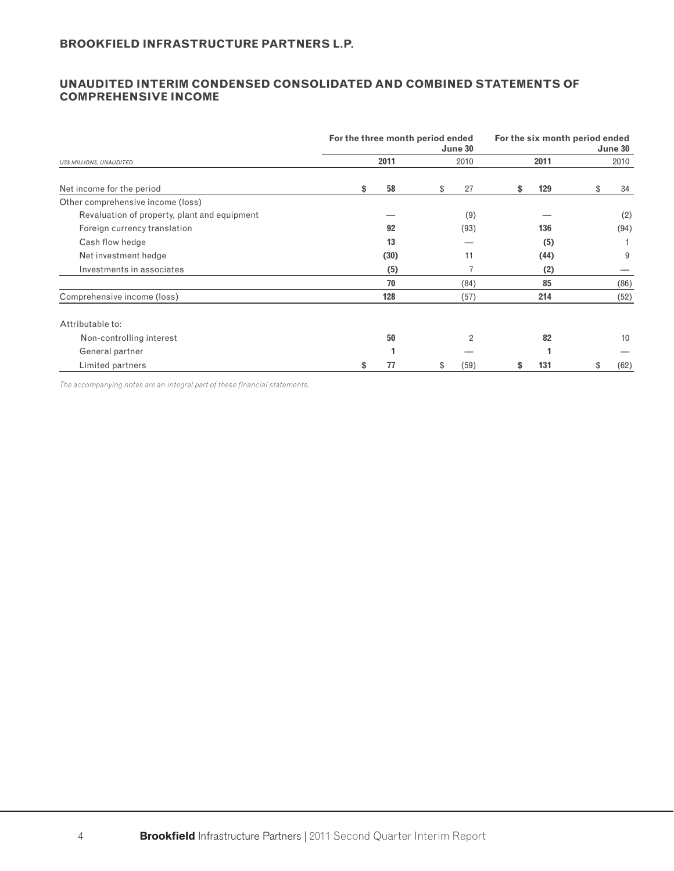#### **UNAUDITED INTERIM CONDENSED CONSOLIDATED AND COMBINED STATEMENTS OF COMPREHENSIVE INCOME**

|                                              | For the three month period ended |      | June 30 | For the six month period ended<br>June 30 |    |      |    |      |  |  |  |
|----------------------------------------------|----------------------------------|------|---------|-------------------------------------------|----|------|----|------|--|--|--|
| <b>US\$ MILLIONS, UNAUDITED</b>              |                                  | 2011 |         | 2010                                      |    | 2011 |    | 2010 |  |  |  |
| Net income for the period                    | \$                               | 58   | \$      | 27                                        | \$ | 129  | \$ | 34   |  |  |  |
| Other comprehensive income (loss)            |                                  |      |         |                                           |    |      |    |      |  |  |  |
| Revaluation of property, plant and equipment |                                  |      |         | (9)                                       |    |      |    | (2)  |  |  |  |
| Foreign currency translation                 |                                  | 92   |         | (93)                                      |    | 136  |    | (94) |  |  |  |
| Cash flow hedge                              |                                  | 13   |         |                                           |    | (5)  |    |      |  |  |  |
| Net investment hedge                         |                                  | (30) |         | 11                                        |    | (44) |    | 9    |  |  |  |
| Investments in associates                    |                                  | (5)  |         |                                           |    | (2)  |    |      |  |  |  |
|                                              |                                  | 70   |         | (84)                                      |    | 85   |    | (86) |  |  |  |
| Comprehensive income (loss)                  |                                  | 128  |         | (57)                                      |    | 214  |    | (52) |  |  |  |
| Attributable to:                             |                                  |      |         |                                           |    |      |    |      |  |  |  |
| Non-controlling interest                     |                                  | 50   |         | $\overline{2}$                            |    | 82   |    | 10   |  |  |  |
| General partner                              |                                  |      |         |                                           |    |      |    |      |  |  |  |
| Limited partners                             |                                  | 77   |         | (59)                                      |    | 131  | \$ | (62) |  |  |  |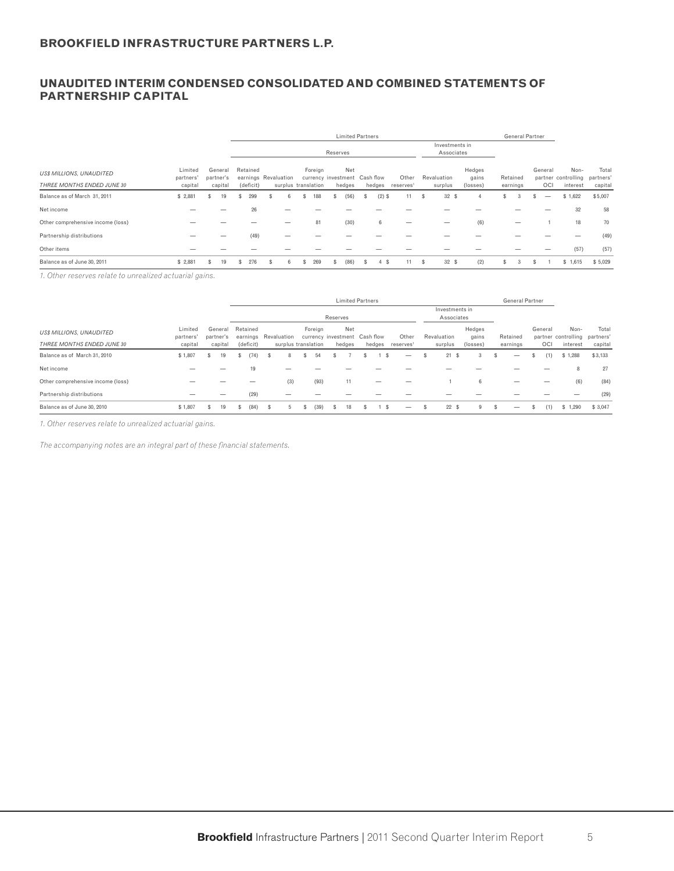## **UNAUDITED INTERIM CONDENSED CONSOLIDATED AND COMBINED STATEMENTS OF PARTNERSHIP CAPITAL**

|                                   |                      |     |                      |   |           |                      |                     | <b>Limited Partners</b>              |    |           |                       |     |                              |                 |     |          | <b>General Partner</b> |         |                                       |         |
|-----------------------------------|----------------------|-----|----------------------|---|-----------|----------------------|---------------------|--------------------------------------|----|-----------|-----------------------|-----|------------------------------|-----------------|-----|----------|------------------------|---------|---------------------------------------|---------|
|                                   |                      |     |                      |   |           |                      |                     | Reserves                             |    |           |                       |     | Investments in<br>Associates |                 |     |          |                        |         |                                       |         |
| <b>US\$ MILLIONS, UNAUDITED</b>   | Limited<br>partners' |     | General<br>partner's |   | Retained  | earnings Revaluation | Foreign             | Net<br>currency investment Cash flow |    |           | Other                 |     | Revaluation                  | Hedges<br>gains |     | Retained |                        | General | Non-<br>partner controlling partners' | Total   |
| THREE MONTHS ENDED JUNE 30        | capital              |     | capital              |   | (deficit) |                      | surplus translation | hedges                               |    | hedges    | reserves <sup>1</sup> |     | surplus                      | (losses)        |     | earnings |                        | OCI     | interest                              | capital |
| Balance as of March 31, 2011      | \$2,881              | S   | 19                   | S | 299       | 6                    | 188                 | (56)                                 | s  | $(2)$ \$  | 11                    | \$. | 32S                          | Δ               | \$. | 3        |                        | –       | \$1,622                               | \$5,007 |
| Net income                        |                      |     |                      |   | 26        |                      |                     |                                      |    |           |                       |     |                              |                 |     |          |                        |         | 32                                    | 58      |
| Other comprehensive income (loss) |                      |     |                      |   |           |                      | 81                  | (30)                                 |    | 6         |                       |     |                              | (6)             |     |          |                        |         | 18                                    | 70      |
| Partnership distributions         |                      |     |                      |   | (49)      |                      |                     |                                      |    |           |                       |     |                              |                 |     |          |                        |         |                                       | (49)    |
| Other items                       |                      |     |                      |   |           |                      |                     |                                      |    |           |                       |     |                              |                 |     |          |                        |         | (57)                                  | (57)    |
| Balance as of June 30, 2011       | \$2,881              | \$. | 19                   |   | 276       | 6                    | 269                 | (86)                                 | s. | - \$<br>4 |                       | \$  | 32S                          | (2)             | \$. | 3        | \$                     |         | \$1,615                               | \$5,029 |

*1. Other reserves relate to unrealized actuarial gains.*

|                                   |                      |                      |    |          |           |    |                      |         |      |                                      | <b>Limited Partners</b> |                       |                              |                 |   | General Partner |         |                                       |         |
|-----------------------------------|----------------------|----------------------|----|----------|-----------|----|----------------------|---------|------|--------------------------------------|-------------------------|-----------------------|------------------------------|-----------------|---|-----------------|---------|---------------------------------------|---------|
|                                   |                      |                      |    |          |           |    |                      |         |      | Reserves                             |                         |                       | Investments in<br>Associates |                 |   |                 |         |                                       |         |
| <b>US\$ MILLIONS, UNAUDITED</b>   | Limited<br>partners' | General<br>partner's |    | Retained |           |    | earnings Revaluation | Foreign |      | Net<br>currency investment Cash flow |                         | Other                 | Revaluation                  | Hedges<br>gains |   | Retained        | General | Non-<br>partner controlling partners' | Total   |
| THREE MONTHS ENDED JUNE 30        | capital              | capital              |    |          | (deficit) |    | surplus translation  |         |      | hedges                               | hedges                  | reserves <sup>1</sup> | surplus                      | (losses)        |   | earnings        | OCI     | interest                              | capital |
| Balance as of March 31, 2010      | \$1,807              | ж                    | 19 | 55       | (74)      |    | 8                    |         | 54   |                                      |                         | –                     | 21<br>-S                     | 3               | S | –               | (1)     | \$1,288                               | \$3,133 |
| Net income                        |                      |                      |    |          | 19        |    |                      |         |      |                                      |                         |                       |                              |                 |   |                 |         | 8                                     | 27      |
| Other comprehensive income (loss) |                      |                      |    |          |           |    | (3)                  |         | (93) | 11                                   | _                       |                       |                              | 6               |   |                 |         | (6)                                   | (84)    |
| Partnership distributions         |                      |                      |    |          | (29)      |    |                      |         |      |                                      |                         |                       |                              |                 |   |                 |         |                                       | (29)    |
| Balance as of June 30, 2010       | \$1,807              | S.                   | 19 | \$.      | (84)      | £. | -5                   |         | (39) | 18                                   |                         | –                     | 22S                          | 9               |   | —               | (1)     | \$1.290                               | \$3,047 |

*1. Other reserves relate to unrealized actuarial gains.*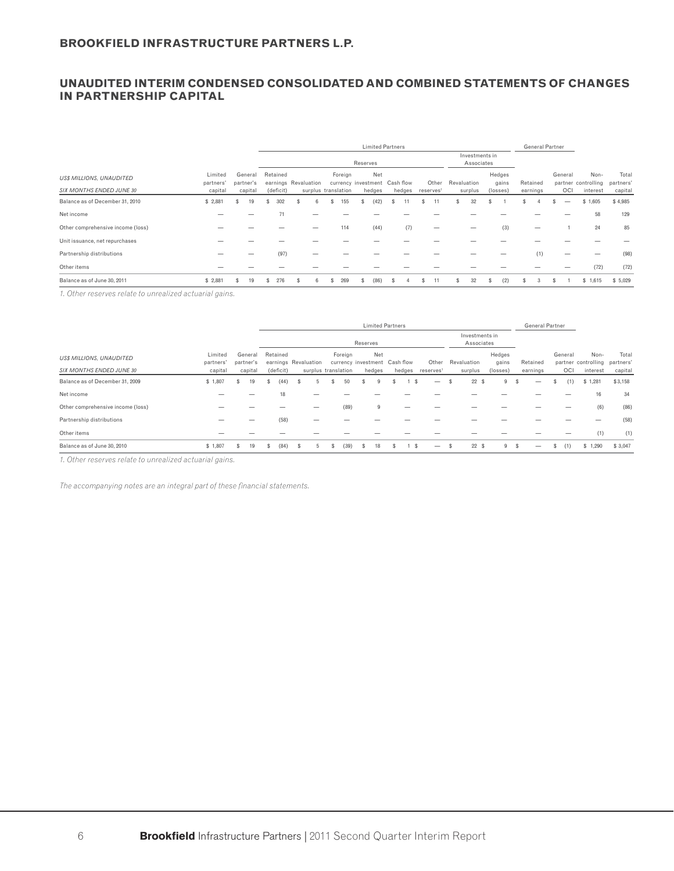#### **UNAUDITED INTERIM CONDENSED CONSOLIDATED AND COMBINED STATEMENTS OF CHANGES IN PARTNERSHIP CAPITAL**

|                                   |                      |    |                      |    |           |    |                      |   |         |          | <b>Limited Partners</b>              |   |        |   |                       |             |                              |                 |   | <b>General Partner</b> |   |         |                             |                    |
|-----------------------------------|----------------------|----|----------------------|----|-----------|----|----------------------|---|---------|----------|--------------------------------------|---|--------|---|-----------------------|-------------|------------------------------|-----------------|---|------------------------|---|---------|-----------------------------|--------------------|
|                                   |                      |    |                      |    |           |    |                      |   |         | Reserves |                                      |   |        |   |                       |             | Investments in<br>Associates |                 |   |                        |   |         |                             |                    |
| <b>US\$ MILLIONS, UNAUDITED</b>   | Limited<br>partners' |    | General<br>partner's |    | Retained  |    | earnings Revaluation |   | Foreign |          | Net<br>currency investment Cash flow |   |        |   | Other                 | Revaluation |                              | Hedges<br>gains |   | Retained               |   | General | Non-<br>partner controlling | Total<br>partners' |
| SIX MONTHS ENDED JUNE 30          | capital              |    | capital              |    | (deficit) |    | surplus translation  |   |         |          | hedges                               |   | hedges |   | reserves <sup>1</sup> |             | surplus                      | (losses)        |   | earnings               |   | OCI     | interest                    | capital            |
| Balance as of December 31, 2010   | \$2,881              | s  | 19                   | s  | 302       |    |                      | s | 155     |          | (42)                                 |   |        |   |                       |             | 32                           |                 |   |                        |   | -       | \$1,605                     | \$4,985            |
| Net income                        |                      |    |                      |    | 71        |    |                      |   |         |          |                                      |   |        |   |                       |             |                              |                 |   |                        |   |         | 58                          | 129                |
| Other comprehensive income (loss) |                      |    |                      |    |           |    |                      |   | 114     |          | (44)                                 |   | (7)    |   |                       |             |                              | (3)             |   |                        |   |         | 24                          | 85                 |
| Unit issuance, net repurchases    |                      |    |                      |    |           |    |                      |   |         |          |                                      |   |        |   |                       |             |                              |                 |   |                        |   |         |                             |                    |
| Partnership distributions         |                      |    |                      |    | (97)      |    |                      |   |         |          |                                      |   |        |   |                       |             |                              |                 |   | (1)                    |   |         |                             | (98)               |
| Other items                       |                      |    |                      |    |           |    |                      |   |         |          |                                      |   |        |   |                       |             |                              |                 |   |                        |   |         | (72)                        | (72)               |
| Balance as of June 30, 2011       | \$2,881              | \$ | 19                   | s. | 276       | s. | 6                    | s | 269     | ъ        | (86)                                 | s |        | S |                       | \$          | 32                           | \$<br>(2)       | S | 3                      | s |         | \$1,615                     | \$5,029            |

*1. Other reserves relate to unrealized actuarial gains.*

|                                   |                      |           |         |   |           |   |                      |   |                                          |          | <b>Limited Partners</b> |   |        |                          |   |                              |                 |     | <b>General Partner</b> |   |         |                                       |         |
|-----------------------------------|----------------------|-----------|---------|---|-----------|---|----------------------|---|------------------------------------------|----------|-------------------------|---|--------|--------------------------|---|------------------------------|-----------------|-----|------------------------|---|---------|---------------------------------------|---------|
|                                   |                      |           |         |   |           |   |                      |   |                                          | Reserves |                         |   |        |                          |   | Investments in<br>Associates |                 |     |                        |   |         |                                       |         |
| <b>US\$ MILLIONS, UNAUDITED</b>   | Limited<br>partners' | partner's | General |   | Retained  |   | earnings Revaluation |   | Foreign<br>currency investment Cash flow |          | Net                     |   |        | Other                    |   | Revaluation                  | Hedges<br>gains |     | Retained               |   | General | Non-<br>partner controlling partners' | Total   |
| <b>SIX MONTHS ENDED JUNE 30</b>   | capital              |           | capital |   | (deficit) |   |                      |   | surplus translation                      |          | hedges                  |   | hedges | reserves <sup>1</sup>    |   | surplus                      | (losses)        |     | earnings               |   | OCI     | interest                              | capital |
| Balance as of December 31, 2009   | \$1,807              |           | 19      | ъ | (44)      | ъ |                      |   | 50                                       |          |                         |   | £.     |                          |   | 22S                          | 9               | Э'n |                        |   | (1)     | \$1,281                               | \$3,158 |
| Net income                        |                      |           |         |   | 18        |   |                      |   |                                          |          |                         |   |        |                          |   |                              |                 |     |                        |   |         | 16                                    | 34      |
| Other comprehensive income (loss) |                      |           |         |   |           |   |                      |   | (89)                                     |          | 9                       |   |        |                          |   |                              |                 |     |                        |   |         | (6)                                   | (86)    |
| Partnership distributions         |                      |           |         |   | (58)      |   |                      |   |                                          |          |                         |   |        |                          |   |                              |                 |     |                        |   |         |                                       | (58)    |
| Other items                       |                      |           |         |   |           |   |                      |   |                                          |          |                         |   |        |                          |   |                              |                 |     |                        |   |         | (1)                                   | (1)     |
| Balance as of June 30, 2010       | \$1,807              | s         | 19      | s | (84)      | s |                      | э | (39)                                     | s        | 18                      | s | -S     | $\overline{\phantom{0}}$ | s | 22S                          | 9               | -S  | —                      | s | (1)     | \$1,290                               | \$3,047 |

*1. Other reserves relate to unrealized actuarial gains.*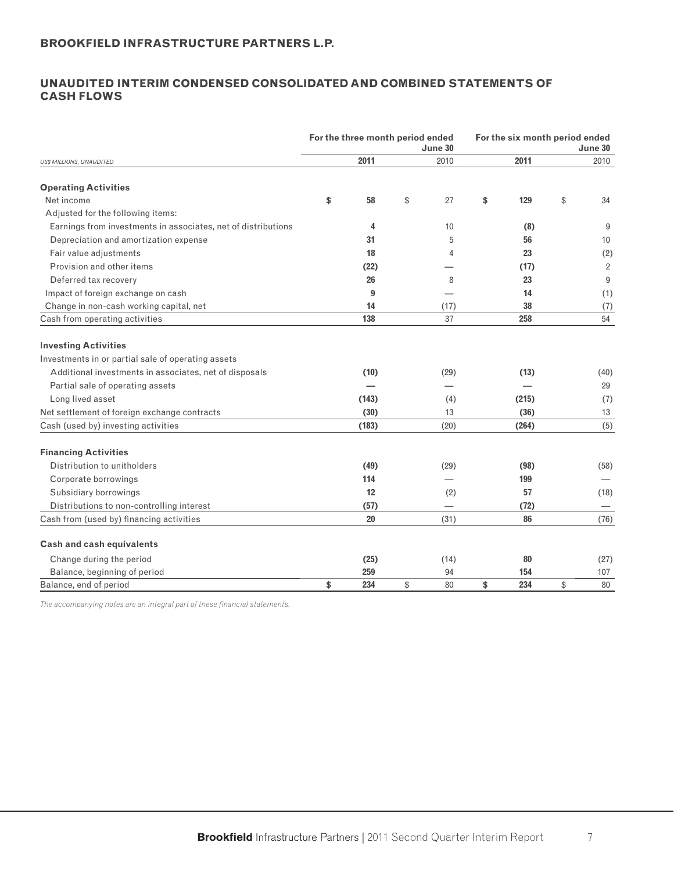# **UNAUDITED INTERIM CONDENSED CONSOLIDATED AND COMBINED STATEMENTS OF CASH FLOWS**

|                                                               | For the three month period ended | June 30  | For the six month period ended<br>June 30 |       |    |                |  |  |
|---------------------------------------------------------------|----------------------------------|----------|-------------------------------------------|-------|----|----------------|--|--|
| US\$ MILLIONS, UNAUDITED                                      | 2011                             | 2010     |                                           | 2011  |    | 2010           |  |  |
| <b>Operating Activities</b>                                   |                                  |          |                                           |       |    |                |  |  |
| Net income                                                    | \$<br>58                         | \$<br>27 | \$                                        | 129   | \$ | 34             |  |  |
| Adjusted for the following items:                             |                                  |          |                                           |       |    |                |  |  |
| Earnings from investments in associates, net of distributions | 4                                | 10       |                                           | (8)   |    | 9              |  |  |
| Depreciation and amortization expense                         | 31                               | 5        |                                           | 56    |    | 10             |  |  |
| Fair value adjustments                                        | 18                               | 4        |                                           | 23    |    | (2)            |  |  |
| Provision and other items                                     | (22)                             |          |                                           | (17)  |    | $\overline{2}$ |  |  |
| Deferred tax recovery                                         | 26                               | 8        |                                           | 23    |    | 9              |  |  |
| Impact of foreign exchange on cash                            | 9                                |          |                                           | 14    |    | (1)            |  |  |
| Change in non-cash working capital, net                       | 14                               | (17)     |                                           | 38    |    | (7)            |  |  |
| Cash from operating activities                                | 138                              | 37       |                                           | 258   |    | 54             |  |  |
|                                                               |                                  |          |                                           |       |    |                |  |  |
| <b>Investing Activities</b>                                   |                                  |          |                                           |       |    |                |  |  |
| Investments in or partial sale of operating assets            |                                  |          |                                           |       |    |                |  |  |
| Additional investments in associates, net of disposals        | (10)                             | (29)     |                                           | (13)  |    | (40)           |  |  |
| Partial sale of operating assets                              |                                  |          |                                           |       |    | 29             |  |  |
| Long lived asset                                              | (143)                            | (4)      |                                           | (215) |    | (7)            |  |  |
| Net settlement of foreign exchange contracts                  | (30)                             | 13       |                                           | (36)  |    | 13             |  |  |
| Cash (used by) investing activities                           | (183)                            | (20)     |                                           | (264) |    | (5)            |  |  |
| <b>Financing Activities</b>                                   |                                  |          |                                           |       |    |                |  |  |
| Distribution to unitholders                                   | (49)                             | (29)     |                                           | (98)  |    | (58)           |  |  |
| Corporate borrowings                                          | 114                              |          |                                           | 199   |    |                |  |  |
| Subsidiary borrowings                                         | 12                               | (2)      |                                           | 57    |    | (18)           |  |  |
| Distributions to non-controlling interest                     | (57)                             |          |                                           | (72)  |    |                |  |  |
| Cash from (used by) financing activities                      | 20                               | (31)     |                                           | 86    |    | (76)           |  |  |
|                                                               |                                  |          |                                           |       |    |                |  |  |
| <b>Cash and cash equivalents</b>                              |                                  |          |                                           |       |    |                |  |  |
| Change during the period                                      | (25)                             | (14)     |                                           | 80    |    | (27)           |  |  |
| Balance, beginning of period                                  | 259                              | 94       |                                           | 154   |    | 107            |  |  |
| Balance, end of period                                        | \$<br>234                        | \$<br>80 | \$                                        | 234   | \$ | 80             |  |  |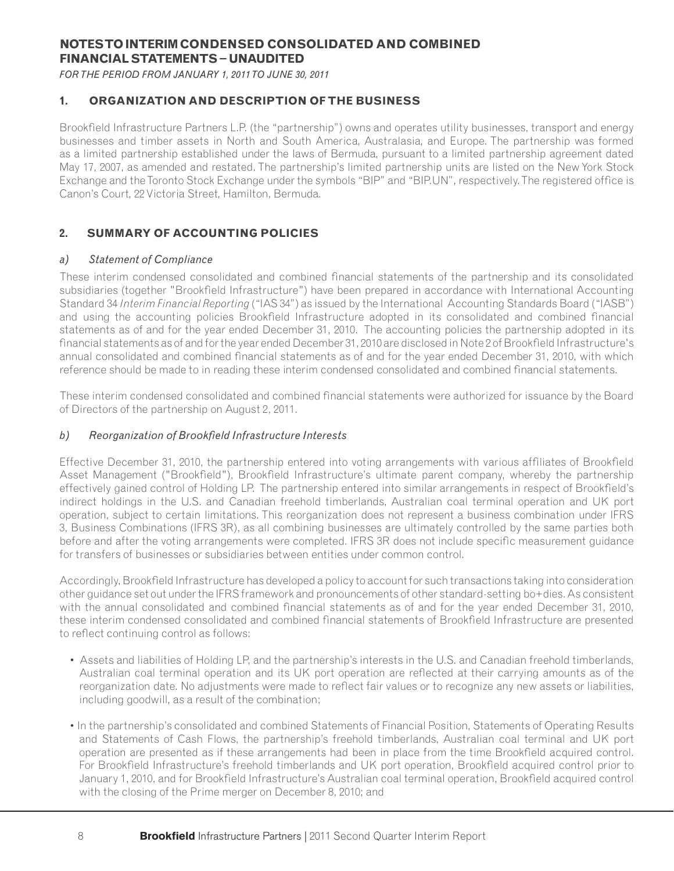# **NOTES TO INTERIM CONDENSED CONSOLIDATED AND COMBINED FINANCIAL STATEMENTS − UNAUDITED**

*FOR THE PERIOD FROM JANUARY 1, 2011 TO JUNE 30, 2011*

# **1. ORGANIZATION AND DESCRIPTION OF THE BUSINESS**

Brookfield Infrastructure Partners L.P. (the "partnership") owns and operates utility businesses, transport and energy businesses and timber assets in North and South America, Australasia, and Europe. The partnership was formed as a limited partnership established under the laws of Bermuda, pursuant to a limited partnership agreement dated May 17, 2007, as amended and restated. The partnership's limited partnership units are listed on the New York Stock Exchange and the Toronto Stock Exchange under the symbols "BIP" and "BIP.UN", respectively. The registered office is Canon's Court, 22 Victoria Street, Hamilton, Bermuda.

# **2. SUMMARY OF ACCOUNTING POLICIES**

#### *a) Statement of Compliance*

These interim condensed consolidated and combined financial statements of the partnership and its consolidated subsidiaries (together "Brookfield Infrastructure") have been prepared in accordance with International Accounting Standard 34 *Interim Financial Reporting* ("IAS 34") as issued by the International Accounting Standards Board ("IASB") and using the accounting policies Brookfield Infrastructure adopted in its consolidated and combined financial statements as of and for the year ended December 31, 2010. The accounting policies the partnership adopted in its financial statements as of and for the year ended December 31, 2010 are disclosed in Note 2 of Brookfield Infrastructure's annual consolidated and combined financial statements as of and for the year ended December 31, 2010, with which reference should be made to in reading these interim condensed consolidated and combined financial statements.

These interim condensed consolidated and combined financial statements were authorized for issuance by the Board of Directors of the partnership on August 2, 2011.

### *b*) Reorganization of Brookfield Infrastructure Interests

Effective December 31, 2010, the partnership entered into voting arrangements with various affiliates of Brookfield Asset Management ("Brookfield"), Brookfield Infrastructure's ultimate parent company, whereby the partnership effectively gained control of Holding LP. The partnership entered into similar arrangements in respect of Brookfield's indirect holdings in the U.S. and Canadian freehold timberlands, Australian coal terminal operation and UK port operation, subject to certain limitations. This reorganization does not represent a business combination under IFRS 3, Business Combinations (IFRS 3R), as all combining businesses are ultimately controlled by the same parties both before and after the voting arrangements were completed. IFRS 3R does not include specific measurement guidance for transfers of businesses or subsidiaries between entities under common control.

Accordingly, Brookfield Infrastructure has developed a policy to account for such transactions taking into consideration other guidance set out under the IFRS framework and pronouncements of other standard-setting bo+dies. As consistent with the annual consolidated and combined financial statements as of and for the year ended December 31, 2010, these interim condensed consolidated and combined financial statements of Brookfield Infrastructure are presented to reflect continuing control as follows:

- Assets and liabilities of Holding LP, and the partnership's interests in the U.S. and Canadian freehold timberlands, Australian coal terminal operation and its UK port operation are reflected at their carrying amounts as of the reorganization date. No adjustments were made to reflect fair values or to recognize any new assets or liabilities, including goodwill, as a result of the combination;
- In the partnership's consolidated and combined Statements of Financial Position, Statements of Operating Results and Statements of Cash Flows, the partnership's freehold timberlands, Australian coal terminal and UK port operation are presented as if these arrangements had been in place from the time Brookfield acquired control. For Brookfield Infrastructure's freehold timberlands and UK port operation, Brookfield acquired control prior to January 1, 2010, and for Brookfield Infrastructure's Australian coal terminal operation, Brookfield acquired control with the closing of the Prime merger on December 8, 2010; and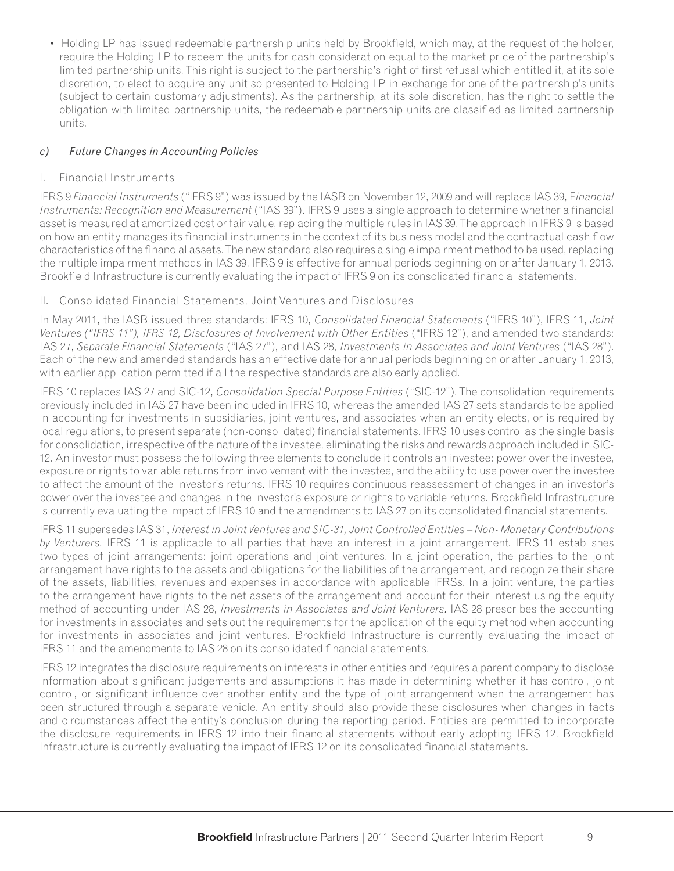• Holding LP has issued redeemable partnership units held by Brookfield, which may, at the request of the holder, require the Holding LP to redeem the units for cash consideration equal to the market price of the partnership's limited partnership units. This right is subject to the partnership's right of first refusal which entitled it, at its sole discretion, to elect to acquire any unit so presented to Holding LP in exchange for one of the partnership's units (subject to certain customary adjustments). As the partnership, at its sole discretion, has the right to settle the obligation with limited partnership units, the redeemable partnership units are classified as limited partnership units.

# *c) Future Changes in Accounting Policies*

# I. Financial Instruments

IFRS 9 *Financial Instruments* ("IFRS 9") was issued by the IASB on November 12, 2009 and will replace IAS 39, F*inancial Instruments: Recognition and Measurement* ("IAS 39"). IFRS 9 uses a single approach to determine whether a financial asset is measured at amortized cost or fair value, replacing the multiple rules in IAS 39. The approach in IFRS 9 is based on how an entity manages its financial instruments in the context of its business model and the contractual cash flow characteristics of the financial assets. The new standard also requires a single impairment method to be used, replacing the multiple impairment methods in IAS 39. IFRS 9 is effective for annual periods beginning on or after January 1, 2013. Brookfield Infrastructure is currently evaluating the impact of IFRS 9 on its consolidated financial statements.

# II. Consolidated Financial Statements, Joint Ventures and Disclosures

In May 2011, the IASB issued three standards: IFRS 10, *Consolidated Financial Statements* ("IFRS 10"), IFRS 11, *Joint*  Ventures ("IFRS 11"), IFRS 12, Disclosures of Involvement with Other Entities ("IFRS 12"), and amended two standards: IAS 27, *Separate Financial Statements* ("IAS 27"), and IAS 28, *Investments in Associates and Joint Ventures* ("IAS 28"). Each of the new and amended standards has an effective date for annual periods beginning on or after January 1, 2013, with earlier application permitted if all the respective standards are also early applied.

IFRS 10 replaces IAS 27 and SIC-12, *Consolidation Special Purpose Entities* ("SIC-12"). The consolidation requirements previously included in IAS 27 have been included in IFRS 10, whereas the amended IAS 27 sets standards to be applied in accounting for investments in subsidiaries, joint ventures, and associates when an entity elects, or is required by local regulations, to present separate (non-consolidated) financial statements. IFRS 10 uses control as the single basis for consolidation, irrespective of the nature of the investee, eliminating the risks and rewards approach included in SIC-12. An investor must possess the following three elements to conclude it controls an investee: power over the investee, exposure or rights to variable returns from involvement with the investee, and the ability to use power over the investee to affect the amount of the investor's returns. IFRS 10 requires continuous reassessment of changes in an investor's power over the investee and changes in the investor's exposure or rights to variable returns. Brookfield Infrastructure is currently evaluating the impact of IFRS 10 and the amendments to IAS 27 on its consolidated financial statements.

IFRS 11 supersedes IAS 31, *Interest in Joint Ventures and SIC-31, Joint Controlled Entities – Non- Monetary Contributions by Venturers.* IFRS 11 is applicable to all parties that have an interest in a joint arrangement. IFRS 11 establishes two types of joint arrangements: joint operations and joint ventures. In a joint operation, the parties to the joint arrangement have rights to the assets and obligations for the liabilities of the arrangement, and recognize their share of the assets, liabilities, revenues and expenses in accordance with applicable IFRSs. In a joint venture, the parties to the arrangement have rights to the net assets of the arrangement and account for their interest using the equity method of accounting under IAS 28, *Investments in Associates and Joint Venturers.* IAS 28 prescribes the accounting for investments in associates and sets out the requirements for the application of the equity method when accounting for investments in associates and joint ventures. Brookfield Infrastructure is currently evaluating the impact of IFRS 11 and the amendments to IAS 28 on its consolidated financial statements.

IFRS 12 integrates the disclosure requirements on interests in other entities and requires a parent company to disclose information about significant judgements and assumptions it has made in determining whether it has control, joint control, or significant influence over another entity and the type of joint arrangement when the arrangement has been structured through a separate vehicle. An entity should also provide these disclosures when changes in facts and circumstances affect the entity's conclusion during the reporting period. Entities are permitted to incorporate the disclosure requirements in IFRS 12 into their financial statements without early adopting IFRS 12. Brookfield Infrastructure is currently evaluating the impact of IFRS 12 on its consolidated financial statements.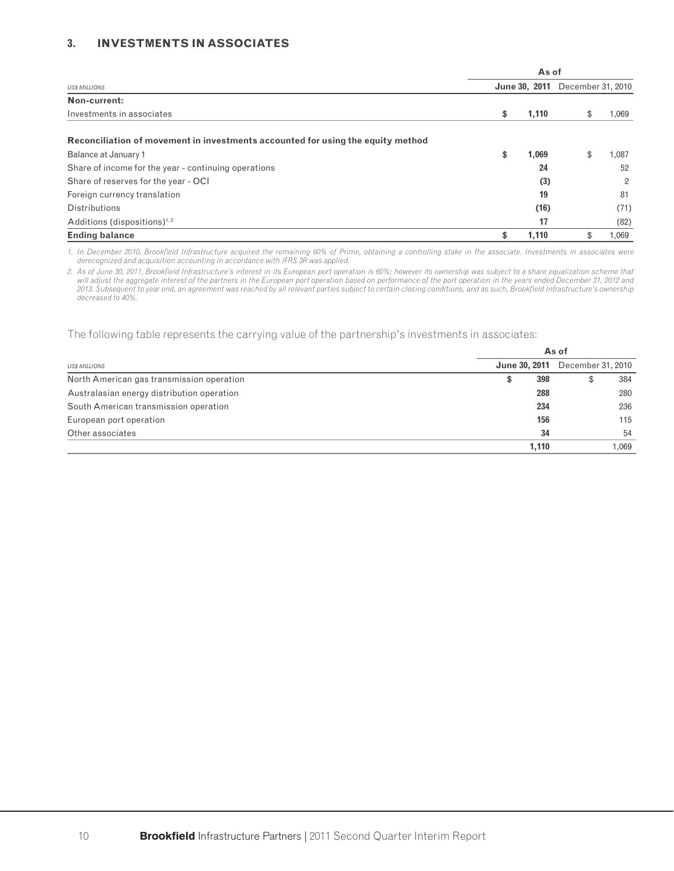#### **3. INVESTMENTS IN ASSOCIATES**

|                                                                                 | As of       |                                        |                |  |  |
|---------------------------------------------------------------------------------|-------------|----------------------------------------|----------------|--|--|
| <b>USS MILLIONS</b>                                                             |             | <b>June 30, 2011</b> December 31, 2010 |                |  |  |
| Non-current:                                                                    |             |                                        |                |  |  |
| Investments in associates                                                       | \$<br>1,110 |                                        | 1,069          |  |  |
| Reconciliation of movement in investments accounted for using the equity method |             |                                        |                |  |  |
| Balance at January 1                                                            | \$<br>1,069 | \$                                     | 1,087          |  |  |
| Share of income for the year - continuing operations                            | 24          |                                        | 52             |  |  |
| Share of reserves for the year - OCI                                            | (3)         |                                        | $\overline{2}$ |  |  |
| Foreign currency translation                                                    | 19          |                                        | 81             |  |  |
| <b>Distributions</b>                                                            | (16)        |                                        | (71)           |  |  |
| Additions (dispositions) $1, 2$                                                 | 17          |                                        | (82)           |  |  |
| <b>Ending balance</b>                                                           | \$<br>1.110 |                                        | 1,069          |  |  |

1. In December 2010, Brookfield Infrastructure acquired the remaining 60% of Prime, obtaining a controlling stake in the associate. Investments in associates were *derecognized and acquisition accounting in accordance with IFRS 3R was applied.*

2. As of June 30, 2011, Brookfield Infrastructure's interest in its European port operation is 60%; however its ownership was subject to a share equalization scheme that *will adjust the aggregate interest of the partners in the European port operation based on performance of the port operation in the years ended December 31, 2012 and*  2013. Subsequent to year end, an agreement was reached by all relevant parties subject to certain closing conditions, and as such, Brookfield Infrastructure's ownership *decreased to 40%.*

The following table represents the carrying value of the partnership's investments in associates:

|                                            |                      | As of             |       |  |  |  |  |  |  |
|--------------------------------------------|----------------------|-------------------|-------|--|--|--|--|--|--|
| <b>US\$ MILLIONS</b>                       | <b>June 30, 2011</b> | December 31, 2010 |       |  |  |  |  |  |  |
| North American gas transmission operation  | 398<br>Œ             |                   | 384   |  |  |  |  |  |  |
| Australasian energy distribution operation | 288                  |                   | 280   |  |  |  |  |  |  |
| South American transmission operation      | 234                  |                   | 236   |  |  |  |  |  |  |
| European port operation                    | 156                  |                   | 115   |  |  |  |  |  |  |
| Other associates                           | 34                   |                   | 54    |  |  |  |  |  |  |
|                                            | 1.110                |                   | 1.069 |  |  |  |  |  |  |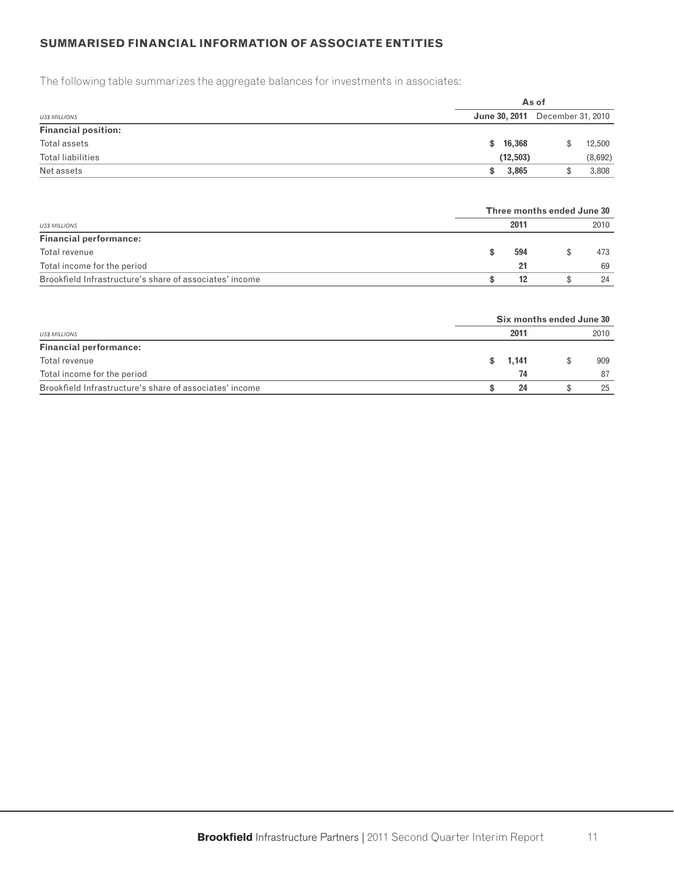# **SUMMARISED FINANCIAL INFORMATION OF ASSOCIATE ENTITIES**

The following table summarizes the aggregate balances for investments in associates:

|                            |                                        | As of |         |  |  |  |  |  |
|----------------------------|----------------------------------------|-------|---------|--|--|--|--|--|
| <b>US\$ MILLIONS</b>       | <b>June 30, 2011</b> December 31, 2010 |       |         |  |  |  |  |  |
| <b>Financial position:</b> |                                        |       |         |  |  |  |  |  |
| Total assets               | \$16,368                               |       | 12,500  |  |  |  |  |  |
| Total liabilities          | (12, 503)                              |       | (8,692) |  |  |  |  |  |
| Net assets                 | 3,865<br>SS.                           |       | 3,808   |  |  |  |  |  |

|                                                         |      | Three months ended June 30 |      |
|---------------------------------------------------------|------|----------------------------|------|
| <b>USS MILLIONS</b>                                     | 2011 |                            | 2010 |
| <b>Financial performance:</b>                           |      |                            |      |
| Total revenue                                           | 594  |                            | 473  |
| Total income for the period                             | 21   |                            | 69   |
| Brookfield Infrastructure's share of associates' income | 12   |                            | 24   |

|                                                         | Six months ended June 30 |      |
|---------------------------------------------------------|--------------------------|------|
| <b>US\$ MILLIONS</b>                                    | 2011                     | 2010 |
| <b>Financial performance:</b>                           |                          |      |
| Total revenue                                           | \$ 1,141                 | 909  |
| Total income for the period                             | 74                       | 87   |
| Brookfield Infrastructure's share of associates' income | 24                       | 25   |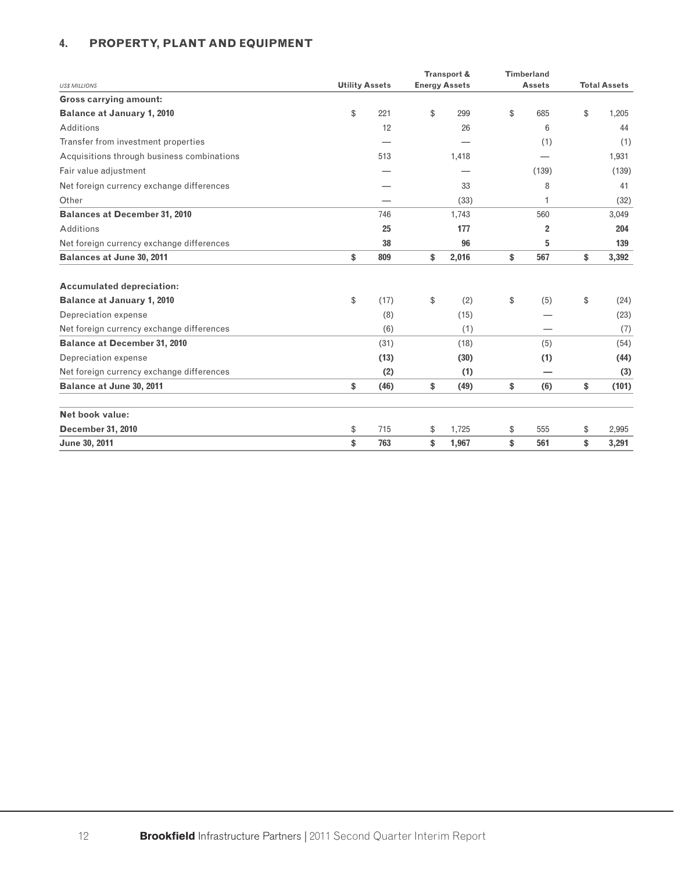# **4. PROPERTY, PLANT AND EQUIPMENT**

|                                            |                       | Transport &          | <b>Timberland</b> |                     |
|--------------------------------------------|-----------------------|----------------------|-------------------|---------------------|
| <b>US\$ MILLIONS</b>                       | <b>Utility Assets</b> | <b>Energy Assets</b> | <b>Assets</b>     | <b>Total Assets</b> |
| <b>Gross carrying amount:</b>              |                       |                      |                   |                     |
| <b>Balance at January 1, 2010</b>          | \$<br>221             | \$<br>299            | \$<br>685         | \$<br>1,205         |
| Additions                                  | 12                    | 26                   | 6                 | 44                  |
| Transfer from investment properties        |                       |                      | (1)               | (1)                 |
| Acquisitions through business combinations | 513                   | 1,418                |                   | 1,931               |
| Fair value adjustment                      |                       |                      | (139)             | (139)               |
| Net foreign currency exchange differences  |                       | 33                   | 8                 | 41                  |
| Other                                      |                       | (33)                 | 1                 | (32)                |
| <b>Balances at December 31, 2010</b>       | 746                   | 1,743                | 560               | 3,049               |
| Additions                                  | 25                    | 177                  | 2                 | 204                 |
| Net foreign currency exchange differences  | 38                    | 96                   | 5                 | 139                 |
| <b>Balances at June 30, 2011</b>           | \$<br>809             | \$<br>2,016          | \$<br>567         | \$<br>3,392         |
| <b>Accumulated depreciation:</b>           |                       |                      |                   |                     |
| <b>Balance at January 1, 2010</b>          | \$<br>(17)            | \$<br>(2)            | \$<br>(5)         | \$<br>(24)          |
| Depreciation expense                       | (8)                   | (15)                 |                   | (23)                |
| Net foreign currency exchange differences  | (6)                   | (1)                  |                   | (7)                 |
| <b>Balance at December 31, 2010</b>        | (31)                  | (18)                 | (5)               | (54)                |
| Depreciation expense                       | (13)                  | (30)                 | (1)               | (44)                |
| Net foreign currency exchange differences  | (2)                   | (1)                  |                   | (3)                 |
| Balance at June 30, 2011                   | \$<br>(46)            | \$<br>(49)           | \$<br>(6)         | \$<br>(101)         |
| Net book value:                            |                       |                      |                   |                     |
| <b>December 31, 2010</b>                   | \$<br>715             | \$<br>1,725          | \$<br>555         | \$<br>2,995         |
| June 30, 2011                              | \$<br>763             | \$<br>1,967          | \$<br>561         | \$<br>3,291         |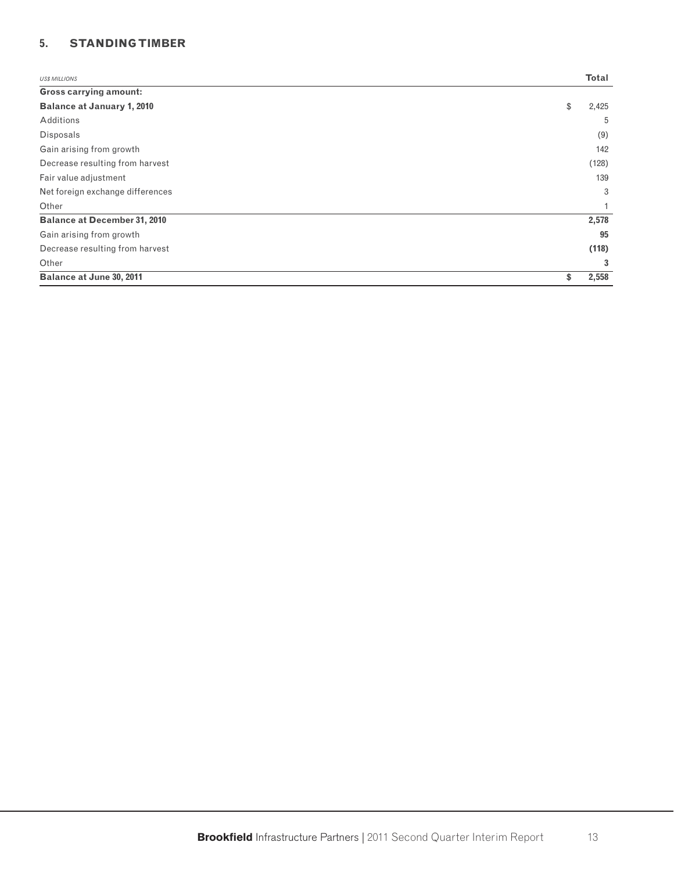# **5. STANDING TIMBER**

| <b>USS MILLIONS</b>                 | Total       |
|-------------------------------------|-------------|
| <b>Gross carrying amount:</b>       |             |
| <b>Balance at January 1, 2010</b>   | \$<br>2,425 |
| Additions                           | 5           |
| <b>Disposals</b>                    | (9)         |
| Gain arising from growth            | 142         |
| Decrease resulting from harvest     | (128)       |
| Fair value adjustment               | 139         |
| Net foreign exchange differences    | 3           |
| Other                               |             |
| <b>Balance at December 31, 2010</b> | 2,578       |
| Gain arising from growth            | 95          |
| Decrease resulting from harvest     | (118)       |
| Other                               | 3           |
| Balance at June 30, 2011            | \$<br>2,558 |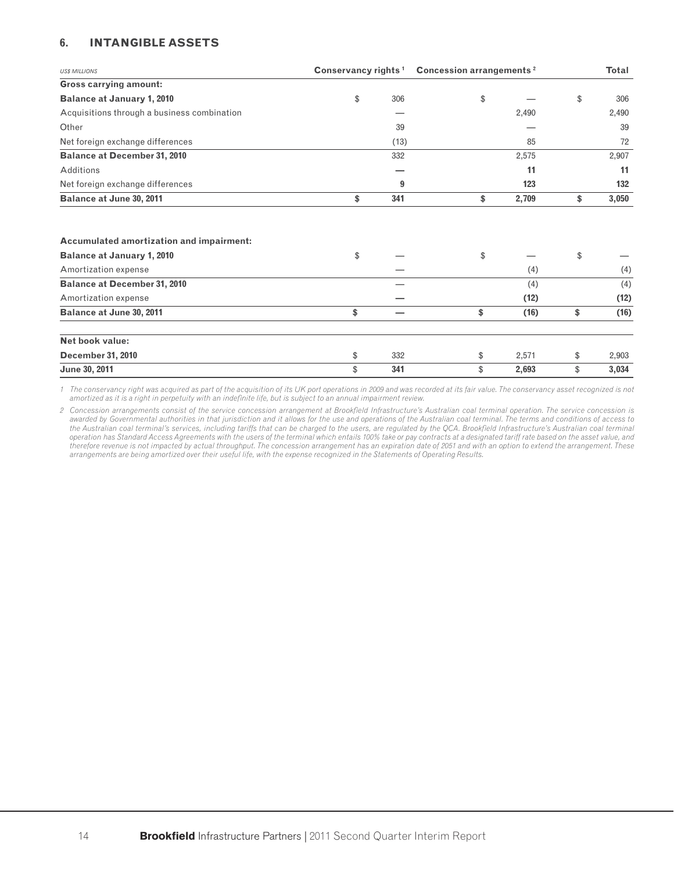# **6. INTANGIBLE ASSETS**

| <b>US\$ MILLIONS</b>                                                                                         | Conservancy rights <sup>1</sup> |      | <b>Concession arrangements<sup>2</sup></b> |       | Total       |
|--------------------------------------------------------------------------------------------------------------|---------------------------------|------|--------------------------------------------|-------|-------------|
| <b>Gross carrying amount:</b>                                                                                |                                 |      |                                            |       |             |
| <b>Balance at January 1, 2010</b>                                                                            | \$                              | 306  | \$                                         |       | \$<br>306   |
| Acquisitions through a business combination                                                                  |                                 |      |                                            | 2,490 | 2,490       |
| Other                                                                                                        |                                 | 39   |                                            |       | 39          |
| Net foreign exchange differences                                                                             |                                 | (13) |                                            | 85    | 72          |
| <b>Balance at December 31, 2010</b>                                                                          |                                 | 332  |                                            | 2,575 | 2,907       |
| Additions                                                                                                    |                                 |      |                                            | 11    | 11          |
| Net foreign exchange differences                                                                             |                                 | 9    |                                            | 123   | 132         |
| Balance at June 30, 2011                                                                                     | \$                              | 341  | \$                                         | 2,709 | \$<br>3,050 |
| <b>Accumulated amortization and impairment:</b><br><b>Balance at January 1, 2010</b><br>Amortization expense | \$                              |      | \$                                         | (4)   | \$<br>(4)   |
| <b>Balance at December 31, 2010</b>                                                                          |                                 |      |                                            | (4)   | (4)         |
| Amortization expense                                                                                         |                                 |      |                                            | (12)  | (12)        |
| Balance at June 30, 2011                                                                                     | \$                              | -    | \$                                         | (16)  | \$<br>(16)  |
| Net book value:                                                                                              |                                 |      |                                            |       |             |
| <b>December 31, 2010</b>                                                                                     | \$                              | 332  | \$                                         | 2,571 | \$<br>2,903 |
| June 30, 2011                                                                                                | \$                              | 341  | \$                                         | 2,693 | \$<br>3,034 |

*1 The conservancy right was acquired as part of the acquisition of its UK port operations in 2009 and was recorded at its fair value. The conservancy asset recognized is not amortized as it is a right in perpetuity with an indefi nite life, but is subject to an annual impairment review.*

2 Concession arrangements consist of the service concession arrangement at Brookfield Infrastructure's Australian coal terminal operation. The service concession is *awarded by Governmental authorities in that jurisdiction and it allows for the use and operations of the Australian coal terminal. The terms and conditions of access to*  the Australian coal terminal's services, including tariffs that can be charged to the users, are regulated by the QCA. Brookfield Infrastructure's Australian coal terminal *operation has Standard Access Agreements with the users of the terminal which entails 100% take or pay contracts at a designated tariff rate based on the asset value, and therefore revenue is not impacted by actual throughput. The concession arrangement has an expiration date of 2051 and with an option to extend the arrangement. These arrangements are being amortized over their useful life, with the expense recognized in the Statements of Operating Results.*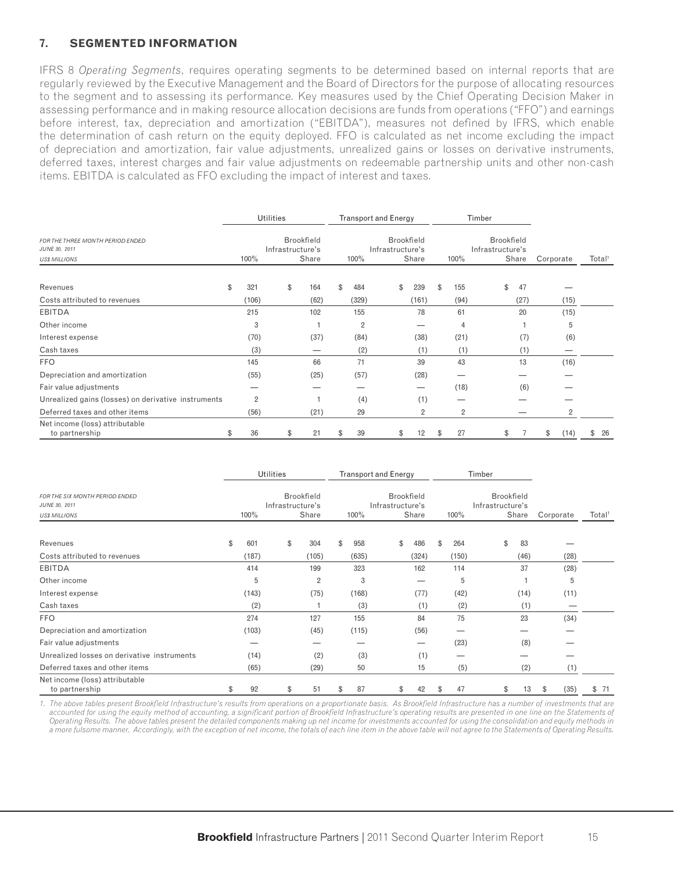#### **7. SEGMENTED INFORMATION**

IFRS 8 *Operating Segments*, requires operating segments to be determined based on internal reports that are regularly reviewed by the Executive Management and the Board of Directors for the purpose of allocating resources to the segment and to assessing its performance. Key measures used by the Chief Operating Decision Maker in assessing performance and in making resource allocation decisions are funds from operations ("FFO") and earnings before interest, tax, depreciation and amortization ("EBITDA"), measures not defined by IFRS, which enable the determination of cash return on the equity deployed. FFO is calculated as net income excluding the impact of depreciation and amortization, fair value adjustments, unrealized gains or losses on derivative instruments, deferred taxes, interest charges and fair value adjustments on redeemable partnership units and other non-cash items. EBITDA is calculated as FFO excluding the impact of interest and taxes.

|                                                                           |                | <b>Utilities</b> |                            |    |                | <b>Transport and Energy</b> |    |                            |    |                | Timber                                |       |           |      |                    |
|---------------------------------------------------------------------------|----------------|------------------|----------------------------|----|----------------|-----------------------------|----|----------------------------|----|----------------|---------------------------------------|-------|-----------|------|--------------------|
| FOR THE THREE MONTH PERIOD ENDED<br>JUNE 30, 2011<br><b>US\$ MILLIONS</b> | $100\%$        | Infrastructure's | <b>Brookfield</b><br>Share |    | 100%           | Infrastructure's            |    | <b>Brookfield</b><br>Share |    | 100%           | <b>Brookfield</b><br>Infrastructure's | Share | Corporate |      | Total <sup>1</sup> |
|                                                                           |                |                  |                            |    |                |                             |    |                            |    |                |                                       |       |           |      |                    |
| Revenues                                                                  | \$<br>321      |                  | \$<br>164                  | \$ | 484            |                             | \$ | 239                        | \$ | 155            | \$                                    | 47    |           |      |                    |
| Costs attributed to revenues                                              | (106)          |                  | (62)                       |    | (329)          |                             |    | (161)                      |    | (94)           |                                       | (27)  |           | (15) |                    |
| <b>EBITDA</b>                                                             | 215            |                  | 102                        |    | 155            |                             |    | 78                         |    | 61             |                                       | 20    |           | (15) |                    |
| Other income                                                              | 3              |                  |                            |    | $\overline{2}$ |                             |    | _                          |    | 4              |                                       |       |           | 5    |                    |
| Interest expense                                                          | (70)           |                  | (37)                       |    | (84)           |                             |    | (38)                       |    | (21)           |                                       | (7)   |           | (6)  |                    |
| Cash taxes                                                                | (3)            |                  |                            |    | (2)            |                             |    | (1)                        |    | (1)            |                                       | (1)   |           |      |                    |
| <b>FFO</b>                                                                | 145            |                  | 66                         |    | 71             |                             |    | 39                         |    | 43             |                                       | 13    |           | (16) |                    |
| Depreciation and amortization                                             | (55)           |                  | (25)                       |    | (57)           |                             |    | (28)                       |    |                |                                       |       |           |      |                    |
| Fair value adjustments                                                    |                |                  |                            |    |                |                             |    | —                          |    | (18)           |                                       | (6)   |           |      |                    |
| Unrealized gains (losses) on derivative instruments                       | $\overline{2}$ |                  |                            |    | (4)            |                             |    | (1)                        |    |                |                                       |       |           |      |                    |
| Deferred taxes and other items                                            | (56)           |                  | (21)                       |    | 29             |                             |    | 2                          |    | $\overline{2}$ |                                       |       |           | 2    |                    |
| Net income (loss) attributable<br>to partnership                          | \$<br>36       |                  | \$<br>21                   | S  | 39             |                             | S  | 12                         | æ. | 27             | \$.                                   |       | S         | (14) | \$<br>26           |

|                                                                         |    |       | Utilities                                      |                |      |       | <b>Transport and Energy</b>                    |       |      |       | Timber                                |       |           |      |                    |
|-------------------------------------------------------------------------|----|-------|------------------------------------------------|----------------|------|-------|------------------------------------------------|-------|------|-------|---------------------------------------|-------|-----------|------|--------------------|
| FOR THE SIX MONTH PERIOD ENDED<br>JUNE 30, 2011<br><b>US\$ MILLIONS</b> |    | 100%  | <b>Brookfield</b><br>Infrastructure's<br>Share |                | 100% |       | <b>Brookfield</b><br>Infrastructure's<br>Share |       | 100% |       | <b>Brookfield</b><br>Infrastructure's | Share | Corporate |      | Total <sup>1</sup> |
| Revenues                                                                | \$ | 601   | \$                                             | 304            | \$   | 958   | \$                                             | 486   | \$   | 264   | \$                                    | 83    |           |      |                    |
| Costs attributed to revenues                                            |    | (187) |                                                | (105)          |      | (635) |                                                | (324) |      | (150) |                                       | (46)  |           | (28) |                    |
| <b>EBITDA</b>                                                           |    | 414   |                                                | 199            |      | 323   |                                                | 162   |      | 114   |                                       | 37    |           | (28) |                    |
| Other income                                                            |    | 5     |                                                | $\overline{2}$ |      | 3     |                                                |       |      | 5     |                                       |       |           | 5    |                    |
| Interest expense                                                        |    | (143) |                                                | (75)           |      | (168) |                                                | (77)  |      | (42)  |                                       | (14)  |           | (11) |                    |
| Cash taxes                                                              |    | (2)   |                                                |                |      | (3)   |                                                | (1)   |      | (2)   |                                       | (1)   |           |      |                    |
| <b>FFO</b>                                                              |    | 274   |                                                | 127            |      | 155   |                                                | 84    |      | 75    |                                       | 23    |           | (34) |                    |
| Depreciation and amortization                                           |    | (103) |                                                | (45)           |      | (115) |                                                | (56)  |      |       |                                       |       |           |      |                    |
| Fair value adjustments                                                  |    |       |                                                |                |      |       |                                                |       |      | (23)  |                                       | (8)   |           |      |                    |
| Unrealized losses on derivative instruments                             |    | (14)  |                                                | (2)            |      | (3)   |                                                | (1)   |      |       |                                       |       |           |      |                    |
| Deferred taxes and other items                                          |    | (65)  |                                                | (29)           |      | 50    |                                                | 15    |      | (5)   |                                       | (2)   |           | (1)  |                    |
| Net income (loss) attributable<br>to partnership                        | S  | 92    | \$                                             | 51             | \$.  | 87    | \$                                             | 42    | S    | 47    | \$                                    | 13    | \$        | (35) | \$71               |

1. The above tables present Brookfield Infrastructure's results from operations on a proportionate basis. As Brookfield Infrastructure has a number of investments that are accounted for using the equity method of accounting, a significant portion of Brookfield Infrastructure's operating results are presented in one line on the Statements of *Operating Results. The above tables present the detailed components making up net income for investments accounted for using the consolidation and equity methods in a more fulsome manner. Accordingly, with the exception of net income, the totals of each line item in the above table will not agree to the Statements of Operating Results.*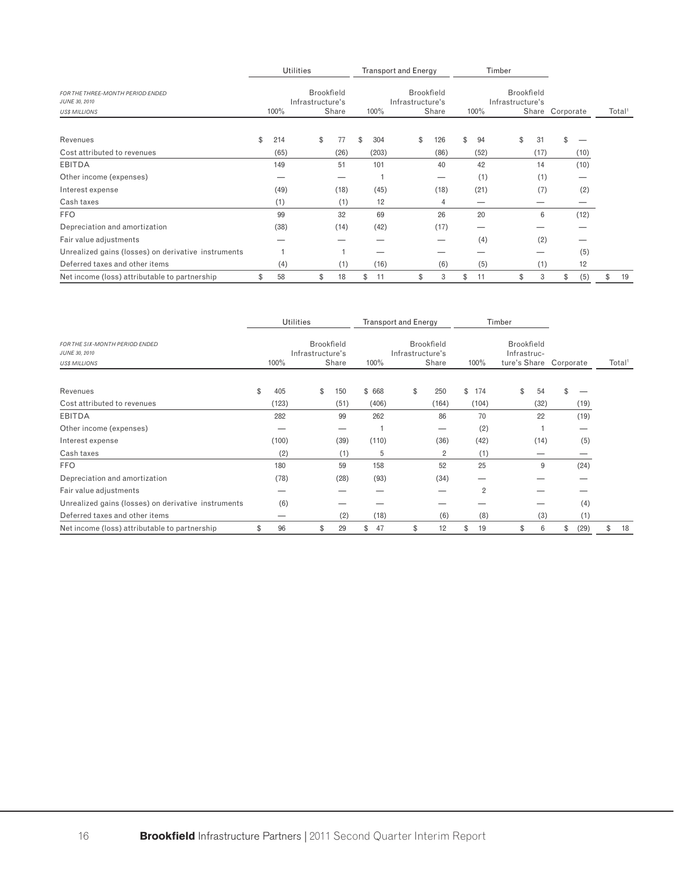|                                                     |           | <b>Utilities</b> |                   |           | <b>Transport and Energy</b> |                   |          | Timber                                |      |                 |                          |                    |
|-----------------------------------------------------|-----------|------------------|-------------------|-----------|-----------------------------|-------------------|----------|---------------------------------------|------|-----------------|--------------------------|--------------------|
| FOR THE THREE-MONTH PERIOD ENDED<br>JUNE 30, 2010   |           | Infrastructure's | <b>Brookfield</b> |           | Infrastructure's            | <b>Brookfield</b> |          | <b>Brookfield</b><br>Infrastructure's |      |                 |                          |                    |
| <b>US\$ MILLIONS</b>                                | 100%      |                  | Share             | 100%      |                             | Share             | 100%     |                                       |      | Share Corporate |                          | Total <sup>1</sup> |
| Revenues                                            | \$<br>214 |                  | \$<br>77          | \$<br>304 | \$                          | 126               | \$<br>94 | \$                                    | 31   | \$              |                          |                    |
| Cost attributed to revenues                         | (65)      |                  | (26)              | (203)     |                             | (86)              | (52)     |                                       | (17) |                 | (10)                     |                    |
| <b>EBITDA</b>                                       | 149       |                  | 51                | 101       |                             | 40                | 42       |                                       | 14   |                 | (10)                     |                    |
| Other income (expenses)                             |           |                  | —                 |           |                             |                   | (1)      |                                       | (1)  |                 |                          |                    |
| Interest expense                                    | (49)      |                  | (18)              | (45)      |                             | (18)              | (21)     |                                       | (7)  |                 | (2)                      |                    |
| Cash taxes                                          | (1)       |                  | (1)               | 12        |                             | 4                 |          |                                       |      |                 | $\overline{\phantom{a}}$ |                    |
| <b>FFO</b>                                          | 99        |                  | 32                | 69        |                             | 26                | 20       |                                       | 6    |                 | (12)                     |                    |
| Depreciation and amortization                       | (38)      |                  | (14)              | (42)      |                             | (17)              |          |                                       |      |                 |                          |                    |
| Fair value adjustments                              |           |                  |                   |           |                             |                   | (4)      |                                       | (2)  |                 |                          |                    |
| Unrealized gains (losses) on derivative instruments |           |                  |                   |           |                             |                   |          |                                       |      |                 | (5)                      |                    |
| Deferred taxes and other items                      | (4)       |                  | (1)               | (16)      |                             | (6)               | (5)      |                                       | (1)  |                 | 12                       |                    |
| Net income (loss) attributable to partnership       | \$<br>58  |                  | \$<br>18          | 11<br>\$  | \$                          | 3                 | \$<br>11 | \$                                    | 3    | \$              | (5)                      | \$<br>19           |

|                                                                                |           | <b>Utilities</b> |                            |          | <b>Transport and Energy</b> |                            |            |                | Timber |                                  |                        |      |                    |
|--------------------------------------------------------------------------------|-----------|------------------|----------------------------|----------|-----------------------------|----------------------------|------------|----------------|--------|----------------------------------|------------------------|------|--------------------|
| <b>FOR THE SIX-MONTH PERIOD ENDED</b><br>JUNE 30, 2010<br><b>US\$ MILLIONS</b> | 100%      | Infrastructure's | <b>Brookfield</b><br>Share | 100%     | Infrastructure's            | <b>Brookfield</b><br>Share |            | 100%           |        | <b>Brookfield</b><br>Infrastruc- | ture's Share Corporate |      | Total <sup>1</sup> |
|                                                                                |           |                  |                            |          |                             |                            |            |                |        |                                  |                        |      |                    |
| Revenues                                                                       | \$<br>405 |                  | \$<br>150                  | \$668    | \$                          | 250                        | $^{\circ}$ | 174            |        | \$<br>54                         | \$                     |      |                    |
| Cost attributed to revenues                                                    | (123)     |                  | (51)                       | (406)    |                             | (164)                      |            | (104)          |        | (32)                             |                        | (19) |                    |
| <b>EBITDA</b>                                                                  | 282       |                  | 99                         | 262      |                             | 86                         |            | 70             |        | 22                               |                        | (19) |                    |
| Other income (expenses)                                                        |           |                  |                            |          |                             |                            |            | (2)            |        |                                  |                        |      |                    |
| Interest expense                                                               | (100)     |                  | (39)                       | (110)    |                             | (36)                       |            | (42)           |        | (14)                             |                        | (5)  |                    |
| Cash taxes                                                                     | (2)       |                  | (1)                        | 5        |                             | 2                          |            | (1)            |        |                                  |                        |      |                    |
| <b>FFO</b>                                                                     | 180       |                  | 59                         | 158      |                             | 52                         |            | 25             |        | 9                                |                        | (24) |                    |
| Depreciation and amortization                                                  | (78)      |                  | (28)                       | (93)     |                             | (34)                       |            |                |        |                                  |                        |      |                    |
| Fair value adjustments                                                         |           |                  |                            |          |                             |                            |            | $\overline{2}$ |        |                                  |                        |      |                    |
| Unrealized gains (losses) on derivative instruments                            | (6)       |                  |                            |          |                             |                            |            |                |        |                                  |                        | (4)  |                    |
| Deferred taxes and other items                                                 | _         |                  | (2)                        | (18)     |                             | (6)                        |            | (8)            |        | (3)                              |                        | (1)  |                    |
| Net income (loss) attributable to partnership                                  | \$<br>96  |                  | \$<br>29                   | \$<br>47 | \$                          | 12                         | \$         | 19             |        | \$<br>6                          | \$                     | (29) | \$<br>18           |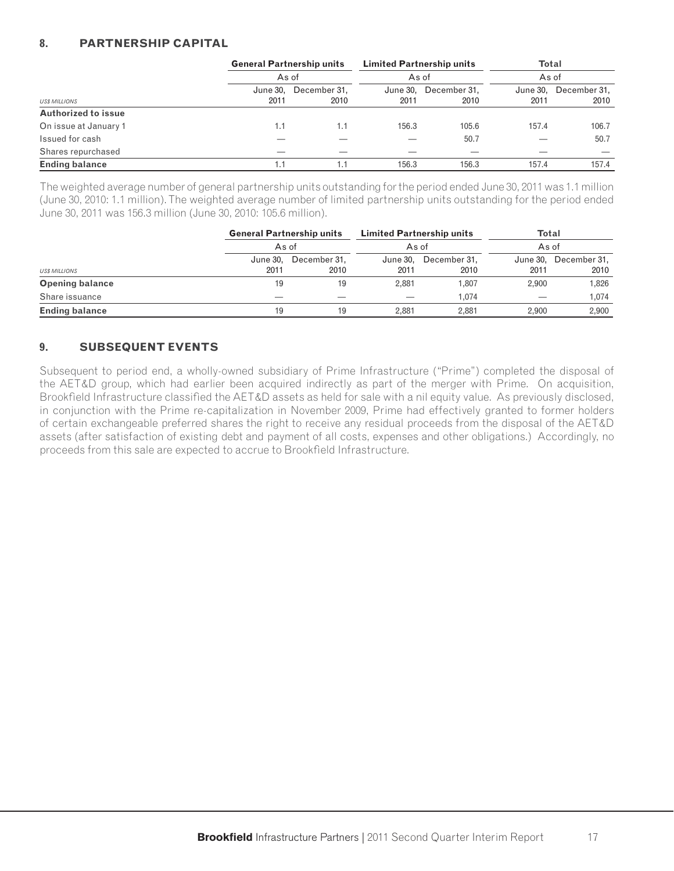## **8. PARTNERSHIP CAPITAL**

|                            | <b>General Partnership units</b> |              | <b>Limited Partnership units</b> |              | <b>Total</b> |              |
|----------------------------|----------------------------------|--------------|----------------------------------|--------------|--------------|--------------|
|                            |                                  | As of        | As of                            |              | As of        |              |
|                            | June 30.                         | December 31. | June 30,                         | December 31. | June 30.     | December 31, |
| <b>USS MILLIONS</b>        | 2011                             | 2010         | 2011                             | 2010         | 2011         | 2010         |
| <b>Authorized to issue</b> |                                  |              |                                  |              |              |              |
| On issue at January 1      | 1.1                              | 1.1          | 156.3                            | 105.6        | 157.4        | 106.7        |
| Issued for cash            |                                  |              |                                  | 50.7         |              | 50.7         |
| Shares repurchased         |                                  |              |                                  |              |              |              |
| <b>Ending balance</b>      |                                  | 1.1          | 156.3                            | 156.3        | 157.4        | 157.4        |

The weighted average number of general partnership units outstanding for the period ended June 30, 2011 was 1.1 million (June 30, 2010: 1.1 million). The weighted average number of limited partnership units outstanding for the period ended June 30, 2011 was 156.3 million (June 30, 2010: 105.6 million).

|                        | <b>General Partnership units</b> |              | <b>Limited Partnership units</b> |              | <b>Total</b> |                       |  |  |  |  |
|------------------------|----------------------------------|--------------|----------------------------------|--------------|--------------|-----------------------|--|--|--|--|
|                        | As of                            |              | As of                            |              |              | As of                 |  |  |  |  |
|                        | June 30,                         | December 31. | June 30,                         | December 31. |              | June 30, December 31, |  |  |  |  |
| <b>US\$ MILLIONS</b>   | 2011                             | 2010         | 2011                             | 2010         | 2011         | 2010                  |  |  |  |  |
| <b>Opening balance</b> | 19                               | 19           | 2.881                            | 1.807        | 2.900        | 1,826                 |  |  |  |  |
| Share issuance         |                                  |              |                                  | 1.074        |              | 1.074                 |  |  |  |  |
| <b>Ending balance</b>  | 19                               | 19           | 2.881                            | 2.881        | 2.900        | 2,900                 |  |  |  |  |

# **9. SUBSEQUENT EVENTS**

Subsequent to period end, a wholly-owned subsidiary of Prime Infrastructure ("Prime") completed the disposal of the AET&D group, which had earlier been acquired indirectly as part of the merger with Prime. On acquisition, Brookfield Infrastructure classified the AET&D assets as held for sale with a nil equity value. As previously disclosed, in conjunction with the Prime re-capitalization in November 2009, Prime had effectively granted to former holders of certain exchangeable preferred shares the right to receive any residual proceeds from the disposal of the AET&D assets (after satisfaction of existing debt and payment of all costs, expenses and other obligations.) Accordingly, no proceeds from this sale are expected to accrue to Brookfield Infrastructure.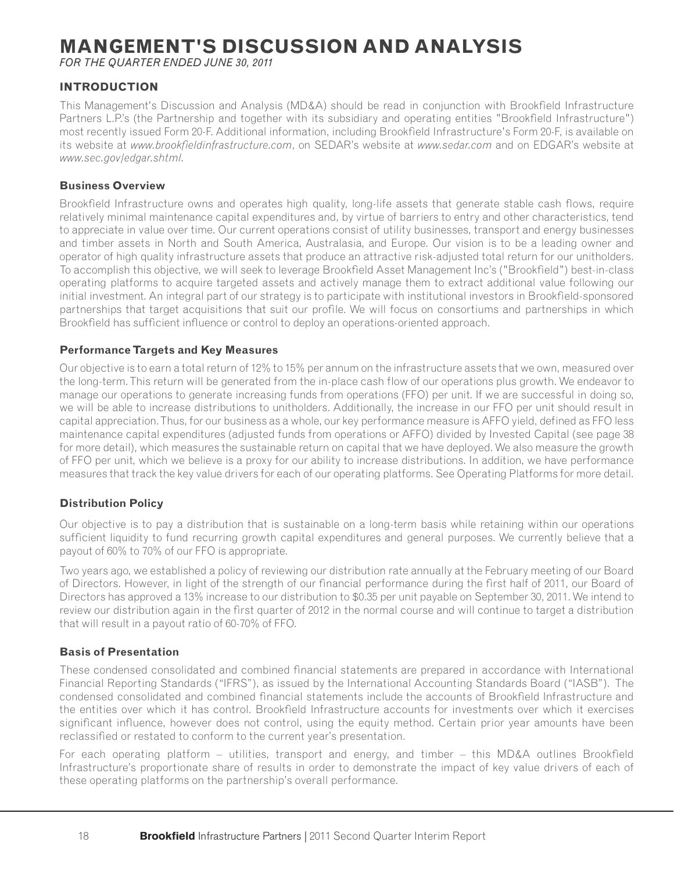# **MANGEMENT'S DISCUSSION AND ANALYSIS**

*FOR THE QUARTER ENDED JUNE 30, 2011*

# **INTRODUCTION**

This Management's Discussion and Analysis (MD&A) should be read in conjunction with Brookfield Infrastructure Partners L.P.'s (the Partnership and together with its subsidiary and operating entities "Brookfield Infrastructure") most recently issued Form 20-F. Additional information, including Brookfield Infrastructure's Form 20-F, is available on its website at *www.brookfieldinfrastructure.com*, on SEDAR's website at *www.sedar.com* and on EDGAR's website at *www.sec.gov/edgar.shtml.*

#### **Business Overview**

Brookfield Infrastructure owns and operates high quality, long-life assets that generate stable cash flows, require relatively minimal maintenance capital expenditures and, by virtue of barriers to entry and other characteristics, tend to appreciate in value over time. Our current operations consist of utility businesses, transport and energy businesses and timber assets in North and South America, Australasia, and Europe. Our vision is to be a leading owner and operator of high quality infrastructure assets that produce an attractive risk-adjusted total return for our unitholders. To accomplish this objective, we will seek to leverage Brookfield Asset Management Inc's ("Brookfield") best-in-class operating platforms to acquire targeted assets and actively manage them to extract additional value following our initial investment. An integral part of our strategy is to participate with institutional investors in Brookfield-sponsored partnerships that target acquisitions that suit our profile. We will focus on consortiums and partnerships in which Brookfield has sufficient influence or control to deploy an operations-oriented approach.

#### **Performance Targets and Key Measures**

Our objective is to earn a total return of 12% to 15% per annum on the infrastructure assets that we own, measured over the long-term. This return will be generated from the in-place cash flow of our operations plus growth. We endeavor to manage our operations to generate increasing funds from operations (FFO) per unit. If we are successful in doing so, we will be able to increase distributions to unitholders. Additionally, the increase in our FFO per unit should result in capital appreciation. Thus, for our business as a whole, our key performance measure is AFFO yield, defined as FFO less maintenance capital expenditures (adjusted funds from operations or AFFO) divided by Invested Capital (see page 38 for more detail), which measures the sustainable return on capital that we have deployed. We also measure the growth of FFO per unit, which we believe is a proxy for our ability to increase distributions. In addition, we have performance measures that track the key value drivers for each of our operating platforms. See Operating Platforms for more detail.

#### **Distribution Policy**

Our objective is to pay a distribution that is sustainable on a long-term basis while retaining within our operations sufficient liquidity to fund recurring growth capital expenditures and general purposes. We currently believe that a payout of 60% to 70% of our FFO is appropriate.

Two years ago, we established a policy of reviewing our distribution rate annually at the February meeting of our Board of Directors. However, in light of the strength of our financial performance during the first half of 2011, our Board of Directors has approved a 13% increase to our distribution to \$0.35 per unit payable on September 30, 2011. We intend to review our distribution again in the first quarter of 2012 in the normal course and will continue to target a distribution that will result in a payout ratio of 60-70% of FFO.

#### **Basis of Presentation**

These condensed consolidated and combined financial statements are prepared in accordance with International Financial Reporting Standards ("IFRS"), as issued by the International Accounting Standards Board ("IASB"). The condensed consolidated and combined financial statements include the accounts of Brookfield Infrastructure and the entities over which it has control. Brookfield Infrastructure accounts for investments over which it exercises significant influence, however does not control, using the equity method. Certain prior year amounts have been reclassified or restated to conform to the current year's presentation.

For each operating platform – utilities, transport and energy, and timber – this MD&A outlines Brookfield Infrastructure's proportionate share of results in order to demonstrate the impact of key value drivers of each of these operating platforms on the partnership's overall performance.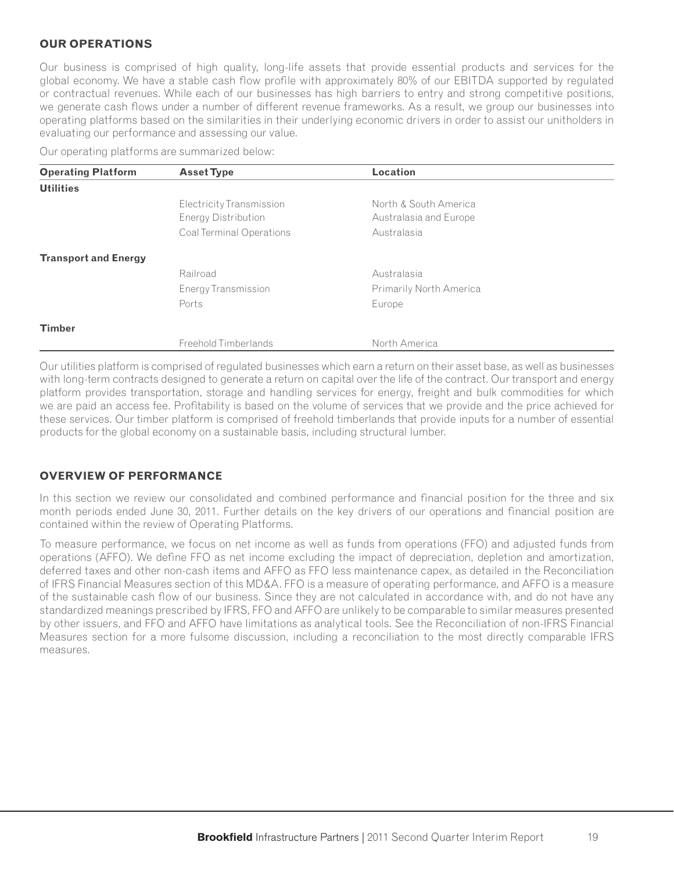## **OUR OPERATIONS**

Our business is comprised of high quality, long-life assets that provide essential products and services for the global economy. We have a stable cash flow profile with approximately 80% of our EBITDA supported by regulated or contractual revenues. While each of our businesses has high barriers to entry and strong competitive positions, we generate cash flows under a number of different revenue frameworks. As a result, we group our businesses into operating platforms based on the similarities in their underlying economic drivers in order to assist our unitholders in evaluating our performance and assessing our value.

Our operating platforms are summarized below:

| <b>Operating Platform</b>   | <b>Asset Type</b>          | <b>Location</b>                |  |
|-----------------------------|----------------------------|--------------------------------|--|
| <b>Utilities</b>            |                            |                                |  |
|                             | Electricity Transmission   | North & South America          |  |
|                             | Energy Distribution        | Australasia and Europe         |  |
|                             | Coal Terminal Operations   | Australasia                    |  |
| <b>Transport and Energy</b> |                            |                                |  |
|                             | Railroad                   | Australasia                    |  |
|                             | <b>Energy Transmission</b> | <b>Primarily North America</b> |  |
|                             | Ports                      | Europe                         |  |
| <b>Timber</b>               |                            |                                |  |
|                             | Freehold Timberlands       | North America                  |  |

Our utilities platform is comprised of regulated businesses which earn a return on their asset base, as well as businesses with long-term contracts designed to generate a return on capital over the life of the contract. Our transport and energy platform provides transportation, storage and handling services for energy, freight and bulk commodities for which we are paid an access fee. Profitability is based on the volume of services that we provide and the price achieved for these services. Our timber platform is comprised of freehold timberlands that provide inputs for a number of essential products for the global economy on a sustainable basis, including structural lumber.

#### **OVERVIEW OF PERFORMANCE**

In this section we review our consolidated and combined performance and financial position for the three and six month periods ended June 30, 2011. Further details on the key drivers of our operations and financial position are contained within the review of Operating Platforms.

To measure performance, we focus on net income as well as funds from operations (FFO) and adjusted funds from operations (AFFO). We define FFO as net income excluding the impact of depreciation, depletion and amortization, deferred taxes and other non-cash items and AFFO as FFO less maintenance capex, as detailed in the Reconciliation of IFRS Financial Measures section of this MD&A. FFO is a measure of operating performance, and AFFO is a measure of the sustainable cash flow of our business. Since they are not calculated in accordance with, and do not have any standardized meanings prescribed by IFRS, FFO and AFFO are unlikely to be comparable to similar measures presented by other issuers, and FFO and AFFO have limitations as analytical tools. See the Reconciliation of non-IFRS Financial Measures section for a more fulsome discussion, including a reconciliation to the most directly comparable IFRS measures.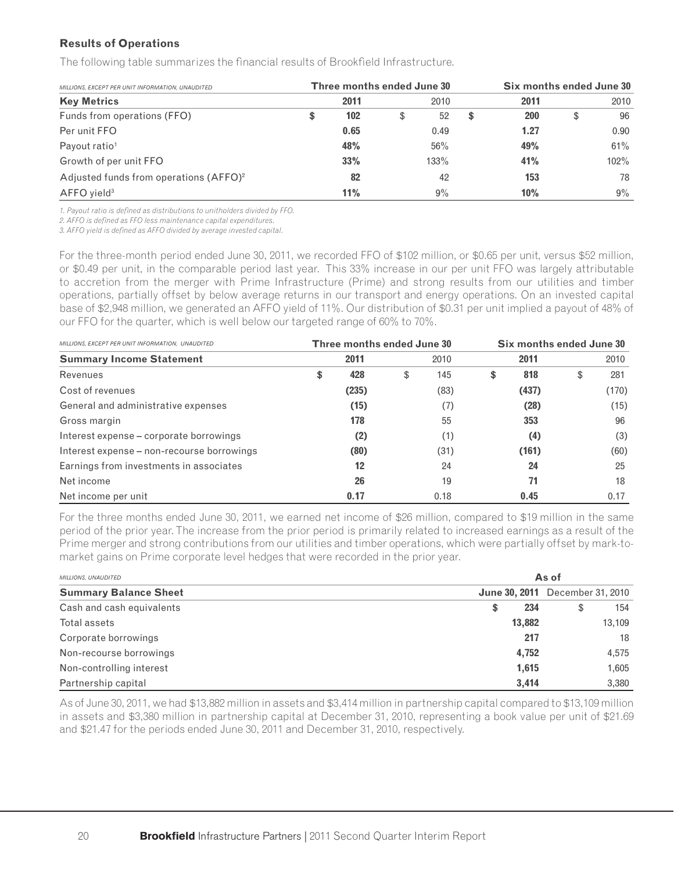#### **Results of Operations**

The following table summarizes the financial results of Brookfield Infrastructure.

| MILLIONS, EXCEPT PER UNIT INFORMATION, UNAUDITED   |   | Three months ended June 30 |          | Six months ended June 30 |            |    |         |  |  |
|----------------------------------------------------|---|----------------------------|----------|--------------------------|------------|----|---------|--|--|
| <b>Key Metrics</b>                                 |   | 2011                       | 2010     |                          | 2011       |    | 2010    |  |  |
| Funds from operations (FFO)                        | S | 102                        | \$<br>52 | \$.                      | <b>200</b> | \$ | 96      |  |  |
| Per unit FFO                                       |   | 0.65                       | 0.49     |                          | 1.27       |    | 0.90    |  |  |
| Payout ratio <sup>1</sup>                          |   | 48%                        | 56%      |                          | 49%        |    | 61%     |  |  |
| Growth of per unit FFO                             |   | 33%                        | 133%     |                          | 41%        |    | $102\%$ |  |  |
| Adjusted funds from operations (AFFO) <sup>2</sup> |   | 82                         | 42       |                          | 153        |    | 78      |  |  |
| AFFO yield <sup>3</sup>                            |   | 11%                        | $9\%$    |                          | 10%        |    | $9\%$   |  |  |

1. Payout ratio is defined as distributions to unitholders divided by FFO.

2. AFFO is defined as FFO less maintenance capital expenditures.

*3. AFFO yield is defi ned as AFFO divided by average invested capital.* 

For the three-month period ended June 30, 2011, we recorded FFO of \$102 million, or \$0.65 per unit, versus \$52 million, or \$0.49 per unit, in the comparable period last year. This 33% increase in our per unit FFO was largely attributable to accretion from the merger with Prime Infrastructure (Prime) and strong results from our utilities and timber operations, partially offset by below average returns in our transport and energy operations. On an invested capital base of \$2,948 million, we generated an AFFO yield of 11%. Our distribution of \$0.31 per unit implied a payout of 48% of our FFO for the quarter, which is well below our targeted range of 60% to 70%.

| MILLIONS, EXCEPT PER UNIT INFORMATION, UNAUDITED | Three months ended June 30 |      | Six months ended June 30 |    |       |    |       |  |
|--------------------------------------------------|----------------------------|------|--------------------------|----|-------|----|-------|--|
| <b>Summary Income Statement</b>                  | 2011                       | 2010 |                          |    | 2011  |    | 2010  |  |
| Revenues                                         | \$<br>428                  | \$   | 145                      | \$ | 818   | \$ | 281   |  |
| Cost of revenues                                 | (235)                      |      | (83)                     |    | (437) |    | (170) |  |
| General and administrative expenses              | (15)                       |      | (7)                      |    | (28)  |    | (15)  |  |
| Gross margin                                     | 178                        |      | 55                       |    | 353   |    | 96    |  |
| Interest expense – corporate borrowings          | (2)                        |      | (1)                      |    | (4)   |    | (3)   |  |
| Interest expense – non-recourse borrowings       | (80)                       |      | (31)                     |    | (161) |    | (60)  |  |
| Earnings from investments in associates          | 12                         |      | 24                       |    | 24    |    | 25    |  |
| Net income                                       | 26                         |      | 19                       |    | 71    |    | 18    |  |
| Net income per unit                              | 0.17                       |      | 0.18                     |    | 0.45  |    | 0.17  |  |

For the three months ended June 30, 2011, we earned net income of \$26 million, compared to \$19 million in the same period of the prior year. The increase from the prior period is primarily related to increased earnings as a result of the Prime merger and strong contributions from our utilities and timber operations, which were partially offset by mark-tomarket gains on Prime corporate level hedges that were recorded in the prior year.

| <b>MILLIONS, UNAUDITED</b>   |    | As of  |                                        |        |  |  |  |  |  |  |
|------------------------------|----|--------|----------------------------------------|--------|--|--|--|--|--|--|
| <b>Summary Balance Sheet</b> |    |        | <b>June 30, 2011</b> December 31, 2010 |        |  |  |  |  |  |  |
| Cash and cash equivalents    | \$ | 234    | \$                                     | 154    |  |  |  |  |  |  |
| Total assets                 |    | 13,882 |                                        | 13,109 |  |  |  |  |  |  |
| Corporate borrowings         |    | 217    |                                        | 18     |  |  |  |  |  |  |
| Non-recourse borrowings      |    | 4,752  |                                        | 4,575  |  |  |  |  |  |  |
| Non-controlling interest     |    | 1,615  |                                        | 1,605  |  |  |  |  |  |  |
| Partnership capital          |    | 3.414  |                                        | 3,380  |  |  |  |  |  |  |

As of June 30, 2011, we had \$13,882 million in assets and \$3,414 million in partnership capital compared to \$13,109 million in assets and \$3,380 million in partnership capital at December 31, 2010, representing a book value per unit of \$21.69 and \$21.47 for the periods ended June 30, 2011 and December 31, 2010, respectively.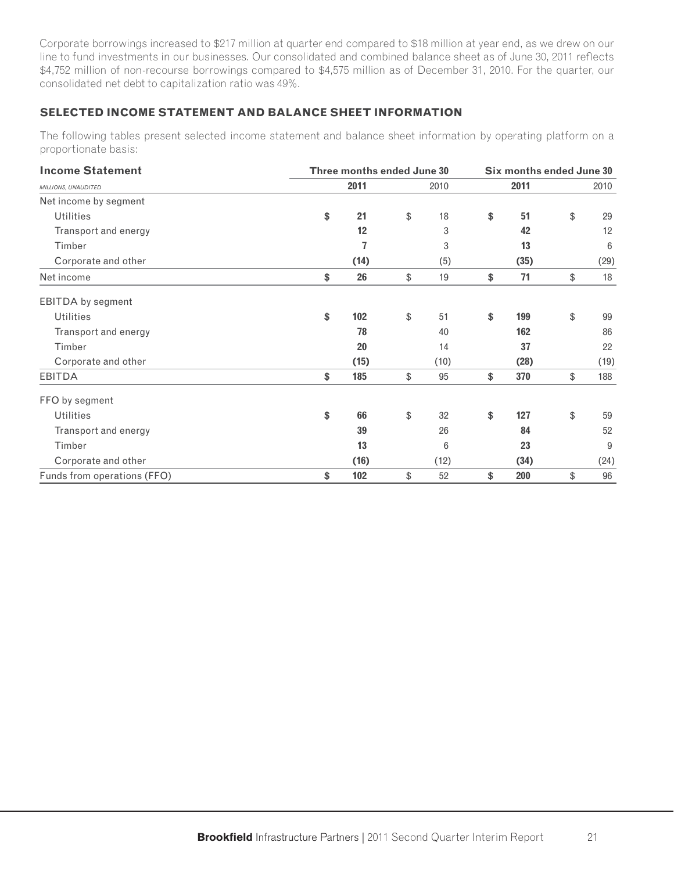Corporate borrowings increased to \$217 million at quarter end compared to \$18 million at year end, as we drew on our line to fund investments in our businesses. Our consolidated and combined balance sheet as of June 30, 2011 reflects \$4,752 million of non-recourse borrowings compared to \$4,575 million as of December 31, 2010. For the quarter, our consolidated net debt to capitalization ratio was 49%.

# **SELECTED INCOME STATEMENT AND BALANCE SHEET INFORMATION**

The following tables present selected income statement and balance sheet information by operating platform on a proportionate basis:

| <b>Income Statement</b>     | Three months ended June 30 |      |    |                 |    | Six months ended June 30 |    |      |  |  |
|-----------------------------|----------------------------|------|----|-----------------|----|--------------------------|----|------|--|--|
| MILLIONS, UNAUDITED         |                            | 2011 |    |                 |    | 2011                     |    | 2010 |  |  |
| Net income by segment       |                            |      |    |                 |    |                          |    |      |  |  |
| <b>Utilities</b>            | \$                         | 21   | \$ | 18              | \$ | 51                       | \$ | 29   |  |  |
| Transport and energy        |                            | 12   |    | 3               |    | 42                       |    | 12   |  |  |
| Timber                      |                            | 7    |    | 3               |    | 13                       |    | 6    |  |  |
| Corporate and other         |                            | (14) |    | (5)             |    | (35)                     |    | (29) |  |  |
| Net income                  | \$                         | 26   | \$ | 19              | \$ | 71                       | \$ | 18   |  |  |
| <b>EBITDA</b> by segment    |                            |      |    |                 |    |                          |    |      |  |  |
| <b>Utilities</b>            | \$                         | 102  | \$ | 51              | \$ | 199                      | \$ | 99   |  |  |
| Transport and energy        |                            | 78   |    | 40              |    | 162                      |    | 86   |  |  |
| Timber                      |                            | 20   |    | 14              |    | 37                       |    | 22   |  |  |
| Corporate and other         |                            | (15) |    | (10)            |    | (28)                     |    | (19) |  |  |
| EBITDA                      | \$                         | 185  | \$ | 95              | \$ | 370                      | \$ | 188  |  |  |
| FFO by segment              |                            |      |    |                 |    |                          |    |      |  |  |
| <b>Utilities</b>            | \$                         | 66   | \$ | 32              | \$ | 127                      | \$ | 59   |  |  |
| Transport and energy        |                            | 39   |    | 26              |    | 84                       |    | 52   |  |  |
| Timber                      |                            | 13   |    | $6\phantom{1}6$ |    | 23                       |    | 9    |  |  |
| Corporate and other         |                            | (16) |    | (12)            |    | (34)                     |    | (24) |  |  |
| Funds from operations (FFO) | \$                         | 102  | \$ | 52              | \$ | 200                      | \$ | 96   |  |  |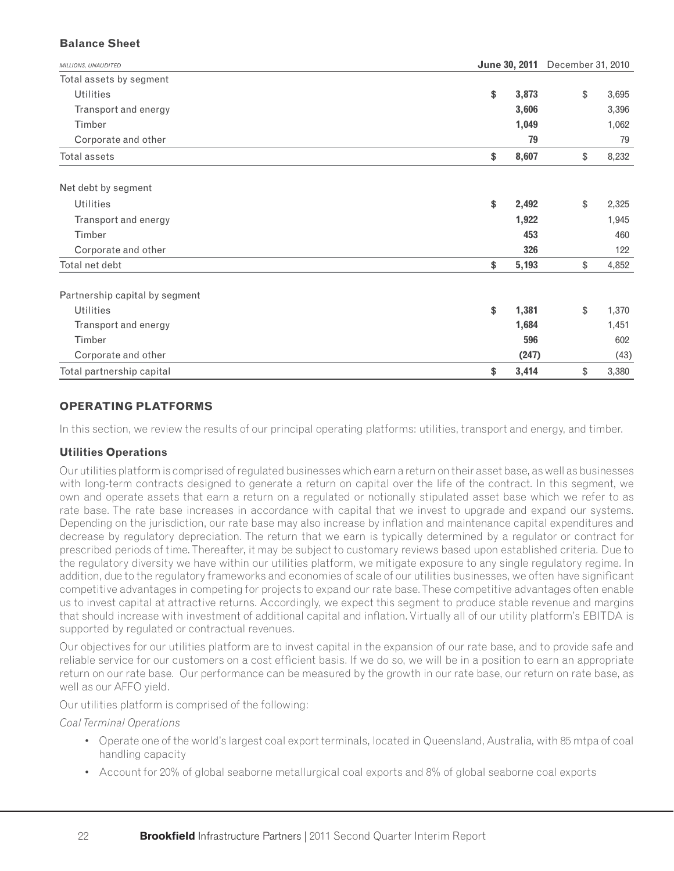## **Balance Sheet**

| MILLIONS, UNAUDITED            |             | June 30, 2011 December 31, 2010 |  |  |
|--------------------------------|-------------|---------------------------------|--|--|
| Total assets by segment        |             |                                 |  |  |
| <b>Utilities</b>               | \$<br>3,873 | \$<br>3,695                     |  |  |
| Transport and energy           | 3,606       | 3,396                           |  |  |
| Timber                         | 1,049       | 1,062                           |  |  |
| Corporate and other            | 79          | 79                              |  |  |
| Total assets                   | \$<br>8,607 | \$<br>8,232                     |  |  |
| Net debt by segment            |             |                                 |  |  |
| <b>Utilities</b>               | \$<br>2,492 | \$<br>2,325                     |  |  |
| Transport and energy           | 1,922       | 1,945                           |  |  |
| Timber                         | 453         | 460                             |  |  |
| Corporate and other            | 326         | 122                             |  |  |
| Total net debt                 | \$<br>5,193 | \$<br>4,852                     |  |  |
| Partnership capital by segment |             |                                 |  |  |
| <b>Utilities</b>               | \$<br>1,381 | \$<br>1,370                     |  |  |
| Transport and energy           | 1,684       | 1,451                           |  |  |
| Timber                         | 596         | 602                             |  |  |
| Corporate and other            | (247)       | (43)                            |  |  |
| Total partnership capital      | 3,414<br>\$ | \$<br>3,380                     |  |  |

# **OPERATING PLATFORMS**

In this section, we review the results of our principal operating platforms: utilities, transport and energy, and timber.

#### **Utilities Operations**

Our utilities platform is comprised of regulated businesses which earn a return on their asset base, as well as businesses with long-term contracts designed to generate a return on capital over the life of the contract. In this segment, we own and operate assets that earn a return on a regulated or notionally stipulated asset base which we refer to as rate base. The rate base increases in accordance with capital that we invest to upgrade and expand our systems. Depending on the jurisdiction, our rate base may also increase by inflation and maintenance capital expenditures and decrease by regulatory depreciation. The return that we earn is typically determined by a regulator or contract for prescribed periods of time. Thereafter, it may be subject to customary reviews based upon established criteria. Due to the regulatory diversity we have within our utilities platform, we mitigate exposure to any single regulatory regime. In addition, due to the regulatory frameworks and economies of scale of our utilities businesses, we often have significant competitive advantages in competing for projects to expand our rate base. These competitive advantages often enable us to invest capital at attractive returns. Accordingly, we expect this segment to produce stable revenue and margins that should increase with investment of additional capital and inflation. Virtually all of our utility platform's EBITDA is supported by regulated or contractual revenues.

Our objectives for our utilities platform are to invest capital in the expansion of our rate base, and to provide safe and reliable service for our customers on a cost efficient basis. If we do so, we will be in a position to earn an appropriate return on our rate base. Our performance can be measured by the growth in our rate base, our return on rate base, as well as our AFFO yield.

Our utilities platform is comprised of the following:

*Coal Terminal Operations*

- Operate one of the world's largest coal export terminals, located in Queensland, Australia, with 85 mtpa of coal handling capacity
- Account for 20% of global seaborne metallurgical coal exports and 8% of global seaborne coal exports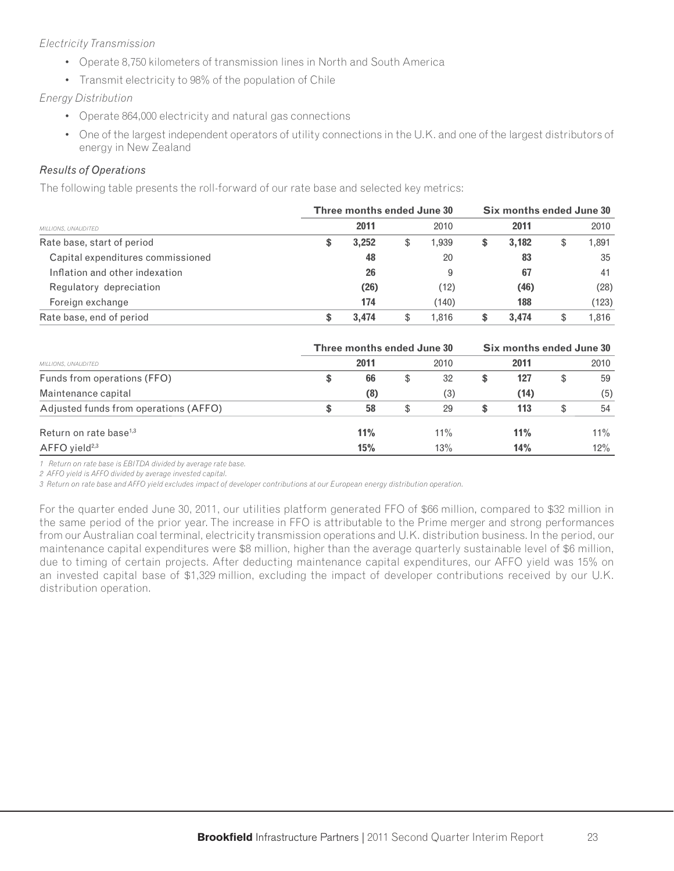## *Electricity Transmission*

- Operate 8,750 kilometers of transmission lines in North and South America
- Transmit electricity to 98% of the population of Chile

#### *Energy Distribution*

- Operate 864,000 electricity and natural gas connections
- One of the largest independent operators of utility connections in the U.K. and one of the largest distributors of energy in New Zealand

# *Results of Operations*

The following table presents the roll-forward of our rate base and selected key metrics:

|                                   | Three months ended June 30 |       |    |       |    | Six months ended June 30 |    |       |  |  |  |
|-----------------------------------|----------------------------|-------|----|-------|----|--------------------------|----|-------|--|--|--|
| MILLIONS, UNAUDITED               |                            | 2011  |    | 2010  |    | 2011                     |    | 2010  |  |  |  |
| Rate base, start of period        |                            | 3,252 | \$ | 1,939 | \$ | 3.182                    | \$ | 1,891 |  |  |  |
| Capital expenditures commissioned |                            | 48    |    | 20    |    | 83                       |    | 35    |  |  |  |
| Inflation and other indexation    |                            | 26    |    | 9     |    | 67                       |    | 41    |  |  |  |
| Regulatory depreciation           |                            | (26)  |    | (12)  |    | (46)                     |    | (28)  |  |  |  |
| Foreign exchange                  |                            | 174   |    | (140) |    | 188                      |    | (123) |  |  |  |
| Rate base, end of period          |                            | 3.474 | S  | 1.816 | S  | 3.474                    | \$ | 1.816 |  |  |  |

|                                       |    | Three months ended June 30 |   | Six months ended June 30 |    |      |    |        |  |
|---------------------------------------|----|----------------------------|---|--------------------------|----|------|----|--------|--|
| <b>MILLIONS, UNAUDITED</b>            |    | 2011                       |   | 2010                     |    | 2011 |    | 2010   |  |
| Funds from operations (FFO)           | \$ | 66                         | S | 32                       | \$ | 127  | \$ | 59     |  |
| Maintenance capital                   |    | (8)                        |   | (3)                      |    | (14) |    | (5)    |  |
| Adjusted funds from operations (AFFO) | S  | 58                         | S | 29                       | S  | 113  | \$ | 54     |  |
| Return on rate base <sup>1,3</sup>    |    | 11%                        |   | $11\%$                   |    | 11%  |    | $11\%$ |  |
| $AFFO$ yield <sup>2,3</sup>           |    | 15%                        |   | 13%                      |    | 14%  |    | $12\%$ |  |

*1 Return on rate base is EBITDA divided by average rate base.*

*2 AFFO yield is AFFO divided by average invested capital.*

*3 Return on rate base and AFFO yield excludes impact of developer contributions at our European energy distribution operation.*

For the quarter ended June 30, 2011, our utilities platform generated FFO of \$66 million, compared to \$32 million in the same period of the prior year. The increase in FFO is attributable to the Prime merger and strong performances from our Australian coal terminal, electricity transmission operations and U.K. distribution business. In the period, our maintenance capital expenditures were \$8 million, higher than the average quarterly sustainable level of \$6 million, due to timing of certain projects. After deducting maintenance capital expenditures, our AFFO yield was 15% on an invested capital base of \$1,329 million, excluding the impact of developer contributions received by our U.K. distribution operation.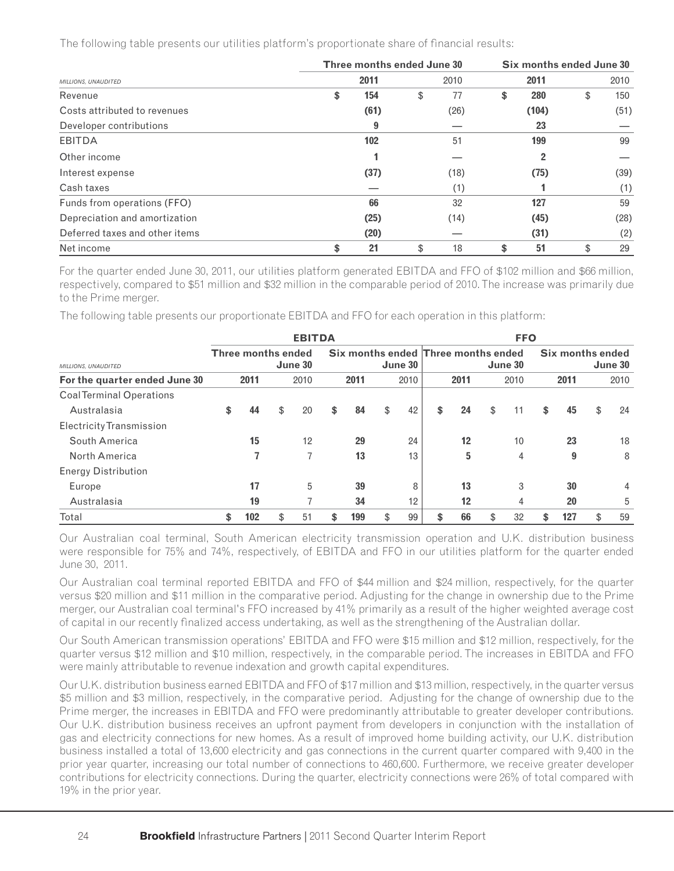The following table presents our utilities platform's proportionate share of financial results:

|                                | Three months ended June 30 | Six months ended June 30 |    |       |    |      |  |
|--------------------------------|----------------------------|--------------------------|----|-------|----|------|--|
| MILLIONS, UNAUDITED            | 2011                       | 2010                     |    | 2011  |    | 2010 |  |
| Revenue                        | \$<br>154                  | \$<br>77                 | \$ | 280   | \$ | 150  |  |
| Costs attributed to revenues   | (61)                       | (26)                     |    | (104) |    | (51) |  |
| Developer contributions        | 9                          |                          |    | 23    |    |      |  |
| EBITDA                         | 102                        | 51                       |    | 199   |    | 99   |  |
| Other income                   |                            |                          |    | 2     |    |      |  |
| Interest expense               | (37)                       | (18)                     |    | (75)  |    | (39) |  |
| Cash taxes                     |                            | (1)                      |    |       |    | (1)  |  |
| Funds from operations (FFO)    | 66                         | 32                       |    | 127   |    | 59   |  |
| Depreciation and amortization  | (25)                       | (14)                     |    | (45)  |    | (28) |  |
| Deferred taxes and other items | (20)                       |                          |    | (31)  |    | (2)  |  |
| Net income                     | \$<br>21                   | \$<br>18                 | \$ | 51    | \$ | 29   |  |

For the quarter ended June 30, 2011, our utilities platform generated EBITDA and FFO of \$102 million and \$66 million, respectively, compared to \$51 million and \$32 million in the comparable period of 2010. The increase was primarily due to the Prime merger.

The following table presents our proportionate EBITDA and FFO for each operation in this platform:

|                                 | <b>EBITDA</b> |                           |    |         |    |                                     |    | <b>FFO</b> |    |      |    |         |    |                  |    |         |
|---------------------------------|---------------|---------------------------|----|---------|----|-------------------------------------|----|------------|----|------|----|---------|----|------------------|----|---------|
| MILLIONS, UNAUDITED             |               | <b>Three months ended</b> |    | June 30 |    | Six months ended Three months ended |    | June 30    |    |      |    | June 30 |    | Six months ended |    | June 30 |
| For the quarter ended June 30   |               | 2011                      |    | 2010    |    | 2011                                |    | 2010       |    | 2011 |    | 2010    |    | 2011             |    | 2010    |
| <b>CoalTerminal Operations</b>  |               |                           |    |         |    |                                     |    |            |    |      |    |         |    |                  |    |         |
| Australasia                     | \$            | 44                        | \$ | 20      | \$ | 84                                  | \$ | 42         | \$ | 24   | \$ | 11      | \$ | 45               | \$ | 24      |
| <b>Electricity Transmission</b> |               |                           |    |         |    |                                     |    |            |    |      |    |         |    |                  |    |         |
| South America                   |               | 15                        |    | 12      |    | 29                                  |    | 24         |    | 12   |    | 10      |    | 23               |    | 18      |
| North America                   |               | 7                         |    | 7       |    | 13                                  |    | 13         |    | 5    |    | 4       |    | 9                |    | 8       |
| <b>Energy Distribution</b>      |               |                           |    |         |    |                                     |    |            |    |      |    |         |    |                  |    |         |
| Europe                          |               | 17                        |    | 5       |    | 39                                  |    | 8          |    | 13   |    | 3       |    | 30               |    | 4       |
| Australasia                     |               | 19                        |    | ⇁       |    | 34                                  |    | 12         |    | 12   |    | 4       |    | 20               |    | 5       |
| Total                           | \$            | 102                       | \$ | 51      | \$ | 199                                 | \$ | 99         | \$ | 66   | \$ | 32      |    | 127              | \$ | 59      |

Our Australian coal terminal, South American electricity transmission operation and U.K. distribution business were responsible for 75% and 74%, respectively, of EBITDA and FFO in our utilities platform for the quarter ended June 30, 2011.

Our Australian coal terminal reported EBITDA and FFO of \$44 million and \$24 million, respectively, for the quarter versus \$20 million and \$11 million in the comparative period. Adjusting for the change in ownership due to the Prime merger, our Australian coal terminal's FFO increased by 41% primarily as a result of the higher weighted average cost of capital in our recently finalized access undertaking, as well as the strengthening of the Australian dollar.

Our South American transmission operations' EBITDA and FFO were \$15 million and \$12 million, respectively, for the quarter versus \$12 million and \$10 million, respectively, in the comparable period. The increases in EBITDA and FFO were mainly attributable to revenue indexation and growth capital expenditures.

Our U.K. distribution business earned EBITDA and FFO of \$17 million and \$13 million, respectively, in the quarter versus \$5 million and \$3 million, respectively, in the comparative period. Adjusting for the change of ownership due to the Prime merger, the increases in EBITDA and FFO were predominantly attributable to greater developer contributions. Our U.K. distribution business receives an upfront payment from developers in conjunction with the installation of gas and electricity connections for new homes. As a result of improved home building activity, our U.K. distribution business installed a total of 13,600 electricity and gas connections in the current quarter compared with 9,400 in the prior year quarter, increasing our total number of connections to 460,600. Furthermore, we receive greater developer contributions for electricity connections. During the quarter, electricity connections were 26% of total compared with 19% in the prior year.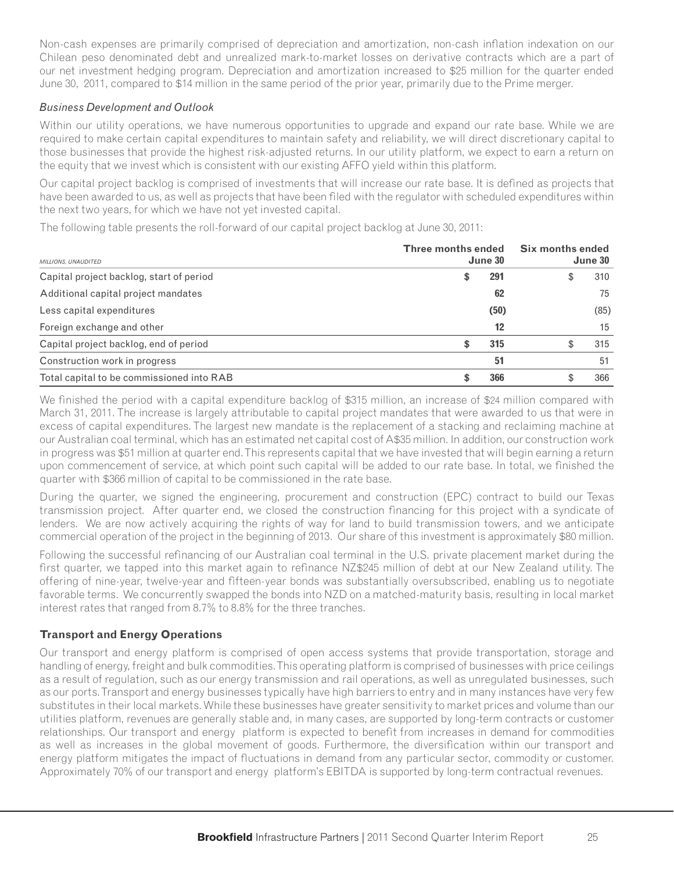Non-cash expenses are primarily comprised of depreciation and amortization, non-cash inflation indexation on our Chilean peso denominated debt and unrealized mark-to-market losses on derivative contracts which are a part of our net investment hedging program. Depreciation and amortization increased to \$25 million for the quarter ended June 30, 2011, compared to \$14 million in the same period of the prior year, primarily due to the Prime merger.

#### *Business Development and Outlook*

Within our utility operations, we have numerous opportunities to upgrade and expand our rate base. While we are required to make certain capital expenditures to maintain safety and reliability, we will direct discretionary capital to those businesses that provide the highest risk-adjusted returns. In our utility platform, we expect to earn a return on the equity that we invest which is consistent with our existing AFFO yield within this platform.

Our capital project backlog is comprised of investments that will increase our rate base. It is defined as projects that have been awarded to us, as well as projects that have been filed with the regulator with scheduled expenditures within the next two years, for which we have not yet invested capital.

The following table presents the roll-forward of our capital project backlog at June 30, 2011:

| <b>MILLIONS, UNAUDITED</b>                | <b>Three months ended</b><br>June 30 | Six months ended<br>June 30 |      |  |
|-------------------------------------------|--------------------------------------|-----------------------------|------|--|
| Capital project backlog, start of period  | 291<br>\$                            |                             | 310  |  |
| Additional capital project mandates       | 62                                   |                             | 75   |  |
| Less capital expenditures                 | (50)                                 |                             | (85) |  |
| Foreign exchange and other                | 12                                   |                             | 15   |  |
| Capital project backlog, end of period    | 315<br>\$                            |                             | 315  |  |
| Construction work in progress             | 51                                   |                             | 51   |  |
| Total capital to be commissioned into RAB | 366                                  |                             | 366  |  |

We finished the period with a capital expenditure backlog of \$315 million, an increase of \$24 million compared with March 31, 2011. The increase is largely attributable to capital project mandates that were awarded to us that were in excess of capital expenditures. The largest new mandate is the replacement of a stacking and reclaiming machine at our Australian coal terminal, which has an estimated net capital cost of A\$35 million. In addition, our construction work in progress was \$51 million at quarter end. This represents capital that we have invested that will begin earning a return upon commencement of service, at which point such capital will be added to our rate base. In total, we finished the quarter with \$366 million of capital to be commissioned in the rate base.

During the quarter, we signed the engineering, procurement and construction (EPC) contract to build our Texas transmission project. After quarter end, we closed the construction financing for this project with a syndicate of lenders. We are now actively acquiring the rights of way for land to build transmission towers, and we anticipate commercial operation of the project in the beginning of 2013. Our share of this investment is approximately \$80 million.

Following the successful refinancing of our Australian coal terminal in the U.S. private placement market during the first quarter, we tapped into this market again to refinance NZ\$245 million of debt at our New Zealand utility. The offering of nine-year, twelve-year and fifteen-year bonds was substantially oversubscribed, enabling us to negotiate favorable terms. We concurrently swapped the bonds into NZD on a matched-maturity basis, resulting in local market interest rates that ranged from 8.7% to 8.8% for the three tranches.

# **Transport and Energy Operations**

Our transport and energy platform is comprised of open access systems that provide transportation, storage and handling of energy, freight and bulk commodities. This operating platform is comprised of businesses with price ceilings as a result of regulation, such as our energy transmission and rail operations, as well as unregulated businesses, such as our ports. Transport and energy businesses typically have high barriers to entry and in many instances have very few substitutes in their local markets. While these businesses have greater sensitivity to market prices and volume than our utilities platform, revenues are generally stable and, in many cases, are supported by long-term contracts or customer relationships. Our transport and energy platform is expected to benefit from increases in demand for commodities as well as increases in the global movement of goods. Furthermore, the diversification within our transport and energy platform mitigates the impact of fluctuations in demand from any particular sector, commodity or customer. Approximately 70% of our transport and energy platform's EBITDA is supported by long-term contractual revenues.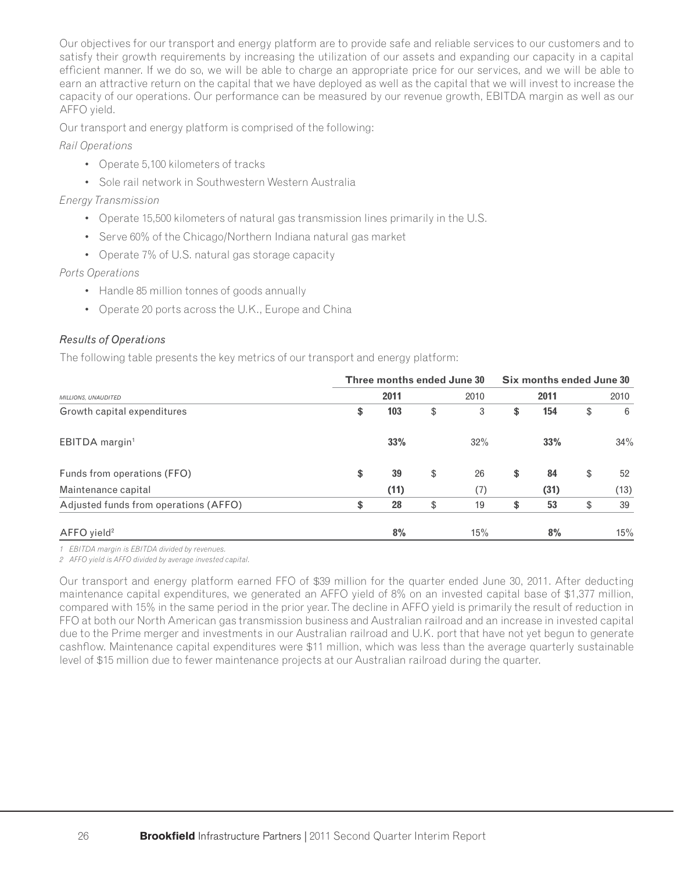Our objectives for our transport and energy platform are to provide safe and reliable services to our customers and to satisfy their growth requirements by increasing the utilization of our assets and expanding our capacity in a capital efficient manner. If we do so, we will be able to charge an appropriate price for our services, and we will be able to earn an attractive return on the capital that we have deployed as well as the capital that we will invest to increase the capacity of our operations. Our performance can be measured by our revenue growth, EBITDA margin as well as our AFFO yield.

Our transport and energy platform is comprised of the following:

*Rail Operations*

- Operate 5,100 kilometers of tracks
- Sole rail network in Southwestern Western Australia

### *Energy Transmission*

- Operate 15,500 kilometers of natural gas transmission lines primarily in the U.S.
- Serve 60% of the Chicago/Northern Indiana natural gas market
- Operate 7% of U.S. natural gas storage capacity

### *Ports Operations*

- Handle 85 million tonnes of goods annually
- Operate 20 ports across the U.K., Europe and China

### *Results of Operations*

The following table presents the key metrics of our transport and energy platform:

|                                       |      | Three months ended June 30 | Six months ended June 30 |      |    |      |    |      |
|---------------------------------------|------|----------------------------|--------------------------|------|----|------|----|------|
| MILLIONS, UNAUDITED                   | 2011 |                            |                          | 2010 |    | 2011 |    | 2010 |
| Growth capital expenditures           | \$   | 103                        | \$                       | 3    | \$ | 154  | \$ | 6    |
| EBITDA margin <sup>1</sup>            |      | 33%                        |                          | 32%  |    | 33%  |    | 34%  |
| Funds from operations (FFO)           | \$   | 39                         | \$                       | 26   | \$ | 84   | \$ | 52   |
| Maintenance capital                   |      | (11)                       |                          | (7)  |    | (31) |    | (13) |
| Adjusted funds from operations (AFFO) | \$   | 28                         | \$                       | 19   | \$ | 53   | \$ | 39   |
| $AFFO$ yield <sup>2</sup>             |      | 8%                         |                          | 15%  |    | 8%   |    | 15%  |

*1 EBITDA margin is EBITDA divided by revenues.*

*2 AFFO yield is AFFO divided by average invested capital.*

Our transport and energy platform earned FFO of \$39 million for the quarter ended June 30, 2011. After deducting maintenance capital expenditures, we generated an AFFO yield of 8% on an invested capital base of \$1,377 million, compared with 15% in the same period in the prior year. The decline in AFFO yield is primarily the result of reduction in FFO at both our North American gas transmission business and Australian railroad and an increase in invested capital due to the Prime merger and investments in our Australian railroad and U.K. port that have not yet begun to generate cashflow. Maintenance capital expenditures were \$11 million, which was less than the average quarterly sustainable level of \$15 million due to fewer maintenance projects at our Australian railroad during the quarter.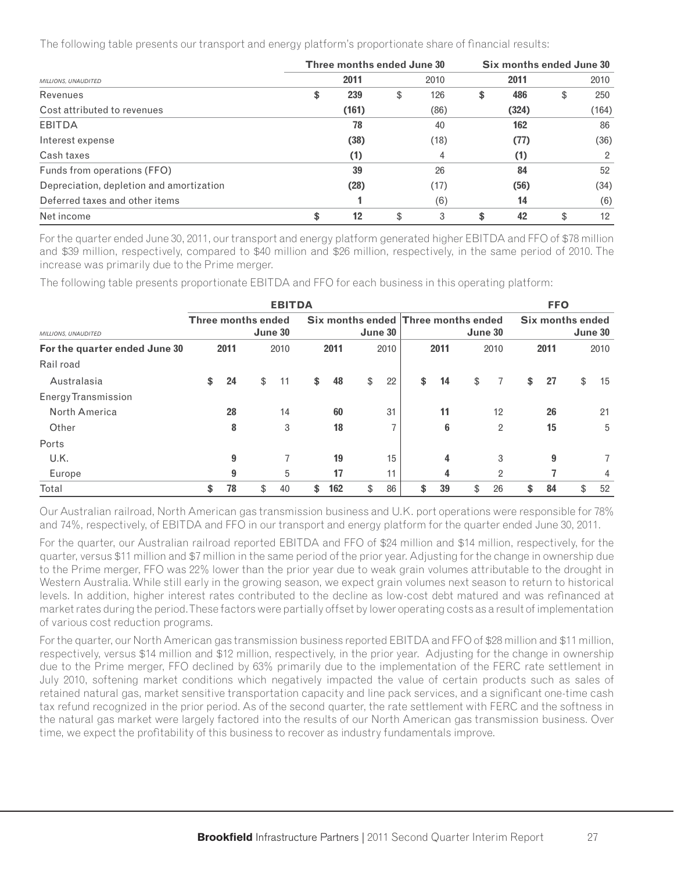The following table presents our transport and energy platform's proportionate share of financial results:

|                                          | Three months ended June 30 |    | Six months ended June 30 |    |       |    |       |  |
|------------------------------------------|----------------------------|----|--------------------------|----|-------|----|-------|--|
| MILLIONS, UNAUDITED                      | 2011                       |    | 2010                     |    | 2011  |    | 2010  |  |
| Revenues                                 | \$<br>239                  | \$ | 126                      | \$ | 486   | \$ | 250   |  |
| Cost attributed to revenues              | (161)                      |    | (86)                     |    | (324) |    | (164) |  |
| EBITDA                                   | 78                         |    | 40                       |    | 162   |    | 86    |  |
| Interest expense                         | (38)                       |    | (18)                     |    | (77)  |    | (36)  |  |
| Cash taxes                               | (1)                        |    | 4                        |    | (1)   |    | 2     |  |
| Funds from operations (FFO)              | 39                         |    | 26                       |    | 84    |    | 52    |  |
| Depreciation, depletion and amortization | (28)                       |    | (17)                     |    | (56)  |    | (34)  |  |
| Deferred taxes and other items           |                            |    | (6)                      |    | 14    |    | (6)   |  |
| Net income                               | \$<br>12                   | \$ | 3                        | S  | 42    | \$ | 12    |  |

For the quarter ended June 30, 2011, our transport and energy platform generated higher EBITDA and FFO of \$78 million and \$39 million, respectively, compared to \$40 million and \$26 million, respectively, in the same period of 2010. The increase was primarily due to the Prime merger.

The following table presents proportionate EBITDA and FFO for each business in this operating platform:

|                               | <b>EBITDA</b>                 |      |    |      |    |         |    |                |                                                |      |    |                | <b>FFO</b>                  |      |    |      |  |  |
|-------------------------------|-------------------------------|------|----|------|----|---------|----|----------------|------------------------------------------------|------|----|----------------|-----------------------------|------|----|------|--|--|
| MILLIONS, UNAUDITED           | Three months ended<br>June 30 |      |    |      |    | June 30 |    |                | Six months ended Three months ended<br>June 30 |      |    |                | Six months ended<br>June 30 |      |    |      |  |  |
| For the quarter ended June 30 |                               | 2011 |    | 2010 |    | 2011    |    | 2010           |                                                | 2011 |    | 2010           |                             | 2011 |    | 2010 |  |  |
| Rail road                     |                               |      |    |      |    |         |    |                |                                                |      |    |                |                             |      |    |      |  |  |
| Australasia                   | \$                            | 24   | \$ | 11   | \$ | 48      | \$ | 22             | \$                                             | 14   | \$ | 7              | \$                          | 27   | \$ | 15   |  |  |
| <b>Energy Transmission</b>    |                               |      |    |      |    |         |    |                |                                                |      |    |                |                             |      |    |      |  |  |
| North America                 |                               | 28   |    | 14   |    | 60      |    | 31             |                                                | 11   |    | 12             |                             | 26   |    | 21   |  |  |
| Other                         |                               | 8    |    | 3    |    | 18      |    | $\overline{7}$ |                                                | 6    |    | 2              |                             | 15   |    | 5    |  |  |
| Ports                         |                               |      |    |      |    |         |    |                |                                                |      |    |                |                             |      |    |      |  |  |
| U.K.                          |                               | 9    |    |      |    | 19      |    | 15             |                                                | 4    |    | 3              |                             | 9    |    |      |  |  |
| Europe                        |                               | 9    |    | 5    |    | 17      |    | 11             |                                                | 4    |    | $\overline{2}$ |                             |      |    | 4    |  |  |
| Total                         | \$                            | 78   | \$ | 40   | \$ | 162     | \$ | 86             | \$                                             | 39   | \$ | 26             | \$                          | 84   | \$ | 52   |  |  |

Our Australian railroad, North American gas transmission business and U.K. port operations were responsible for 78% and 74%, respectively, of EBITDA and FFO in our transport and energy platform for the quarter ended June 30, 2011.

For the quarter, our Australian railroad reported EBITDA and FFO of \$24 million and \$14 million, respectively, for the quarter, versus \$11 million and \$7 million in the same period of the prior year. Adjusting for the change in ownership due to the Prime merger, FFO was 22% lower than the prior year due to weak grain volumes attributable to the drought in Western Australia. While still early in the growing season, we expect grain volumes next season to return to historical levels. In addition, higher interest rates contributed to the decline as low-cost debt matured and was refinanced at market rates during the period. These factors were partially offset by lower operating costs as a result of implementation of various cost reduction programs.

For the quarter, our North American gas transmission business reported EBITDA and FFO of \$28 million and \$11 million, respectively, versus \$14 million and \$12 million, respectively, in the prior year. Adjusting for the change in ownership due to the Prime merger, FFO declined by 63% primarily due to the implementation of the FERC rate settlement in July 2010, softening market conditions which negatively impacted the value of certain products such as sales of retained natural gas, market sensitive transportation capacity and line pack services, and a significant one-time cash tax refund recognized in the prior period. As of the second quarter, the rate settlement with FERC and the softness in the natural gas market were largely factored into the results of our North American gas transmission business. Over time, we expect the profitability of this business to recover as industry fundamentals improve.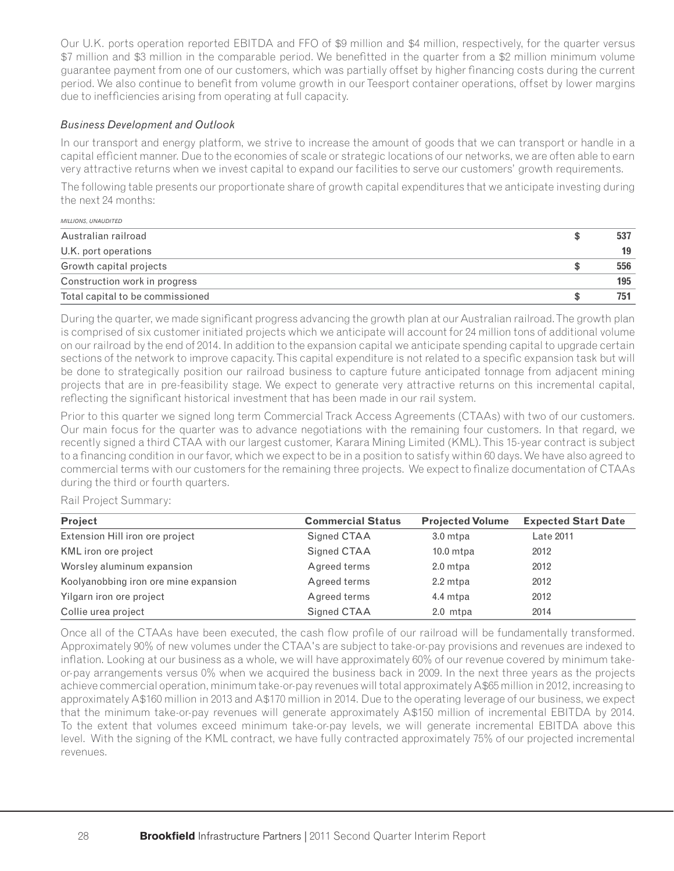Our U.K. ports operation reported EBITDA and FFO of \$9 million and \$4 million, respectively, for the quarter versus \$7 million and \$3 million in the comparable period. We benefitted in the quarter from a \$2 million minimum volume guarantee payment from one of our customers, which was partially offset by higher financing costs during the current period. We also continue to benefit from volume growth in our Teesport container operations, offset by lower margins due to inefficiencies arising from operating at full capacity.

### *Business Development and Outlook*

In our transport and energy platform, we strive to increase the amount of goods that we can transport or handle in a capital efficient manner. Due to the economies of scale or strategic locations of our networks, we are often able to earn very attractive returns when we invest capital to expand our facilities to serve our customers' growth requirements.

The following table presents our proportionate share of growth capital expenditures that we anticipate investing during the next 24 months:

| MILLIONS, UNAUDITED              |     |
|----------------------------------|-----|
| Australian railroad              | 537 |
| U.K. port operations             | 19  |
| Growth capital projects          | 556 |
| Construction work in progress    | 195 |
| Total capital to be commissioned | 751 |

During the quarter, we made significant progress advancing the growth plan at our Australian railroad. The growth plan is comprised of six customer initiated projects which we anticipate will account for 24 million tons of additional volume on our railroad by the end of 2014. In addition to the expansion capital we anticipate spending capital to upgrade certain sections of the network to improve capacity. This capital expenditure is not related to a specific expansion task but will be done to strategically position our railroad business to capture future anticipated tonnage from adjacent mining projects that are in pre-feasibility stage. We expect to generate very attractive returns on this incremental capital, reflecting the significant historical investment that has been made in our rail system.

Prior to this quarter we signed long term Commercial Track Access Agreements (CTAAs) with two of our customers. Our main focus for the quarter was to advance negotiations with the remaining four customers. In that regard, we recently signed a third CTAA with our largest customer, Karara Mining Limited (KML). This 15-year contract is subject to a financing condition in our favor, which we expect to be in a position to satisfy within 60 days. We have also agreed to commercial terms with our customers for the remaining three projects. We expect to finalize documentation of CTAAs during the third or fourth quarters.

#### Rail Project Summary:

| Project                               | <b>Commercial Status</b> | <b>Projected Volume</b> | <b>Expected Start Date</b> |
|---------------------------------------|--------------------------|-------------------------|----------------------------|
| Extension Hill iron ore project       | Signed CTAA              | 3.0 mtpa                | Late 2011                  |
| KML iron ore project                  | Signed CTAA              | $10.0$ mtpa             | 2012                       |
| Worsley aluminum expansion            | Agreed terms             | 2.0 mtpa                | 2012                       |
| Koolyanobbing iron ore mine expansion | Agreed terms             | 2.2 mtpa                | 2012                       |
| Yilgarn iron ore project              | Agreed terms             | 4.4 mtpa                | 2012                       |
| Collie urea project                   | Signed CTAA              | 2.0 mtpa                | 2014                       |

Once all of the CTAAs have been executed, the cash flow profile of our railroad will be fundamentally transformed. Approximately 90% of new volumes under the CTAA's are subject to take-or-pay provisions and revenues are indexed to inflation. Looking at our business as a whole, we will have approximately 60% of our revenue covered by minimum takeor-pay arrangements versus 0% when we acquired the business back in 2009. In the next three years as the projects achieve commercial operation, minimum take-or-pay revenues will total approximately A\$65 million in 2012, increasing to approximately A\$160 million in 2013 and A\$170 million in 2014. Due to the operating leverage of our business, we expect that the minimum take-or-pay revenues will generate approximately A\$150 million of incremental EBITDA by 2014. To the extent that volumes exceed minimum take-or-pay levels, we will generate incremental EBITDA above this level. With the signing of the KML contract, we have fully contracted approximately 75% of our projected incremental revenues.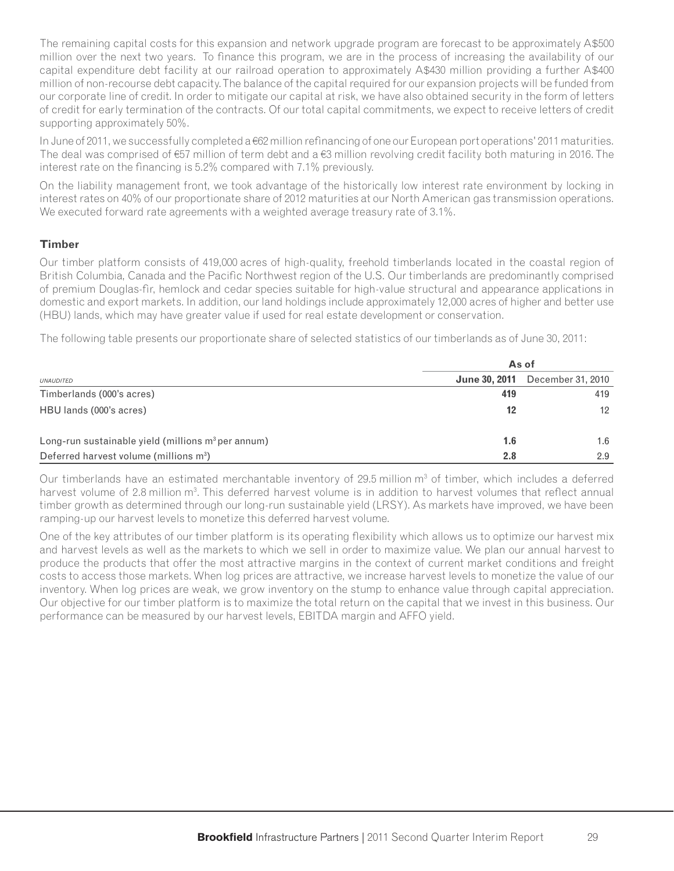The remaining capital costs for this expansion and network upgrade program are forecast to be approximately A\$500 million over the next two years. To finance this program, we are in the process of increasing the availability of our capital expenditure debt facility at our railroad operation to approximately A\$430 million providing a further A\$400 million of non-recourse debt capacity. The balance of the capital required for our expansion projects will be funded from our corporate line of credit. In order to mitigate our capital at risk, we have also obtained security in the form of letters of credit for early termination of the contracts. Of our total capital commitments, we expect to receive letters of credit supporting approximately 50%.

In June of 2011, we successfully completed a €62 million refinancing of one our European port operations' 2011 maturities. The deal was comprised of €57 million of term debt and a €3 million revolving credit facility both maturing in 2016. The interest rate on the financing is 5.2% compared with 7.1% previously.

On the liability management front, we took advantage of the historically low interest rate environment by locking in interest rates on 40% of our proportionate share of 2012 maturities at our North American gas transmission operations. We executed forward rate agreements with a weighted average treasury rate of 3.1%.

#### **Timber**

Our timber platform consists of 419,000 acres of high-quality, freehold timberlands located in the coastal region of British Columbia, Canada and the Pacific Northwest region of the U.S. Our timberlands are predominantly comprised of premium Douglas-fir, hemlock and cedar species suitable for high-value structural and appearance applications in domestic and export markets. In addition, our land holdings include approximately 12,000 acres of higher and better use (HBU) lands, which may have greater value if used for real estate development or conservation.

The following table presents our proportionate share of selected statistics of our timberlands as of June 30, 2011:

|                                                      | As of |                                        |  |  |  |  |  |  |
|------------------------------------------------------|-------|----------------------------------------|--|--|--|--|--|--|
| <b>UNAUDITED</b>                                     |       | <b>June 30, 2011</b> December 31, 2010 |  |  |  |  |  |  |
| Timberlands (000's acres)                            | 419   | 419                                    |  |  |  |  |  |  |
| HBU lands (000's acres)                              | 12    | $12 \overline{ }$                      |  |  |  |  |  |  |
| Long-run sustainable yield (millions $m3$ per annum) | 1.6   | 1.6                                    |  |  |  |  |  |  |
| Deferred harvest volume (millions m <sup>3</sup> )   | 2.8   | 2.9                                    |  |  |  |  |  |  |

Our timberlands have an estimated merchantable inventory of 29.5 million  $m<sup>3</sup>$  of timber, which includes a deferred harvest volume of 2.8 million m<sup>3</sup>. This deferred harvest volume is in addition to harvest volumes that reflect annual timber growth as determined through our long-run sustainable yield (LRSY). As markets have improved, we have been ramping-up our harvest levels to monetize this deferred harvest volume.

One of the key attributes of our timber platform is its operating flexibility which allows us to optimize our harvest mix and harvest levels as well as the markets to which we sell in order to maximize value. We plan our annual harvest to produce the products that offer the most attractive margins in the context of current market conditions and freight costs to access those markets. When log prices are attractive, we increase harvest levels to monetize the value of our inventory. When log prices are weak, we grow inventory on the stump to enhance value through capital appreciation. Our objective for our timber platform is to maximize the total return on the capital that we invest in this business. Our performance can be measured by our harvest levels, EBITDA margin and AFFO yield.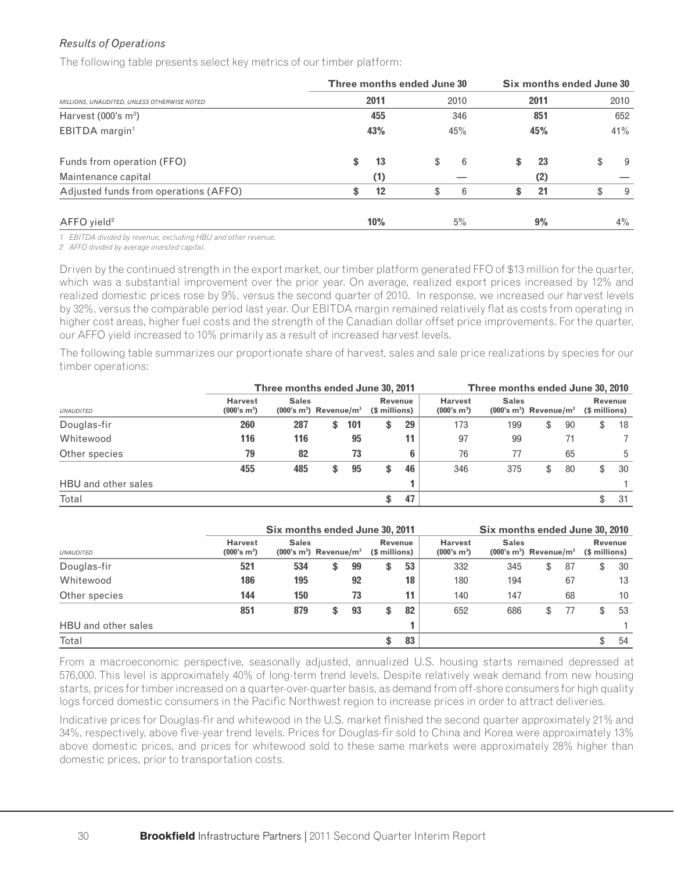## *Results of Operations*

The following table presents select key metrics of our timber platform:

|                                             |    | Three months ended June 30 |      |            | Six months ended June 30 |      |     |       |  |  |
|---------------------------------------------|----|----------------------------|------|------------|--------------------------|------|-----|-------|--|--|
| MILLIONS, UNAUDITED, UNLESS OTHERWISE NOTED |    | 2011                       | 2010 |            |                          | 2011 |     | 2010  |  |  |
| Harvest $(000's m3)$                        |    |                            | 346  | 851<br>45% |                          |      | 652 |       |  |  |
| EBITDA margin <sup>1</sup>                  |    | 43%                        | 45%  |            |                          |      | 41% |       |  |  |
| Funds from operation (FFO)                  | \$ | 13                         | \$   | 6          | \$                       | 23   | \$  | -9    |  |  |
| Maintenance capital                         |    | (1)                        |      |            |                          | (2)  |     |       |  |  |
| Adjusted funds from operations (AFFO)       | \$ | 12                         | \$   | 6          | S                        | 21   | \$  | 9     |  |  |
| $AFFO$ yield <sup>2</sup>                   |    | 10%                        |      | 5%         |                          | 9%   |     | $4\%$ |  |  |

*1 EBITDA divided by revenue, excluding HBU and other revenue.*

*2 AFFO divided by average invested capital.*

Driven by the continued strength in the export market, our timber platform generated FFO of \$13 million for the quarter, which was a substantial improvement over the prior year. On average, realized export prices increased by 12% and realized domestic prices rose by 9%, versus the second quarter of 2010. In response, we increased our harvest levels by 32%, versus the comparable period last year. Our EBITDA margin remained relatively flat as costs from operating in higher cost areas, higher fuel costs and the strength of the Canadian dollar offset price improvements. For the quarter, our AFFO yield increased to 10% primarily as a result of increased harvest levels.

The following table summarizes our proportionate share of harvest, sales and sale price realizations by species for our timber operations:

|                     |                                           | Three months ended June 30, 2011                                                | Three months ended June 30, 2010 |                                           |                                                     |     |     |                          |    |    |     |
|---------------------|-------------------------------------------|---------------------------------------------------------------------------------|----------------------------------|-------------------------------------------|-----------------------------------------------------|-----|-----|--------------------------|----|----|-----|
| <b>UNAUDITED</b>    | <b>Harvest</b><br>(000's m <sup>3</sup> ) | <b>Sales</b><br>Revenue<br>$(000's m3)$ Revenue/m <sup>3</sup><br>(\$ millions) |                                  | <b>Harvest</b><br>(000's m <sup>3</sup> ) | <b>Sales</b><br>$(000's m3)$ Revenue/m <sup>3</sup> |     |     | Revenue<br>(\$ millions) |    |    |     |
| Douglas-fir         | 260                                       | 287                                                                             | \$                               | 101                                       | \$<br>29                                            | 173 | 199 | \$                       | 90 | \$ | 18  |
| Whitewood           | 116                                       | 116                                                                             |                                  | 95                                        | 11                                                  | 97  | 99  |                          | 71 |    |     |
| Other species       | 79                                        | 82                                                                              |                                  | 73                                        | 6                                                   | 76  | 77  |                          | 65 |    | 5   |
|                     | 455                                       | 485                                                                             | \$                               | 95                                        | \$<br>46                                            | 346 | 375 | \$                       | 80 | \$ | 30  |
| HBU and other sales |                                           |                                                                                 |                                  |                                           |                                                     |     |     |                          |    |    |     |
| Total               |                                           |                                                                                 |                                  |                                           | \$<br>47                                            |     |     |                          |    | \$ | -31 |

|                     |                                                                                                                              | Six months ended June 30, 2011 |                                                                                                  |    |    |    |                                 |     |    | Six months ended June 30, 2010 |    |     |  |  |  |
|---------------------|------------------------------------------------------------------------------------------------------------------------------|--------------------------------|--------------------------------------------------------------------------------------------------|----|----|----|---------------------------------|-----|----|--------------------------------|----|-----|--|--|--|
| <b>UNAUDITED</b>    | <b>Harvest</b><br><b>Sales</b><br>Revenue<br>(000's m <sup>3</sup> )<br>$(000's m3)$ Revenue/m <sup>3</sup><br>(\$ millions) |                                | <b>Harvest</b><br><b>Sales</b><br>$(000's m3)$ Revenue/m <sup>3</sup><br>(000's m <sup>3</sup> ) |    |    |    | <b>Revenue</b><br>(\$ millions) |     |    |                                |    |     |  |  |  |
| Douglas-fir         | 521                                                                                                                          | 534                            | \$                                                                                               | 99 | \$ | 53 | 332                             | 345 | \$ | -87                            | \$ | -30 |  |  |  |
| Whitewood           | 186                                                                                                                          | 195                            |                                                                                                  | 92 |    | 18 | 180                             | 194 |    | 67                             |    | 13  |  |  |  |
| Other species       | 144                                                                                                                          | 150                            |                                                                                                  | 73 |    | 11 | 140                             | 147 |    | 68                             |    | 10  |  |  |  |
|                     | 851                                                                                                                          | 879                            | \$                                                                                               | 93 | \$ | 82 | 652                             | 686 | \$ | 77                             | \$ | 53  |  |  |  |
| HBU and other sales |                                                                                                                              |                                |                                                                                                  |    |    |    |                                 |     |    |                                |    |     |  |  |  |
| Total               |                                                                                                                              |                                |                                                                                                  |    | \$ | 83 |                                 |     |    |                                |    | 54  |  |  |  |

From a macroeconomic perspective, seasonally adjusted, annualized U.S. housing starts remained depressed at 576,000. This level is approximately 40% of long-term trend levels. Despite relatively weak demand from new housing starts, prices for timber increased on a quarter-over-quarter basis, as demand from off-shore consumers for high quality logs forced domestic consumers in the Pacific Northwest region to increase prices in order to attract deliveries.

Indicative prices for Douglas-fir and whitewood in the U.S. market finished the second quarter approximately 21% and 34%, respectively, above five-year trend levels. Prices for Douglas-fir sold to China and Korea were approximately 13% above domestic prices, and prices for whitewood sold to these same markets were approximately 28% higher than domestic prices, prior to transportation costs.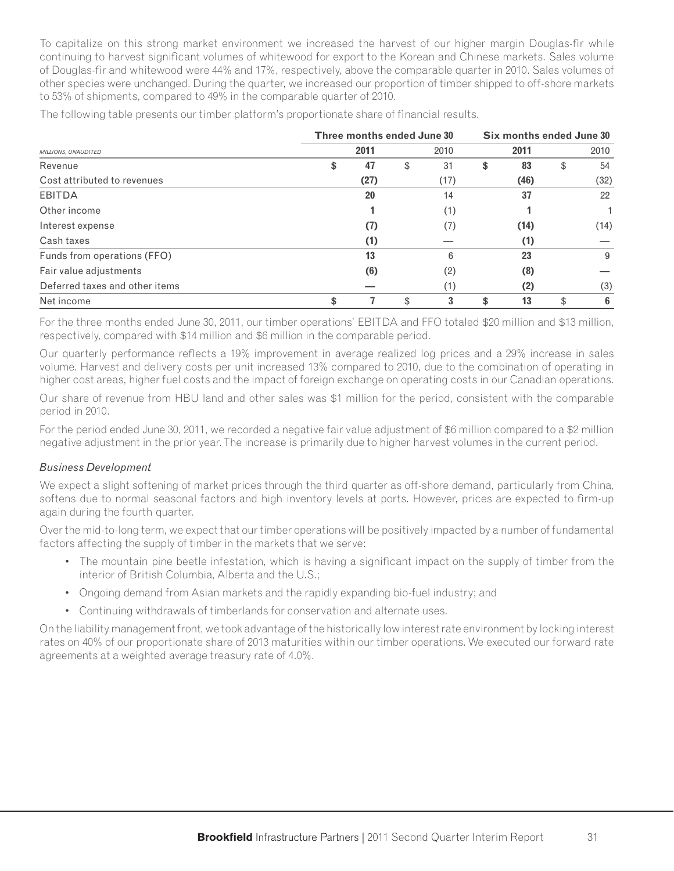To capitalize on this strong market environment we increased the harvest of our higher margin Douglas-fi r while continuing to harvest significant volumes of whitewood for export to the Korean and Chinese markets. Sales volume of Douglas-fir and whitewood were 44% and 17%, respectively, above the comparable quarter in 2010. Sales volumes of other species were unchanged. During the quarter, we increased our proportion of timber shipped to off-shore markets to 53% of shipments, compared to 49% in the comparable quarter of 2010.

|                                | Three months ended June 30 |    | Six months ended June 30 |    |      |    |      |  |
|--------------------------------|----------------------------|----|--------------------------|----|------|----|------|--|
| MILLIONS, UNAUDITED            | 2011                       |    | 2010                     |    | 2011 |    | 2010 |  |
| Revenue                        | \$<br>47                   | \$ | 31                       | \$ | 83   | \$ | 54   |  |
| Cost attributed to revenues    | (27)                       |    | (17)                     |    | (46) |    | (32) |  |
| EBITDA                         | 20                         |    | 14                       |    | 37   |    | 22   |  |
| Other income                   |                            |    | (1)                      |    |      |    |      |  |
| Interest expense               | (7)                        |    | (7)                      |    | (14) |    | (14) |  |
| Cash taxes                     | (1)                        |    |                          |    | (1)  |    |      |  |
| Funds from operations (FFO)    | 13                         |    | 6                        |    | 23   |    | 9    |  |
| Fair value adjustments         | (6)                        |    | (2)                      |    | (8)  |    |      |  |
| Deferred taxes and other items |                            |    | (1)                      |    | (2)  |    | (3)  |  |
| Net income                     | \$                         | \$ | 3                        | \$ | 13   | \$ | 6    |  |

The following table presents our timber platform's proportionate share of financial results.

For the three months ended June 30, 2011, our timber operations' EBITDA and FFO totaled \$20 million and \$13 million, respectively, compared with \$14 million and \$6 million in the comparable period.

Our quarterly performance reflects a 19% improvement in average realized log prices and a 29% increase in sales volume. Harvest and delivery costs per unit increased 13% compared to 2010, due to the combination of operating in higher cost areas, higher fuel costs and the impact of foreign exchange on operating costs in our Canadian operations.

Our share of revenue from HBU land and other sales was \$1 million for the period, consistent with the comparable period in 2010.

For the period ended June 30, 2011, we recorded a negative fair value adjustment of \$6 million compared to a \$2 million negative adjustment in the prior year. The increase is primarily due to higher harvest volumes in the current period.

#### *Business Development*

We expect a slight softening of market prices through the third quarter as off-shore demand, particularly from China, softens due to normal seasonal factors and high inventory levels at ports. However, prices are expected to firm-up again during the fourth quarter.

Over the mid-to-long term, we expect that our timber operations will be positively impacted by a number of fundamental factors affecting the supply of timber in the markets that we serve:

- The mountain pine beetle infestation, which is having a significant impact on the supply of timber from the interior of British Columbia, Alberta and the U.S.;
- Ongoing demand from Asian markets and the rapidly expanding bio-fuel industry; and
- Continuing withdrawals of timberlands for conservation and alternate uses.

On the liability management front, we took advantage of the historically low interest rate environment by locking interest rates on 40% of our proportionate share of 2013 maturities within our timber operations. We executed our forward rate agreements at a weighted average treasury rate of 4.0%.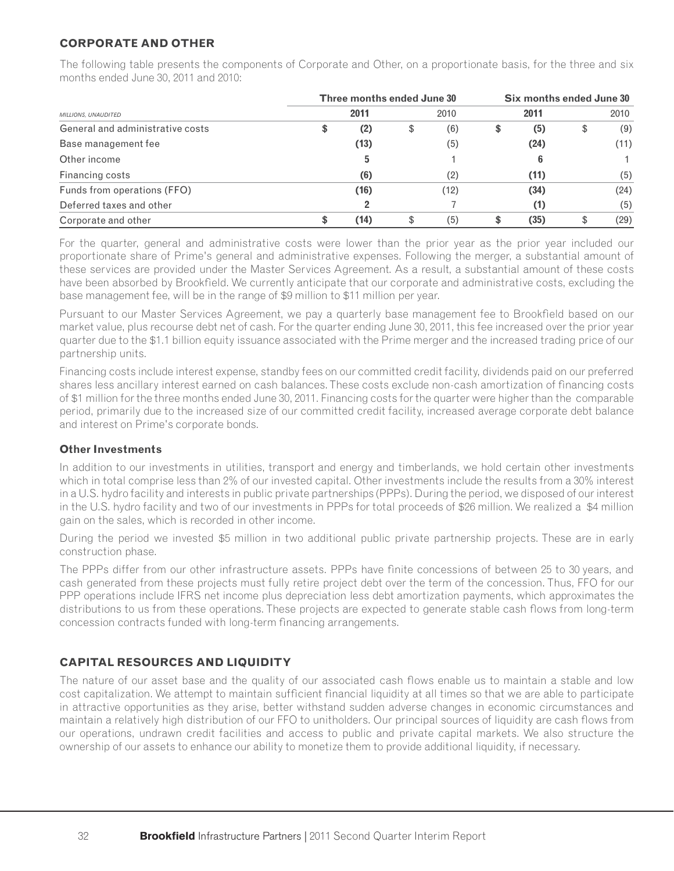# **CORPORATE AND OTHER**

The following table presents the components of Corporate and Other, on a proportionate basis, for the three and six months ended June 30, 2011 and 2010:

|                                  | Three months ended June 30 |           | Six months ended June 30 |      |    |      |  |  |
|----------------------------------|----------------------------|-----------|--------------------------|------|----|------|--|--|
| MILLIONS, UNAUDITED              | 2011                       | 2010      |                          | 2011 |    | 2010 |  |  |
| General and administrative costs | \$<br>(2)                  | \$<br>(6) | \$                       | (5)  | \$ | (9)  |  |  |
| Base management fee              | (13)                       | (5)       |                          | (24) |    | (11) |  |  |
| Other income                     | 5                          |           |                          | 6    |    |      |  |  |
| Financing costs                  | (6)                        | (2)       |                          | (11) |    | (5)  |  |  |
| Funds from operations (FFO)      | (16)                       | (12)      |                          | (34) |    | (24) |  |  |
| Deferred taxes and other         |                            |           |                          | (1)  |    | (5)  |  |  |
| Corporate and other              | \$<br>(14)                 | \$<br>(5) |                          | (35) | \$ | (29) |  |  |

For the quarter, general and administrative costs were lower than the prior year as the prior year included our proportionate share of Prime's general and administrative expenses. Following the merger, a substantial amount of these services are provided under the Master Services Agreement. As a result, a substantial amount of these costs have been absorbed by Brookfield. We currently anticipate that our corporate and administrative costs, excluding the base management fee, will be in the range of \$9 million to \$11 million per year.

Pursuant to our Master Services Agreement, we pay a quarterly base management fee to Brookfield based on our market value, plus recourse debt net of cash. For the quarter ending June 30, 2011, this fee increased over the prior year quarter due to the \$1.1 billion equity issuance associated with the Prime merger and the increased trading price of our partnership units.

Financing costs include interest expense, standby fees on our committed credit facility, dividends paid on our preferred shares less ancillary interest earned on cash balances. These costs exclude non-cash amortization of financing costs of \$1 million for the three months ended June 30, 2011. Financing costs for the quarter were higher than the comparable period, primarily due to the increased size of our committed credit facility, increased average corporate debt balance and interest on Prime's corporate bonds.

# **Other Investments**

In addition to our investments in utilities, transport and energy and timberlands, we hold certain other investments which in total comprise less than 2% of our invested capital. Other investments include the results from a 30% interest in a U.S. hydro facility and interests in public private partnerships (PPPs). During the period, we disposed of our interest in the U.S. hydro facility and two of our investments in PPPs for total proceeds of \$26 million. We realized a \$4 million gain on the sales, which is recorded in other income.

During the period we invested \$5 million in two additional public private partnership projects. These are in early construction phase.

The PPPs differ from our other infrastructure assets. PPPs have finite concessions of between 25 to 30 years, and cash generated from these projects must fully retire project debt over the term of the concession. Thus, FFO for our PPP operations include IFRS net income plus depreciation less debt amortization payments, which approximates the distributions to us from these operations. These projects are expected to generate stable cash flows from long-term concession contracts funded with long-term financing arrangements.

# **CAPITAL RESOURCES AND LIQUIDITY**

The nature of our asset base and the quality of our associated cash flows enable us to maintain a stable and low cost capitalization. We attempt to maintain sufficient financial liquidity at all times so that we are able to participate in attractive opportunities as they arise, better withstand sudden adverse changes in economic circumstances and maintain a relatively high distribution of our FFO to unitholders. Our principal sources of liquidity are cash flows from our operations, undrawn credit facilities and access to public and private capital markets. We also structure the ownership of our assets to enhance our ability to monetize them to provide additional liquidity, if necessary.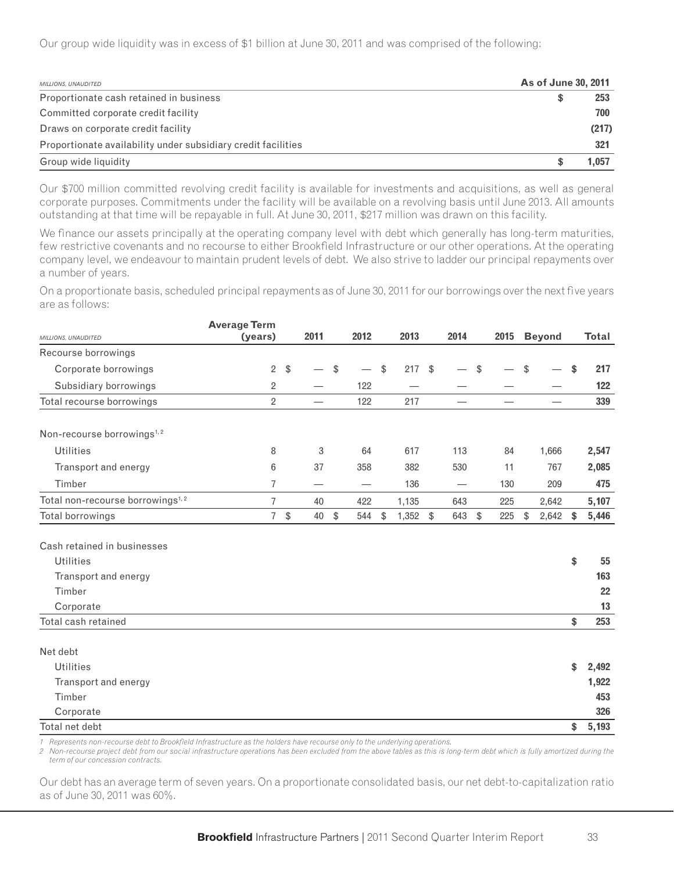Our group wide liquidity was in excess of \$1 billion at June 30, 2011 and was comprised of the following:

| MILLIONS, UNAUDITED                                           | As of June 30, 2011 |       |
|---------------------------------------------------------------|---------------------|-------|
| Proportionate cash retained in business                       | S                   | 253   |
| Committed corporate credit facility                           |                     | 700   |
| Draws on corporate credit facility                            |                     | (217) |
| Proportionate availability under subsidiary credit facilities |                     | 321   |
| Group wide liquidity                                          |                     | 1.057 |

Our \$700 million committed revolving credit facility is available for investments and acquisitions, as well as general corporate purposes. Commitments under the facility will be available on a revolving basis until June 2013. All amounts outstanding at that time will be repayable in full. At June 30, 2011, \$217 million was drawn on this facility.

We finance our assets principally at the operating company level with debt which generally has long-term maturities, few restrictive covenants and no recourse to either Brookfield Infrastructure or our other operations. At the operating company level, we endeavour to maintain prudent levels of debt. We also strive to ladder our principal repayments over a number of years.

On a proportionate basis, scheduled principal repayments as of June 30, 2011 for our borrowings over the next five years are as follows:

|                                              | <b>Average Term</b> |               |                          |                                                                                  |               |       |        |                          |               |      |                          |              |
|----------------------------------------------|---------------------|---------------|--------------------------|----------------------------------------------------------------------------------|---------------|-------|--------|--------------------------|---------------|------|--------------------------|--------------|
| MILLIONS, UNAUDITED                          | (years)             |               | 2011                     | 2012                                                                             |               | 2013  |        | 2014                     |               | 2015 | <b>Beyond</b>            | <b>Total</b> |
| Recourse borrowings                          |                     |               |                          |                                                                                  |               |       |        |                          |               |      |                          |              |
| Corporate borrowings                         | 2                   | \$            |                          | \$                                                                               | \$            | 217   | \$     |                          | \$            |      | \$                       | \$<br>217    |
| Subsidiary borrowings                        | 2                   |               |                          | 122                                                                              |               |       |        |                          |               |      |                          | 122          |
| Total recourse borrowings                    | $\overline{2}$      |               | $\overline{\phantom{0}}$ | 122                                                                              |               | 217   |        | $\overline{\phantom{0}}$ |               |      | $\overline{\phantom{0}}$ | 339          |
| Non-recourse borrowings <sup>1,2</sup>       |                     |               |                          |                                                                                  |               |       |        |                          |               |      |                          |              |
| <b>Utilities</b>                             | 8                   |               | 3                        | 64                                                                               |               | 617   |        | 113                      |               | 84   | 1,666                    | 2,547        |
| Transport and energy                         | 6                   |               | 37                       | 358                                                                              |               | 382   |        | 530                      |               | 11   | 767                      | 2,085        |
| Timber                                       | 7                   |               | —                        |                                                                                  |               | 136   |        |                          |               | 130  | 209                      | 475          |
| Total non-recourse borrowings <sup>1,2</sup> | $\overline{7}$      |               | 40                       | 422                                                                              |               | 1,135 |        | 643                      |               | 225  | 2,642                    | 5,107        |
| Total borrowings                             | $\overline{7}$      | $\sqrt[3]{2}$ | 40                       | \$<br>544                                                                        | $\sqrt[6]{2}$ | 1,352 | $\$\,$ | 643                      | $\frac{1}{2}$ | 225  | \$<br>2,642              | \$<br>5,446  |
| Cash retained in businesses                  |                     |               |                          |                                                                                  |               |       |        |                          |               |      |                          |              |
| <b>Utilities</b>                             |                     |               |                          |                                                                                  |               |       |        |                          |               |      |                          | \$<br>55     |
| Transport and energy                         |                     |               |                          |                                                                                  |               |       |        |                          |               |      |                          | 163          |
| Timber                                       |                     |               |                          |                                                                                  |               |       |        |                          |               |      |                          | 22           |
| Corporate                                    |                     |               |                          |                                                                                  |               |       |        |                          |               |      |                          | 13           |
| Total cash retained                          |                     |               |                          |                                                                                  |               |       |        |                          |               |      |                          | \$<br>253    |
| Net debt                                     |                     |               |                          |                                                                                  |               |       |        |                          |               |      |                          |              |
| <b>Utilities</b>                             |                     |               |                          |                                                                                  |               |       |        |                          |               |      |                          | \$<br>2,492  |
| Transport and energy                         |                     |               |                          |                                                                                  |               |       |        |                          |               |      |                          | 1,922        |
| Timber                                       |                     |               |                          |                                                                                  |               |       |        |                          |               |      |                          | 453          |
| Corporate                                    |                     |               |                          |                                                                                  |               |       |        |                          |               |      |                          | 326          |
| Total net debt                               |                     |               |                          |                                                                                  |               |       |        |                          |               |      |                          | \$<br>5,193  |
|                                              | $\cdots$            |               |                          | $\mathbf{r}$ and $\mathbf{r}$ and $\mathbf{r}$ and $\mathbf{r}$ and $\mathbf{r}$ |               |       |        |                          |               |      |                          |              |

Represents non-recourse debt to Brookfield Infrastructure as the holders have recourse only to the underlying operations.

*2 Non-recourse project debt from our social infrastructure operations has been excluded from the above tables as this is long-term debt which is fully amortized during the term of our concession contracts.*

Our debt has an average term of seven years. On a proportionate consolidated basis, our net debt-to-capitalization ratio as of June 30, 2011 was 60%.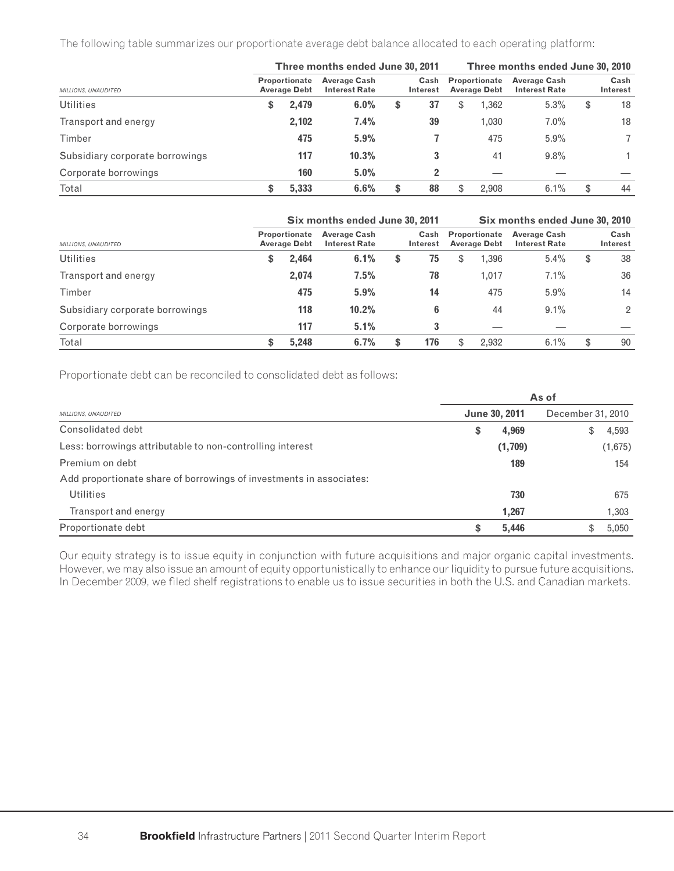The following table summarizes our proportionate average debt balance allocated to each operating platform:

|                                 |  |                                             | Three months ended June 30, 2011            |                  | Three months ended June 30, 2010            |       |                                             |    |                  |  |  |
|---------------------------------|--|---------------------------------------------|---------------------------------------------|------------------|---------------------------------------------|-------|---------------------------------------------|----|------------------|--|--|
| MILLIONS, UNAUDITED             |  | <b>Proportionate</b><br><b>Average Debt</b> | <b>Average Cash</b><br><b>Interest Rate</b> | Cash<br>Interest | <b>Proportionate</b><br><b>Average Debt</b> |       | <b>Average Cash</b><br><b>Interest Rate</b> |    | Cash<br>Interest |  |  |
| <b>Utilities</b>                |  | 2,479                                       | 6.0%                                        | \$<br>37         | S                                           | 1,362 | 5.3%                                        | \$ | 18               |  |  |
| Transport and energy            |  | 2.102                                       | 7.4%                                        | 39               |                                             | 1,030 | $7.0\%$                                     |    | 18               |  |  |
| Timber                          |  | 475                                         | 5.9%                                        |                  |                                             | 475   | 5.9%                                        |    |                  |  |  |
| Subsidiary corporate borrowings |  | 117                                         | 10.3%                                       |                  |                                             | 41    | 9.8%                                        |    |                  |  |  |
| Corporate borrowings            |  | 160                                         | 5.0%                                        | ּ                |                                             |       |                                             |    |                  |  |  |
| Total                           |  | 5.333                                       | 6.6%                                        | \$<br>88         | \$                                          | 2.908 | 6.1%                                        | \$ | 44               |  |  |

|                                 | Six months ended June 30, 2011              |                                             | Six months ended June 30, 2010 |     |    |       |         |    |    |  |  |  |                                             |  |  |  |                                             |  |                         |
|---------------------------------|---------------------------------------------|---------------------------------------------|--------------------------------|-----|----|-------|---------|----|----|--|--|--|---------------------------------------------|--|--|--|---------------------------------------------|--|-------------------------|
| MILLIONS, UNAUDITED             | <b>Proportionate</b><br><b>Average Debt</b> | <b>Average Cash</b><br><b>Interest Rate</b> | Cash<br><b>Interest</b>        |     |    |       |         |    |    |  |  |  | <b>Proportionate</b><br><b>Average Debt</b> |  |  |  | <b>Average Cash</b><br><b>Interest Rate</b> |  | Cash<br><b>Interest</b> |
| <b>Utilities</b>                | \$<br>2,464                                 | 6.1%                                        | \$                             | 75  | \$ | 1,396 | $5.4\%$ | \$ | 38 |  |  |  |                                             |  |  |  |                                             |  |                         |
| Transport and energy            | 2,074                                       | 7.5%                                        |                                | 78  |    | 1,017 | 7.1%    |    | 36 |  |  |  |                                             |  |  |  |                                             |  |                         |
| Timber                          | 475                                         | 5.9%                                        |                                | 14  |    | 475   | $5.9\%$ |    | 14 |  |  |  |                                             |  |  |  |                                             |  |                         |
| Subsidiary corporate borrowings | 118                                         | 10.2%                                       |                                | 6   |    | 44    | $9.1\%$ |    | 2  |  |  |  |                                             |  |  |  |                                             |  |                         |
| Corporate borrowings            | 117                                         | 5.1%                                        |                                | 3   |    |       |         |    |    |  |  |  |                                             |  |  |  |                                             |  |                         |
| Total                           | 5.248                                       | 6.7%                                        | \$                             | 176 | \$ | 2.932 | 6.1%    | \$ | 90 |  |  |  |                                             |  |  |  |                                             |  |                         |

Proportionate debt can be reconciled to consolidated debt as follows:

|                                                                     | As of |                      |                   |         |  |  |  |  |  |
|---------------------------------------------------------------------|-------|----------------------|-------------------|---------|--|--|--|--|--|
| MILLIONS, UNAUDITED                                                 |       | <b>June 30, 2011</b> | December 31, 2010 |         |  |  |  |  |  |
| Consolidated debt                                                   | \$    | 4,969                | S                 | 4,593   |  |  |  |  |  |
| Less: borrowings attributable to non-controlling interest           |       | (1,709)              |                   | (1,675) |  |  |  |  |  |
| Premium on debt                                                     |       | 189                  |                   | 154     |  |  |  |  |  |
| Add proportionate share of borrowings of investments in associates: |       |                      |                   |         |  |  |  |  |  |
| <b>Utilities</b>                                                    |       | 730                  |                   | 675     |  |  |  |  |  |
| Transport and energy                                                |       | 1,267                |                   | 1,303   |  |  |  |  |  |
| Proportionate debt                                                  | \$    | 5,446                |                   | 5,050   |  |  |  |  |  |

Our equity strategy is to issue equity in conjunction with future acquisitions and major organic capital investments. However, we may also issue an amount of equity opportunistically to enhance our liquidity to pursue future acquisitions. In December 2009, we filed shelf registrations to enable us to issue securities in both the U.S. and Canadian markets.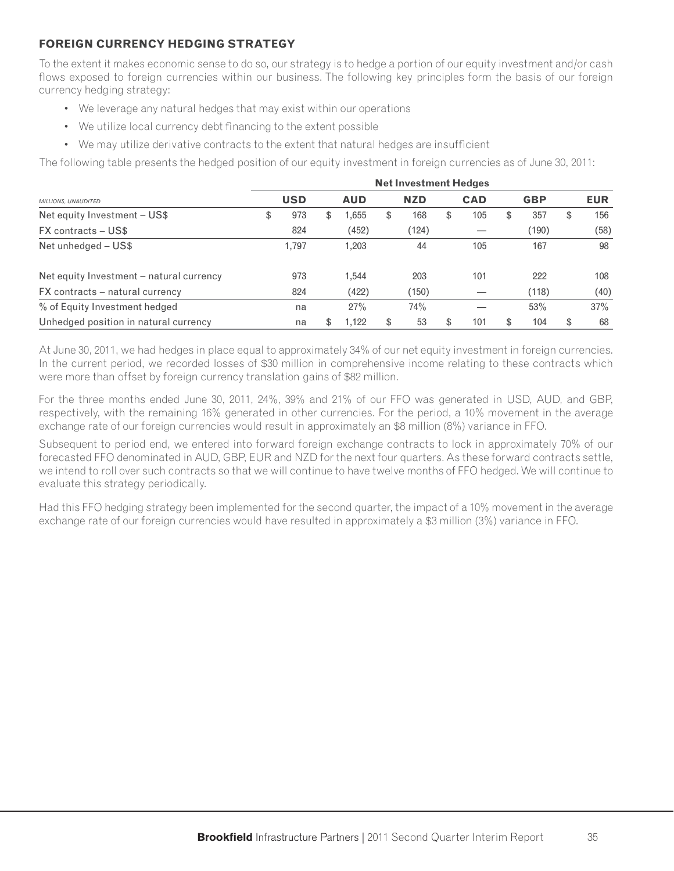## **FOREIGN CURRENCY HEDGING STRATEGY**

To the extent it makes economic sense to do so, our strategy is to hedge a portion of our equity investment and/or cash flows exposed to foreign currencies within our business. The following key principles form the basis of our foreign currency hedging strategy:

- We leverage any natural hedges that may exist within our operations
- We utilize local currency debt financing to the extent possible
- We may utilize derivative contracts to the extent that natural hedges are insufficient

The following table presents the hedged position of our equity investment in foreign currencies as of June 30, 2011:

|                                          | <b>Net Investment Hedges</b> |            |    |            |   |            |     |            |    |            |     |            |
|------------------------------------------|------------------------------|------------|----|------------|---|------------|-----|------------|----|------------|-----|------------|
| MILLIONS, UNAUDITED                      |                              | <b>USD</b> |    | <b>AUD</b> |   | <b>NZD</b> |     | <b>CAD</b> |    | <b>GBP</b> |     | <b>EUR</b> |
| Net equity Investment - US\$             | \$                           | 973        | \$ | ,655       | S | 168        | \$. | 105        | ж. | 357        | ۰ħ. | 156        |
| <b>FX</b> contracts – US\$               |                              | 824        |    | (452)      |   | (124)      |     |            |    | (190)      |     | (58)       |
| Net unhedged - US\$                      |                              | 1.797      |    | 1,203      |   | 44         |     | 105        |    | 167        |     | 98         |
| Net equity Investment – natural currency |                              | 973        |    | 1.544      |   | 203        |     | 101        |    | 222        |     | 108        |
| FX contracts – natural currency          |                              | 824        |    | (422)      |   | (150)      |     |            |    | (118)      |     | (40)       |
| % of Equity Investment hedged            |                              | na         |    | 27%        |   | 74%        |     |            |    | 53%        |     | 37%        |
| Unhedged position in natural currency    |                              | na         | S  | 1.122      | S | 53         |     | 101        |    | 104        | £.  | 68         |

At June 30, 2011, we had hedges in place equal to approximately 34% of our net equity investment in foreign currencies. In the current period, we recorded losses of \$30 million in comprehensive income relating to these contracts which were more than offset by foreign currency translation gains of \$82 million.

For the three months ended June 30, 2011, 24%, 39% and 21% of our FFO was generated in USD, AUD, and GBP, respectively, with the remaining 16% generated in other currencies. For the period, a 10% movement in the average exchange rate of our foreign currencies would result in approximately an \$8 million (8%) variance in FFO.

Subsequent to period end, we entered into forward foreign exchange contracts to lock in approximately 70% of our forecasted FFO denominated in AUD, GBP, EUR and NZD for the next four quarters. As these forward contracts settle, we intend to roll over such contracts so that we will continue to have twelve months of FFO hedged. We will continue to evaluate this strategy periodically.

Had this FFO hedging strategy been implemented for the second quarter, the impact of a 10% movement in the average exchange rate of our foreign currencies would have resulted in approximately a \$3 million (3%) variance in FFO.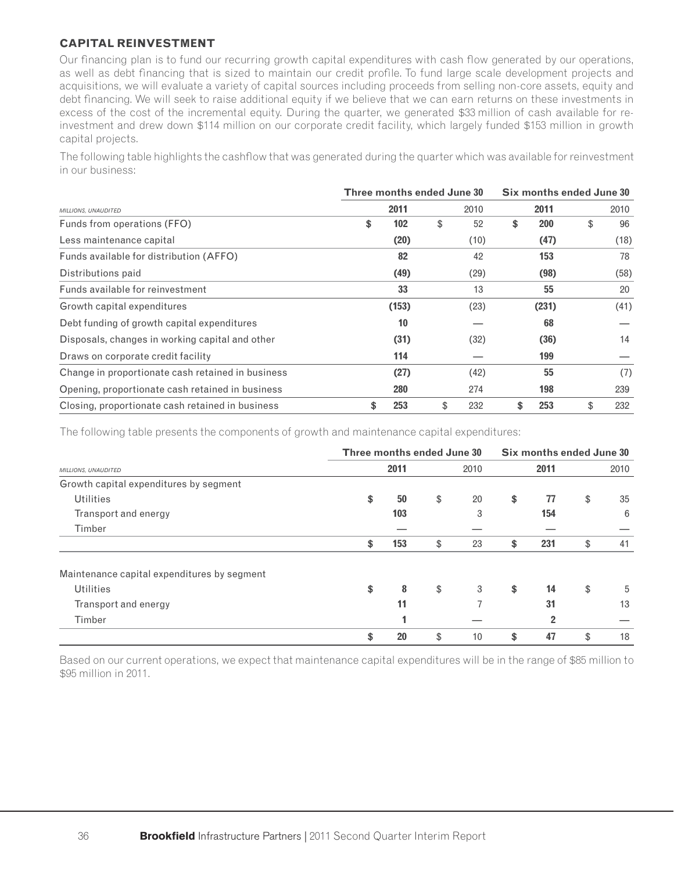## **CAPITAL REINVESTMENT**

Our financing plan is to fund our recurring growth capital expenditures with cash flow generated by our operations, as well as debt financing that is sized to maintain our credit profile. To fund large scale development projects and acquisitions, we will evaluate a variety of capital sources including proceeds from selling non-core assets, equity and debt financing. We will seek to raise additional equity if we believe that we can earn returns on these investments in excess of the cost of the incremental equity. During the quarter, we generated \$33 million of cash available for reinvestment and drew down \$114 million on our corporate credit facility, which largely funded \$153 million in growth capital projects.

The following table highlights the cashflow that was generated during the quarter which was available for reinvestment in our business:

|                                                   | Three months ended June 30 | Six months ended June 30 |      |    |            |    |      |
|---------------------------------------------------|----------------------------|--------------------------|------|----|------------|----|------|
| MILLIONS, UNAUDITED                               | 2011                       |                          | 2010 |    | 2011       |    | 2010 |
| Funds from operations (FFO)                       | \$<br>102                  | \$                       | 52   | \$ | <b>200</b> | \$ | 96   |
| Less maintenance capital                          | (20)                       |                          | (10) |    | (47)       |    | (18) |
| Funds available for distribution (AFFO)           | 82                         |                          | 42   |    | 153        |    | 78   |
| Distributions paid                                | (49)                       |                          | (29) |    | (98)       |    | (58) |
| Funds available for reinvestment                  | 33                         |                          | 13   |    | 55         |    | 20   |
| Growth capital expenditures                       | (153)                      |                          | (23) |    | (231)      |    | (41) |
| Debt funding of growth capital expenditures       | 10                         |                          |      |    | 68         |    |      |
| Disposals, changes in working capital and other   | (31)                       |                          | (32) |    | (36)       |    | 14   |
| Draws on corporate credit facility                | 114                        |                          |      |    | 199        |    |      |
| Change in proportionate cash retained in business | (27)                       |                          | (42) |    | 55         |    | (7)  |
| Opening, proportionate cash retained in business  | 280                        |                          | 274  |    | 198        |    | 239  |
| Closing, proportionate cash retained in business  | \$<br>253                  | \$                       | 232  | \$ | 253        |    | 232  |

The following table presents the components of growth and maintenance capital expenditures:

|                                             | Three months ended June 30 |      |      |    | Six months ended June 30 |                |    |      |
|---------------------------------------------|----------------------------|------|------|----|--------------------------|----------------|----|------|
| MILLIONS, UNAUDITED                         |                            | 2011 | 2010 |    | 2011                     |                |    | 2010 |
| Growth capital expenditures by segment      |                            |      |      |    |                          |                |    |      |
| Utilities                                   | \$                         | 50   | \$   | 20 | \$                       | 77             | \$ | 35   |
| Transport and energy                        |                            | 103  |      | 3  |                          | 154            |    | 6    |
| Timber                                      |                            |      |      |    |                          |                |    |      |
|                                             | \$                         | 153  | \$   | 23 | \$                       | 231            | \$ | 41   |
| Maintenance capital expenditures by segment |                            |      |      |    |                          |                |    |      |
| <b>Utilities</b>                            | \$                         | 8    | \$   | 3  | \$                       | 14             | \$ | 5    |
| Transport and energy                        |                            | 11   |      |    |                          | 31             |    | 13   |
| Timber                                      |                            |      |      |    |                          | $\overline{2}$ |    |      |
|                                             | \$                         | 20   | \$   | 10 | \$                       | 47             | \$ | 18   |

Based on our current operations, we expect that maintenance capital expenditures will be in the range of \$85 million to \$95 million in 2011.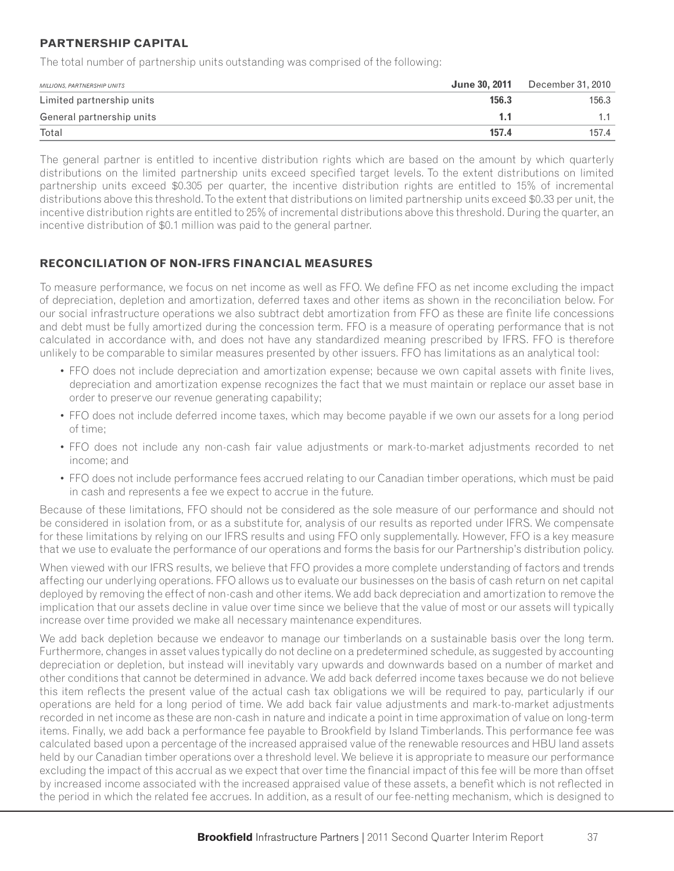## **PARTNERSHIP CAPITAL**

The total number of partnership units outstanding was comprised of the following:

| MILLIONS, PARTNERSHIP UNITS | June 30, 2011 | December 31, 2010 |
|-----------------------------|---------------|-------------------|
| Limited partnership units   | 156.3         | 156.3             |
| General partnership units   |               |                   |
| Total                       | 157.4         | 157.4             |

The general partner is entitled to incentive distribution rights which are based on the amount by which quarterly distributions on the limited partnership units exceed specified target levels. To the extent distributions on limited partnership units exceed \$0.305 per quarter, the incentive distribution rights are entitled to 15% of incremental distributions above this threshold. To the extent that distributions on limited partnership units exceed \$0.33 per unit, the incentive distribution rights are entitled to 25% of incremental distributions above this threshold. During the quarter, an incentive distribution of \$0.1 million was paid to the general partner.

# **RECONCILIATION OF NON-IFRS FINANCIAL MEASURES**

To measure performance, we focus on net income as well as FFO. We define FFO as net income excluding the impact of depreciation, depletion and amortization, deferred taxes and other items as shown in the reconciliation below. For our social infrastructure operations we also subtract debt amortization from FFO as these are finite life concessions and debt must be fully amortized during the concession term. FFO is a measure of operating performance that is not calculated in accordance with, and does not have any standardized meaning prescribed by IFRS. FFO is therefore unlikely to be comparable to similar measures presented by other issuers. FFO has limitations as an analytical tool:

- FFO does not include depreciation and amortization expense; because we own capital assets with finite lives, depreciation and amortization expense recognizes the fact that we must maintain or replace our asset base in order to preserve our revenue generating capability;
- FFO does not include deferred income taxes, which may become payable if we own our assets for a long period of time;
- FFO does not include any non-cash fair value adjustments or mark-to-market adjustments recorded to net income; and
- FFO does not include performance fees accrued relating to our Canadian timber operations, which must be paid in cash and represents a fee we expect to accrue in the future.

Because of these limitations, FFO should not be considered as the sole measure of our performance and should not be considered in isolation from, or as a substitute for, analysis of our results as reported under IFRS. We compensate for these limitations by relying on our IFRS results and using FFO only supplementally. However, FFO is a key measure that we use to evaluate the performance of our operations and forms the basis for our Partnership's distribution policy.

When viewed with our IFRS results, we believe that FFO provides a more complete understanding of factors and trends affecting our underlying operations. FFO allows us to evaluate our businesses on the basis of cash return on net capital deployed by removing the effect of non-cash and other items. We add back depreciation and amortization to remove the implication that our assets decline in value over time since we believe that the value of most or our assets will typically increase over time provided we make all necessary maintenance expenditures.

We add back depletion because we endeavor to manage our timberlands on a sustainable basis over the long term. Furthermore, changes in asset values typically do not decline on a predetermined schedule, as suggested by accounting depreciation or depletion, but instead will inevitably vary upwards and downwards based on a number of market and other conditions that cannot be determined in advance. We add back deferred income taxes because we do not believe this item reflects the present value of the actual cash tax obligations we will be required to pay, particularly if our operations are held for a long period of time. We add back fair value adjustments and mark-to-market adjustments recorded in net income as these are non-cash in nature and indicate a point in time approximation of value on long-term items. Finally, we add back a performance fee payable to Brookfield by Island Timberlands. This performance fee was calculated based upon a percentage of the increased appraised value of the renewable resources and HBU land assets held by our Canadian timber operations over a threshold level. We believe it is appropriate to measure our performance excluding the impact of this accrual as we expect that over time the financial impact of this fee will be more than offset by increased income associated with the increased appraised value of these assets, a benefit which is not reflected in the period in which the related fee accrues. In addition, as a result of our fee-netting mechanism, which is designed to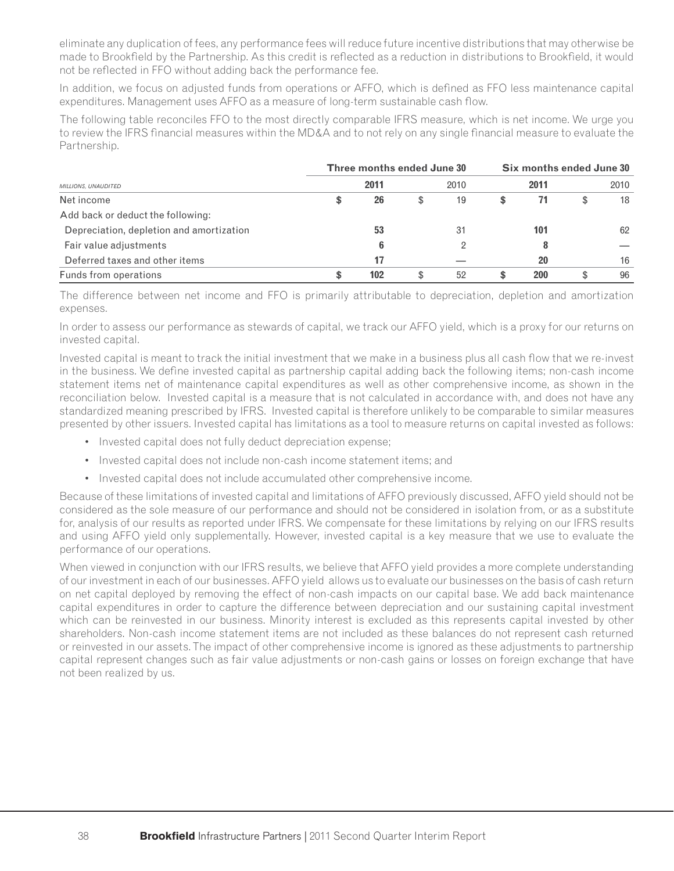eliminate any duplication of fees, any performance fees will reduce future incentive distributions that may otherwise be made to Brookfield by the Partnership. As this credit is reflected as a reduction in distributions to Brookfield, it would not be reflected in FFO without adding back the performance fee.

In addition, we focus on adjusted funds from operations or AFFO, which is defined as FFO less maintenance capital expenditures. Management uses AFFO as a measure of long-term sustainable cash flow.

The following table reconciles FFO to the most directly comparable IFRS measure, which is net income. We urge you to review the IFRS financial measures within the MD&A and to not rely on any single financial measure to evaluate the Partnership.

|                                          | Three months ended June 30 |   | Six months ended June 30 |   |      |   |      |
|------------------------------------------|----------------------------|---|--------------------------|---|------|---|------|
| MILLIONS, UNAUDITED                      | 2011                       |   | 2010                     |   | 2011 |   | 2010 |
| Net income                               | \$<br>26                   | S | 19                       | S |      | S | 18   |
| Add back or deduct the following:        |                            |   |                          |   |      |   |      |
| Depreciation, depletion and amortization | 53                         |   | -31                      |   | 101  |   | 62   |
| Fair value adjustments                   | 6                          |   |                          |   |      |   |      |
| Deferred taxes and other items           | 17                         |   |                          |   | 20   |   | 16   |
| Funds from operations                    | \$<br>102                  |   | 52                       | S | 200  |   | 96   |

The difference between net income and FFO is primarily attributable to depreciation, depletion and amortization expenses.

In order to assess our performance as stewards of capital, we track our AFFO yield, which is a proxy for our returns on invested capital.

Invested capital is meant to track the initial investment that we make in a business plus all cash flow that we re-invest in the business. We define invested capital as partnership capital adding back the following items; non-cash income statement items net of maintenance capital expenditures as well as other comprehensive income, as shown in the reconciliation below. Invested capital is a measure that is not calculated in accordance with, and does not have any standardized meaning prescribed by IFRS. Invested capital is therefore unlikely to be comparable to similar measures presented by other issuers. Invested capital has limitations as a tool to measure returns on capital invested as follows:

- Invested capital does not fully deduct depreciation expense;
- Invested capital does not include non-cash income statement items; and
- Invested capital does not include accumulated other comprehensive income.

Because of these limitations of invested capital and limitations of AFFO previously discussed, AFFO yield should not be considered as the sole measure of our performance and should not be considered in isolation from, or as a substitute for, analysis of our results as reported under IFRS. We compensate for these limitations by relying on our IFRS results and using AFFO yield only supplementally. However, invested capital is a key measure that we use to evaluate the performance of our operations.

When viewed in conjunction with our IFRS results, we believe that AFFO yield provides a more complete understanding of our investment in each of our businesses. AFFO yield allows us to evaluate our businesses on the basis of cash return on net capital deployed by removing the effect of non-cash impacts on our capital base. We add back maintenance capital expenditures in order to capture the difference between depreciation and our sustaining capital investment which can be reinvested in our business. Minority interest is excluded as this represents capital invested by other shareholders. Non-cash income statement items are not included as these balances do not represent cash returned or reinvested in our assets. The impact of other comprehensive income is ignored as these adjustments to partnership capital represent changes such as fair value adjustments or non-cash gains or losses on foreign exchange that have not been realized by us.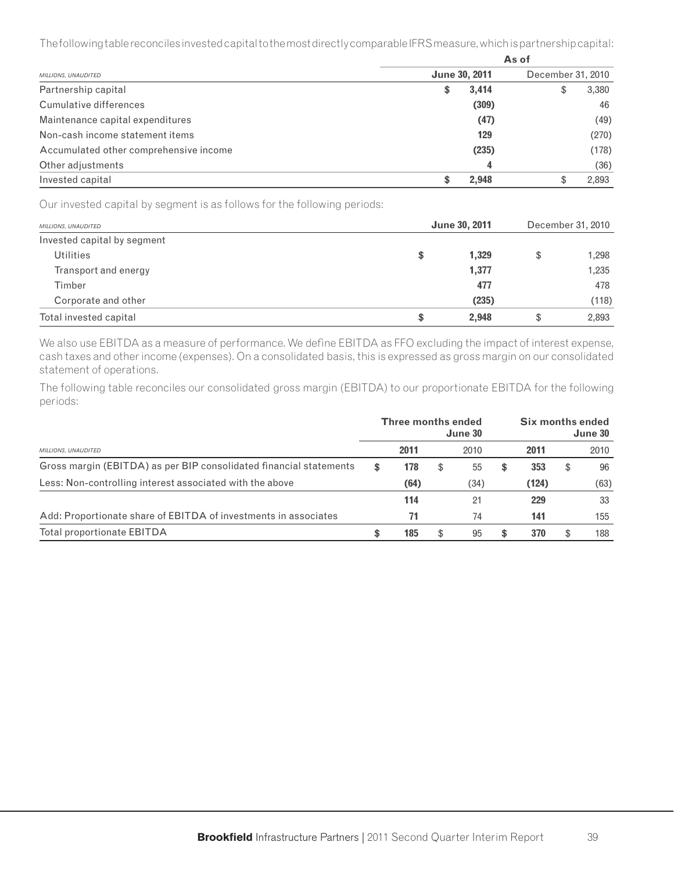The following table reconciles invested capital to the most directly comparable IFRS measure, which is partnership capital:

|                                        | As of                |       |                   |       |  |  |  |  |  |
|----------------------------------------|----------------------|-------|-------------------|-------|--|--|--|--|--|
| MILLIONS, UNAUDITED                    | <b>June 30, 2011</b> |       | December 31, 2010 |       |  |  |  |  |  |
| Partnership capital                    | \$                   | 3,414 | \$                | 3,380 |  |  |  |  |  |
| Cumulative differences                 |                      | (309) |                   | 46    |  |  |  |  |  |
| Maintenance capital expenditures       |                      | (47)  |                   | (49)  |  |  |  |  |  |
| Non-cash income statement items        |                      | 129   |                   | (270) |  |  |  |  |  |
| Accumulated other comprehensive income |                      | (235) |                   | (178) |  |  |  |  |  |
| Other adjustments                      |                      | 4     |                   | (36)  |  |  |  |  |  |
| Invested capital                       |                      | 2.948 | \$                | 2,893 |  |  |  |  |  |

Our invested capital by segment is as follows for the following periods:

| MILLIONS, UNAUDITED         | <b>June 30, 2011</b> | December 31, 2010 |       |  |
|-----------------------------|----------------------|-------------------|-------|--|
| Invested capital by segment |                      |                   |       |  |
| <b>Utilities</b>            | \$<br>1,329          | S                 | 1,298 |  |
| Transport and energy        | 1,377                |                   | 1,235 |  |
| Timber                      | 477                  |                   | 478   |  |
| Corporate and other         | (235)                |                   | (118) |  |
| Total invested capital      | \$<br>2.948          | \$                | 2,893 |  |

We also use EBITDA as a measure of performance. We define EBITDA as FFO excluding the impact of interest expense, cash taxes and other income (expenses). On a consolidated basis, this is expressed as gross margin on our consolidated statement of operations.

The following table reconciles our consolidated gross margin (EBITDA) to our proportionate EBITDA for the following periods:

|                                                                    |    | <b>Three months ended</b> | June 30  | Six months ended<br>June 30 |       |  |      |
|--------------------------------------------------------------------|----|---------------------------|----------|-----------------------------|-------|--|------|
| MILLIONS, UNAUDITED                                                |    | 2011                      | 2010     |                             | 2011  |  | 2010 |
| Gross margin (EBITDA) as per BIP consolidated financial statements | \$ | 178                       | \$<br>55 | S                           | 353   |  | 96   |
| Less: Non-controlling interest associated with the above           |    | (64)                      | (34)     |                             | (124) |  | (63) |
|                                                                    |    | 114                       | 21       |                             | 229   |  | 33   |
| Add: Proportionate share of EBITDA of investments in associates    |    | 71                        | 74       |                             | 141   |  | 155  |
| Total proportionate EBITDA                                         | S  | 185                       | \$<br>95 | \$                          | 370   |  | 188  |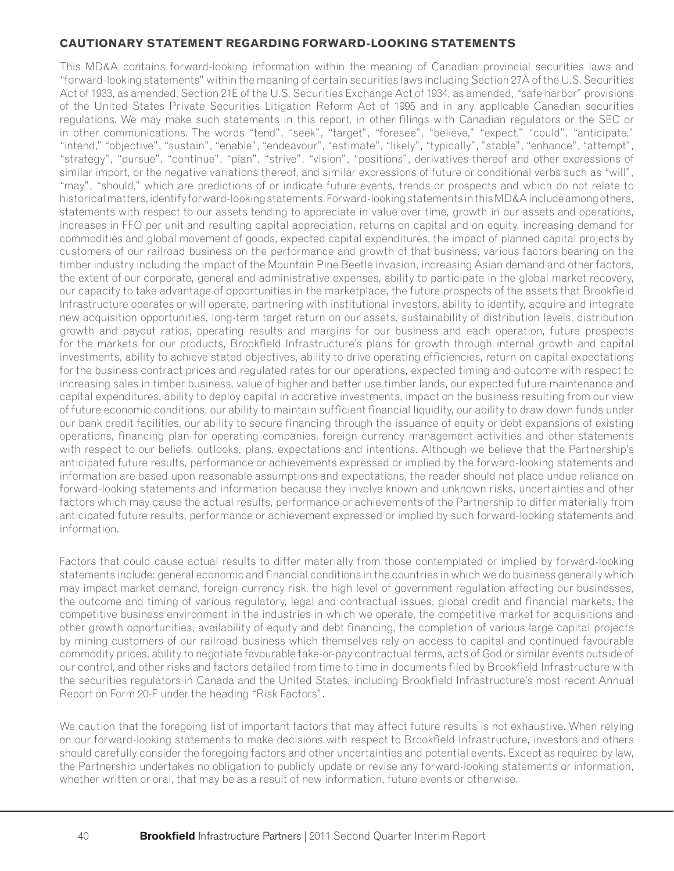#### **CAUTIONARY STATEMENT REGARDING FORWARD-LOOKING STATEMENTS**

This MD&A contains forward-looking information within the meaning of Canadian provincial securities laws and "forward-looking statements" within the meaning of certain securities laws including Section 27A of the U.S. Securities Act of 1933, as amended, Section 21E of the U.S. Securities Exchange Act of 1934, as amended, "safe harbor" provisions of the United States Private Securities Litigation Reform Act of 1995 and in any applicable Canadian securities regulations. We may make such statements in this report, in other filings with Canadian regulators or the SEC or in other communications. The words "tend", "seek", "target", "foresee", "believe," "expect," "could", "anticipate," "intend," "objective", "sustain", "enable", "endeavour", "estimate", "likely", "typically", "stable", "enhance", "attempt", "strategy", "pursue", "continue", "plan", "strive", "vision", "positions", derivatives thereof and other expressions of similar import, or the negative variations thereof, and similar expressions of future or conditional verbs such as "will", "may", "should," which are predictions of or indicate future events, trends or prospects and which do not relate to historical matters, identify forward-looking statements. Forward-looking statements in this MD&A include among others, statements with respect to our assets tending to appreciate in value over time, growth in our assets and operations, increases in FFO per unit and resulting capital appreciation, returns on capital and on equity, increasing demand for commodities and global movement of goods, expected capital expenditures, the impact of planned capital projects by customers of our railroad business on the performance and growth of that business, various factors bearing on the timber industry including the impact of the Mountain Pine Beetle invasion, increasing Asian demand and other factors, the extent of our corporate, general and administrative expenses, ability to participate in the global market recovery, our capacity to take advantage of opportunities in the marketplace, the future prospects of the assets that Brookfield Infrastructure operates or will operate, partnering with institutional investors, ability to identify, acquire and integrate new acquisition opportunities, long-term target return on our assets, sustainability of distribution levels, distribution growth and payout ratios, operating results and margins for our business and each operation, future prospects for the markets for our products, Brookfield Infrastructure's plans for growth through internal growth and capital investments, ability to achieve stated objectives, ability to drive operating efficiencies, return on capital expectations for the business contract prices and regulated rates for our operations, expected timing and outcome with respect to increasing sales in timber business, value of higher and better use timber lands, our expected future maintenance and capital expenditures, ability to deploy capital in accretive investments, impact on the business resulting from our view of future economic conditions, our ability to maintain sufficient financial liquidity, our ability to draw down funds under our bank credit facilities, our ability to secure financing through the issuance of equity or debt expansions of existing operations, financing plan for operating companies, foreign currency management activities and other statements with respect to our beliefs, outlooks, plans, expectations and intentions. Although we believe that the Partnership's anticipated future results, performance or achievements expressed or implied by the forward-looking statements and information are based upon reasonable assumptions and expectations, the reader should not place undue reliance on forward-looking statements and information because they involve known and unknown risks, uncertainties and other factors which may cause the actual results, performance or achievements of the Partnership to differ materially from anticipated future results, performance or achievement expressed or implied by such forward-looking statements and information.

Factors that could cause actual results to differ materially from those contemplated or implied by forward-looking statements include: general economic and financial conditions in the countries in which we do business generally which may impact market demand, foreign currency risk, the high level of government regulation affecting our businesses, the outcome and timing of various regulatory, legal and contractual issues, global credit and financial markets, the competitive business environment in the industries in which we operate, the competitive market for acquisitions and other growth opportunities, availability of equity and debt financing, the completion of various large capital projects by mining customers of our railroad business which themselves rely on access to capital and continued favourable commodity prices, ability to negotiate favourable take-or-pay contractual terms, acts of God or similar events outside of our control, and other risks and factors detailed from time to time in documents filed by Brookfield Infrastructure with the securities regulators in Canada and the United States, including Brookfield Infrastructure's most recent Annual Report on Form 20-F under the heading "Risk Factors".

We caution that the foregoing list of important factors that may affect future results is not exhaustive. When relying on our forward-looking statements to make decisions with respect to Brookfield Infrastructure, investors and others should carefully consider the foregoing factors and other uncertainties and potential events. Except as required by law, the Partnership undertakes no obligation to publicly update or revise any forward-looking statements or information, whether written or oral, that may be as a result of new information, future events or otherwise.